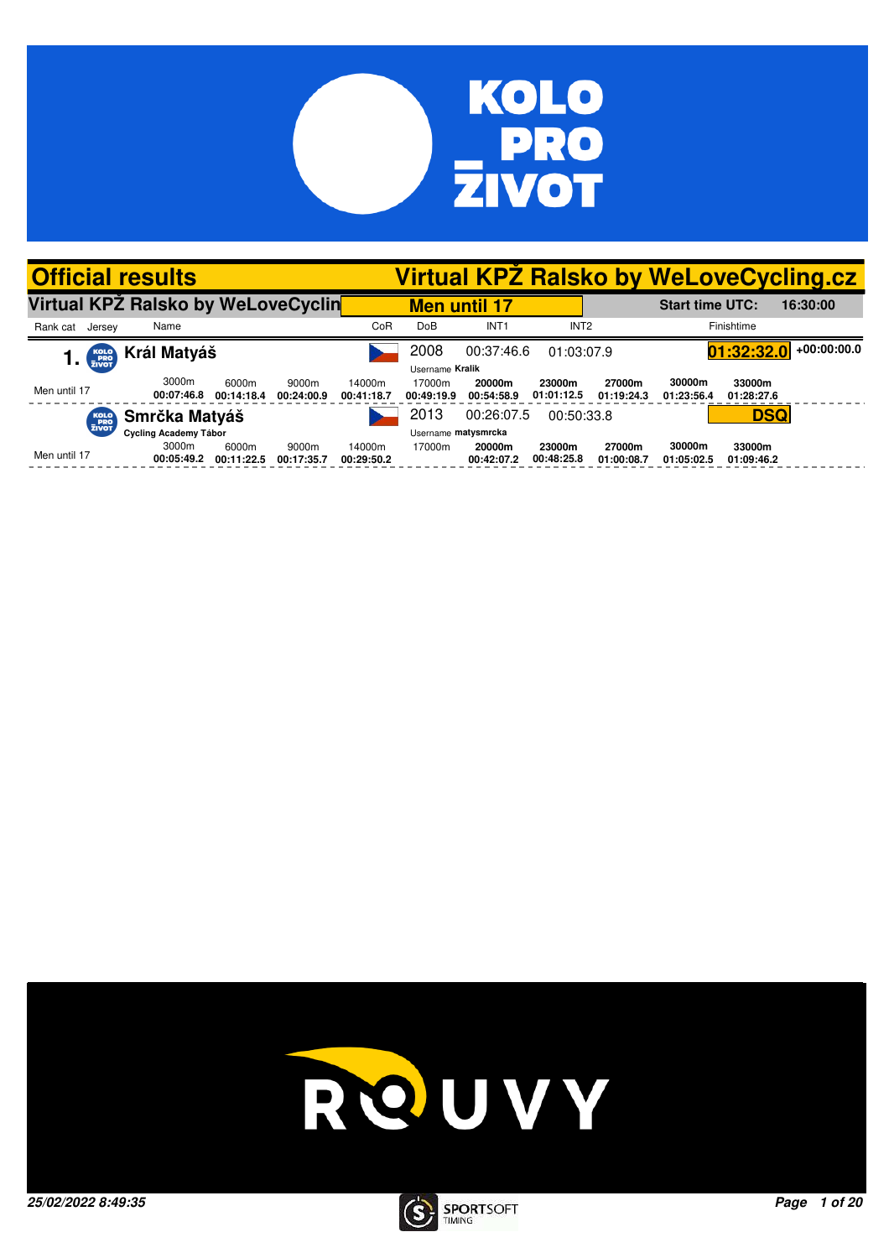

| <b>Official results</b>            |                     |                     |                     |                      |                         |                      |                      |                      |                        |                      | <b>Virtual KPZ Ralsko by WeLoveCycling.cz</b> |
|------------------------------------|---------------------|---------------------|---------------------|----------------------|-------------------------|----------------------|----------------------|----------------------|------------------------|----------------------|-----------------------------------------------|
| Virtual KPŽ Ralsko by WeLoveCyclin |                     |                     |                     |                      | <b>Men until 17</b>     |                      |                      |                      | <b>Start time UTC:</b> |                      | 16:30:00                                      |
| Rank cat<br>Jersey                 | Name                |                     |                     | CoR                  | DoB                     | INT <sub>1</sub>     | INT <sub>2</sub>     |                      |                        | Finishtime           |                                               |
| KOLO<br>PRO<br>ZIVOT               | Král Matyáš         |                     |                     |                      | 2008<br>Username Kralik | 00:37:46.6           | 01:03:07.9           |                      |                        | 01:32:32.0           | $+00:00:00.0$                                 |
| Men until 17                       | 3000m<br>00:07:46.8 | 6000m<br>00:14:18.4 | 9000m<br>00:24:00.9 | 14000m<br>00:41:18.7 | 17000m<br>00:49:19.9    | 20000m<br>00:54:58.9 | 23000m<br>01:01:12.5 | 27000m<br>01:19:24.3 | 30000m<br>01:23:56.4   | 33000m<br>01:28:27.6 |                                               |
| KOLO<br>PRO<br>ZIVOT               | Smrčka Matyáš       |                     |                     |                      | 2013                    | 00:26:07.5           | 00:50:33.8           |                      |                        | <b>DSQ</b>           |                                               |
|                                    |                     |                     | Username matysmrcka |                      |                         |                      |                      |                      |                        |                      |                                               |
| Men until 17                       | 3000m<br>00:05:49.2 | 6000m<br>00:11:22.5 | 9000m<br>00:17:35.7 | 14000m<br>00:29:50.2 | 17000m                  | 20000m<br>00:42:07.2 | 23000m<br>00:48:25.8 | 27000m<br>01:00:08.7 | 30000m<br>01:05:02.5   | 33000m<br>01:09:46.2 |                                               |



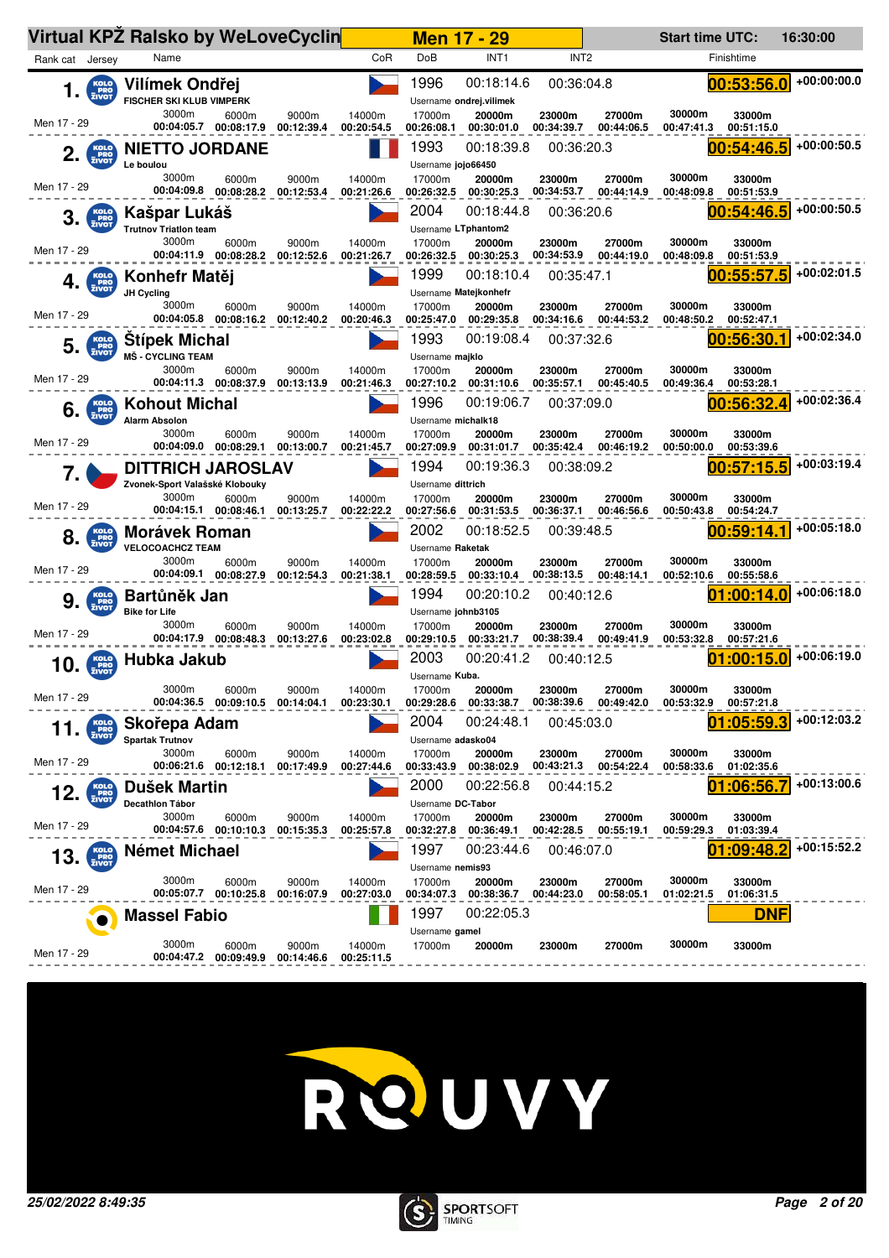|                                          | Virtual KPZ Ralsko by WeLoveCyclin                         |                                           |                     |                      |                                            | <b>Men 17 - 29</b>                    |                      |                      | <b>Start time UTC:</b> |                      | 16:30:00    |
|------------------------------------------|------------------------------------------------------------|-------------------------------------------|---------------------|----------------------|--------------------------------------------|---------------------------------------|----------------------|----------------------|------------------------|----------------------|-------------|
| Rank cat Jersey                          | Name                                                       |                                           |                     | CoR                  | DoB                                        | INT <sub>1</sub>                      | INT <sub>2</sub>     |                      |                        | Finishtime           |             |
| KOLO<br>PRO<br>ZIVOT<br>1.               | Vilímek Ondřej<br>FISCHER SKI KLUB VIMPERK                 |                                           |                     |                      | 1996                                       | 00:18:14.6<br>Username ondrej.vilimek | 00:36:04.8           |                      |                        | 00:53:56.0           | +00:00:00.0 |
| Men 17 - 29                              | 3000m<br>00:04:05.7                                        | 6000m<br>00:08:17.9                       | 9000m<br>00:12:39.4 | 14000m<br>00:20:54.5 | 17000m<br>00:26:08.1                       | 20000m<br>00:30:01.0                  | 23000m<br>00:34:39.7 | 27000m<br>00:44:06.5 | 30000m<br>00:47:41.3   | 33000m<br>00:51:15.0 |             |
| KOLO<br>PRO<br>ZIVOT<br>2.               | <b>NIETTO JORDANE</b><br>Le boulou                         |                                           |                     |                      | 1993<br>Username jojo66450                 | 00:18:39.8                            | 00:36:20.3           |                      |                        | 00:54:46.5           | +00:00:50.5 |
| Men 17 - 29                              | 3000m                                                      | 6000m<br>00:04:09.8 00:08:28.2            | 9000m<br>00:12:53.4 | 14000m<br>00:21:26.6 | 17000m<br>00:26:32.5                       | 20000m<br>00:30:25.3                  | 23000m<br>00:34:53.7 | 27000m<br>00:44:14.9 | 30000m<br>00:48:09.8   | 33000m<br>00:51:53.9 |             |
| 3.<br><b>PRO</b><br>ZIVOT                | Kašpar Lukáš<br><b>Trutnov Triation team</b>               |                                           |                     |                      | 2004<br>Username LTphantom2                | 00:18:44.8                            | 00:36:20.6           |                      |                        | 00:54:46.5           | +00:00:50.5 |
| Men 17 - 29                              | 3000m                                                      | 6000m<br>00:04:11.9 00:08:28.2            | 9000m<br>00:12:52.6 | 14000m<br>00:21:26.7 | 17000m<br>00:26:32.5                       | 20000m<br>00:30:25.3                  | 23000m<br>00:34:53.9 | 27000m<br>00:44:19.0 | 30000m<br>00:48:09.8   | 33000m<br>00:51:53.9 |             |
| <b>KOLO</b><br>PRO<br>ZIVOT<br>4.        | Konhefr Matěj<br>JH Cycling                                |                                           |                     |                      | 1999                                       | 00:18:10.4<br>Username Matejkonhefr   | 00:35:47.1           |                      |                        | 00:55:57.5           | +00:02:01.5 |
| Men 17 - 29                              | 3000m                                                      | 6000m<br>00:04:05.8 00:08:16.2            | 9000m<br>00:12:40.2 | 14000m<br>00:20:46.3 | 17000m<br>00:25:47.0                       | 20000m<br>00:29:35.8                  | 23000m<br>00:34:16.6 | 27000m<br>00:44:53.2 | 30000m<br>00:48:50.2   | 33000m<br>00:52:47.1 |             |
| <b>KOLO</b><br>PRO<br>ZIVOT<br>5.        | <b>Stipek Michal</b><br><b>MŠ - CYCLING TEAM</b>           |                                           |                     |                      | 1993<br>Username majklo                    | 00:19:08.4                            | 00:37:32.6           |                      |                        | 00:56:30.1           | +00:02:34.0 |
| Men 17 - 29                              | 3000m                                                      | 6000m<br>00:04:11.3 00:08:37.9            | 9000m<br>00:13:13.9 | 14000m<br>00:21:46.3 | 17000m<br>00:27:10.2                       | 20000m<br>00:31:10.6                  | 23000m<br>00:35:57.1 | 27000m<br>00:45:40.5 | 30000m<br>00:49:36.4   | 33000m<br>00:53:28.1 |             |
| KOLO<br>PRO<br>ZIVOT<br>6.               | <b>Kohout Michal</b><br><b>Alarm Absolon</b>               |                                           |                     |                      | 1996<br>Username michalk18                 | 00:19:06.7                            | 00:37:09.0           |                      |                        | 00:56:32.4           | +00:02:36.4 |
| Men 17 - 29                              | 3000m<br>00:04:09.0                                        | 6000m<br>00:08:29.1                       | 9000m<br>00:13:00.7 | 14000m<br>00:21:45.7 | 17000m<br>00:27:09.9                       | 20000m<br>00:31:01.7                  | 23000m<br>00:35:42.4 | 27000m<br>00:46:19.2 | 30000m<br>00:50:00.0   | 33000m<br>00:53:39.6 |             |
|                                          | <b>DITTRICH JAROSLAV</b><br>Zvonek-Sport Valašské Klobouky |                                           |                     |                      | 1994<br>Username dittrich                  | 00:19:36.3                            | 00:38:09.2           |                      |                        | 00:57:15.5           | +00:03:19.4 |
| Men 17 - 29                              | 3000m                                                      | 6000m<br>00:04:15.1 00:08:46.1            | 9000m<br>00:13:25.7 | 14000m<br>00:22:22.2 | 17000m<br>00:27:56.6                       | 20000m<br>00:31:53.5                  | 23000m<br>00:36:37.1 | 27000m<br>00:46:56.6 | 30000m<br>00:50:43.8   | 33000m<br>00:54:24.7 |             |
| KOLO<br>PRO<br>ŽIVOT<br>8.               | <b>Morávek Roman</b><br><b>VELOCOACHCZ TEAM</b>            |                                           |                     |                      | 2002<br>Username Raketak                   | 00:18:52.5                            | 00:39:48.5           |                      |                        | 00:59:14.1           | +00:05:18.0 |
| Men 17 - 29                              | 3000m                                                      | 6000m<br>00:04:09.1  00:08:27.9           | 9000m<br>00:12:54.3 | 14000m<br>00:21:38.1 | 17000m<br>00:28:59.5                       | 20000m<br>00:33:10.4                  | 23000m<br>00:38:13.5 | 27000m<br>00:48:14.1 | 30000m<br>00:52:10.6   | 33000m<br>00:55:58.6 |             |
| <b>KOLO</b><br>9.<br><b>PRO</b><br>ZIVOT | Bartůněk Jan                                               |                                           |                     |                      | 1994                                       | 00:20:10.2                            | 00:40:12.6           |                      |                        | 01:00:14.0           | +00:06:18.0 |
| Men 17 - 29                              | <b>Bike for Life</b><br>3000m<br>00:04:17.9 00:08:48.3     | 6000m                                     | 9000m<br>00:13:27.6 | 14000m<br>00:23:02.8 | Username johnb3105<br>17000m<br>00:29:10.5 | 20000m<br>00:33:21.7                  | 23000m<br>00:38:39.4 | 27000m<br>00:49:41.9 | 30000m<br>00:53:32.8   | 33000m<br>00:57:21.6 |             |
| KOLO<br>PRO<br>ZIVOT<br>10               | Hubka Jakub                                                |                                           |                     |                      | 2003<br>Username Kuba.                     | 00:20:41.2                            | 00:40:12.5           |                      |                        | :00:15.0             | +00:06:19.0 |
| Men 17 - 29                              | 3000m                                                      | 6000m<br>00:04:36.5 00:09:10.5 00:14:04.1 | 9000m               | 14000m<br>00:23:30.1 | 17000m<br>00:29:28.6                       | 20000m<br>00:33:38.7                  | 23000m<br>00:38:39.6 | 27000m<br>00:49:42.0 | 30000m<br>00:53:32.9   | 33000m<br>00:57:21.8 |             |
| KOLO<br>PRO<br>ZIVOT<br>11.              | Skořepa Adam<br><b>Spartak Trutnov</b>                     |                                           |                     |                      | 2004<br>Username adasko04                  | 00:24:48.1                            | 00:45:03.0           |                      |                        | 01:05:59.3           | +00:12:03.2 |
| Men 17 - 29                              | 3000m                                                      | 6000m                                     | 9000m<br>00:17:49.9 | 14000m<br>00:27:44.6 | 17000m<br>00:33:43.9                       | 20000m<br>00:38:02.9                  | 23000m<br>00:43:21.3 | 27000m<br>00:54:22.4 | 30000m<br>00:58:33.6   | 33000m<br>01:02:35.6 |             |
| KOLO<br>PRO<br>ZIVOT<br>12.              | Dušek Martin<br>Decathlon Tábor                            |                                           |                     |                      | 2000<br>Username DC-Tabor                  | 00:22:56.8                            | 00:44:15.2           |                      |                        | .06:56.<br>01        | +00:13:00.6 |
| Men 17 - 29                              | 3000m<br>00:04:57.6                                        | 6000m<br>00:10:10.3                       | 9000m<br>00:15:35.3 | 14000m<br>00:25:57.8 | 17000m<br>00:32:27.8                       | 20000m<br>00:36:49.1                  | 23000m<br>00:42:28.5 | 27000m<br>00:55:19.1 | 30000m<br>00:59:29.3   | 33000m<br>01:03:39.4 |             |
| KOLO<br>PRO<br>ZIVOT<br>13.              | Német Michael                                              |                                           |                     |                      | 1997                                       | 00:23:44.6                            | 00:46:07.0           |                      |                        | :09:48<br>01         | +00:15:52.2 |
| Men 17 - 29                              | 3000m<br>00:05:07.7 00:10:25.8                             | 6000m                                     | 9000m<br>00:16:07.9 | 14000m<br>00:27:03.0 | Username nemis93<br>17000m<br>00:34:07.3   | 20000m<br>00:38:36.7                  | 23000m<br>00:44:23.0 | 27000m<br>00:58:05.1 | 30000m<br>01:02:21.5   | 33000m<br>01:06:31.5 |             |
|                                          | <b>Massel Fabio</b>                                        |                                           |                     |                      | 1997                                       | 00:22:05.3                            |                      |                      |                        | <u>DNF</u>           |             |
| Men 17 - 29                              | 3000m<br>00:04:47.2                                        | 6000m<br>00:09:49.9                       | 9000m<br>00:14:46.6 | 14000m<br>00:25:11.5 | Username gamel<br>17000m                   | 20000m                                | 23000m               | 27000m               | 30000m                 | 33000m               |             |



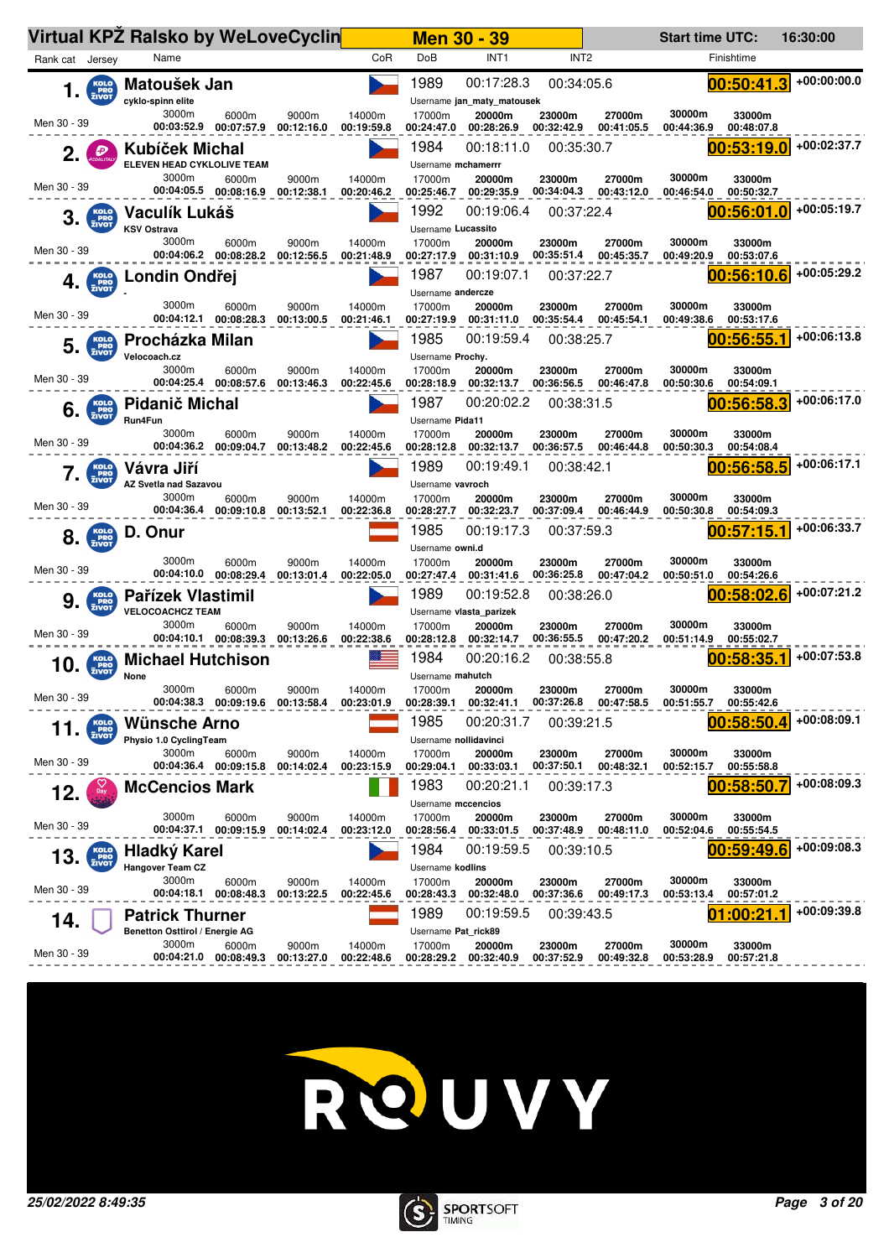|                                   | Virtual KPZ Ralsko by WeLoveCyclin                       |                                           |                     |                      |                                   | <b>Men 30 - 39</b>                       |                      |                      | <b>Start time UTC:</b> |                      | 16:30:00      |
|-----------------------------------|----------------------------------------------------------|-------------------------------------------|---------------------|----------------------|-----------------------------------|------------------------------------------|----------------------|----------------------|------------------------|----------------------|---------------|
| Rank cat Jersey                   | Name                                                     |                                           |                     | CoR                  | DoB                               | INT <sub>1</sub>                         | INT <sub>2</sub>     |                      |                        | Finishtime           |               |
| KOLO<br>PRO<br>ZIVOT<br>1.        | Matoušek Jan<br>cyklo-spinn elite                        |                                           |                     |                      | 1989                              | 00:17:28.3<br>Username jan_maty_matousek | 00:34:05.6           |                      |                        | 00:50:41.3           | $+00:00:00.0$ |
| Men 30 - 39                       | 3000m                                                    | 6000m<br>00:03:52.9 00:07:57.9            | 9000m<br>00:12:16.0 | 14000m<br>00:19:59.8 | 17000m<br>00:24:47.0              | 20000m<br>00:28:26.9                     | 23000m<br>00:32:42.9 | 27000m<br>00:41:05.5 | 30000m<br>00:44:36.9   | 33000m<br>00:48:07.8 |               |
| Đ                                 | Kubíček Michal<br>ELEVEN HEAD CYKLOLIVE TEAM             |                                           |                     |                      | 1984<br>Username mchamerrr        | 00:18:11.0                               | 00:35:30.7           |                      |                        | 00:53:19.0           | +00:02:37.7   |
| Men 30 - 39                       | 3000m                                                    | 6000m<br>00:04:05.5 00:08:16.9            | 9000m<br>00:12:38.1 | 14000m<br>00:20:46.2 | 17000m<br>00:25:46.7              | 20000m<br>00:29:35.9                     | 23000m<br>00:34:04.3 | 27000m<br>00:43:12.0 | 30000m<br>00:46:54.0   | 33000m<br>00:50:32.7 |               |
| 3.<br><b>PRO</b><br>ZIVOT         | Vaculík Lukáš<br><b>KSV Ostrava</b>                      |                                           |                     |                      | 1992<br>Username Lucassito        | 00:19:06.4                               | 00:37:22.4           |                      |                        | 00:56:01.0           | +00:05:19.7   |
| Men 30 - 39                       | 3000m                                                    | 6000m<br>00:04:06.2 00:08:28.2            | 9000m<br>00:12:56.5 | 14000m<br>00:21:48.9 | 17000m<br>00:27:17.9              | 20000m<br>00:31:10.9                     | 23000m<br>00:35:51.4 | 27000m<br>00:45:35.7 | 30000m<br>00:49:20.9   | 33000m<br>00:53:07.6 |               |
| <b>KOLO</b><br>PRO<br>ZIVOT<br>4. | Londin Ondřej                                            |                                           |                     |                      | 1987<br>Username andercze         | 00:19:07.1                               | 00:37:22.7           |                      |                        | 00:56:10.6           | +00:05:29.2   |
| Men 30 - 39                       | 3000m                                                    | 6000m<br>00:04:12.1 00:08:28.3            | 9000m<br>00:13:00.5 | 14000m<br>00:21:46.1 | 17000m<br>00:27:19.9              | 20000m<br>00:31:11.0                     | 23000m<br>00:35:54.4 | 27000m<br>00:45:54.1 | 30000m<br>00:49:38.6   | 33000m<br>00:53:17.6 |               |
| KOLO<br>PRO<br>ZIVOT<br>5.        | Procházka Milan<br>Velocoach.cz                          |                                           |                     |                      | 1985<br>Username Prochy.          | 00:19:59.4                               | 00:38:25.7           |                      |                        | 00:56:55.1           | $+00:06:13.8$ |
| Men 30 - 39                       | 3000m                                                    | 6000m<br>00:04:25.4 00:08:57.6            | 9000m<br>00:13:46.3 | 14000m<br>00:22:45.6 | 17000m<br>00:28:18.9              | 20000m<br>00:32:13.7<br>00:20:02.2       | 23000m<br>00:36:56.5 | 27000m<br>00:46:47.8 | 30000m<br>00:50:30.6   | 33000m<br>00:54:09.1 | +00:06:17.0   |
| <b>KOLO</b><br>PRO<br>ZIVOT<br>6. | Pidanič Michal<br>Run4Fun<br>3000m                       | 6000m                                     | 9000m               | 14000m               | 1987<br>Username Pida11<br>17000m | 20000m                                   | 00:38:31.5<br>23000m | 27000m               | 30000m                 | 00:56:58.3<br>33000m |               |
| Men 30 - 39                       | 00:04:36.2                                               | 00:09:04.7                                | 00:13:48.2          | 00:22:45.6           | 00:28:12.8                        | 00:32:13.7                               | 00:36:57.5           | 00:46:44.8           | 00:50:30.3             | 00:54:08.4           |               |
| KOLO<br>PRO<br>ZIVOT              | Vávra Jiří<br>AZ Svetla nad Sazavou<br>3000m             |                                           |                     |                      | 1989<br>Username vavroch          | 00:19:49.1                               | 00:38:42.1           |                      | 30000m                 | 00:56:58.5           | +00:06:17.1   |
| Men 30 - 39                       | 00:04:36.4                                               | 6000m<br>00:09:10.8                       | 9000m<br>00:13:52.1 | 14000m<br>00:22:36.8 | 17000m<br>00:28:27.7              | 20000m<br>00:32:23.7                     | 23000m<br>00:37:09.4 | 27000m<br>00:46:44.9 | 00:50:30.8             | 33000m<br>00:54:09.3 |               |
| <b>KOLO</b><br>PRO<br>ZIVOT<br>8. | D. Onur                                                  |                                           |                     |                      | 1985<br>Username owni.d           | 00:19:17.3                               | 00:37:59.3           |                      |                        | 00:57:15.1           | +00:06:33.7   |
| Men 30 - 39                       | 3000m<br>00:04:10.0                                      | 6000m<br>00:08:29.4                       | 9000m<br>00:13:01.4 | 14000m<br>00:22:05.0 | 17000m<br>00:27:47.4              | 20000m<br>00:31:41.6                     | 23000m<br>00:36:25.8 | 27000m<br>00:47:04.2 | 30000m<br>00:50:51.0   | 33000m<br>00:54:26.6 |               |
| KOLO<br>9.<br><b>PRO</b><br>ZIVOT | <b>Pařízek Vlastimil</b><br><b>VELOCOACHCZ TEAM</b>      |                                           |                     |                      | 1989                              | 00:19:52.8<br>Username vlasta parizek    | 00:38:26.0           |                      |                        | 00:58:02.6           | +00:07:21.2   |
| Men 30 - 39                       | 3000m                                                    | 6000m<br>00:04:10.1 00:08:39.3            | 9000m<br>00:13:26.6 | 14000m<br>00:22:38.6 | 17000m<br>00:28:12.8              | 20000m<br>00:32:14.7                     | 23000m<br>00:36:55.5 | 27000m<br>00:47:20.2 | 30000m<br>00:51:14.9   | 33000m<br>00:55:02.7 |               |
| 10<br><b>PRO</b><br>ZIVOT         | <b>Michael Hutchison</b><br>None                         |                                           |                     |                      | 1984<br>Username mahutch          | 00:20:16.2                               | 00:38:55.8           |                      |                        | 00:58:35             | +00:07:53.8   |
| Men 30 - 39                       | 3000m                                                    | 6000m<br>00:04:38.3 00:09:19.6 00:13:58.4 | 9000m               | 14000m<br>00:23:01.9 | 17000m<br>00:28:39.1              | 20000m<br>00:32:41.1                     | 23000m<br>00:37:26.8 | 27000m<br>00:47:58.5 | 30000m<br>00:51:55.7   | 33000m<br>00:55:42.6 |               |
| KOLO<br>PRO<br>ZIVOT<br>11.       | Wünsche Arno<br>Physio 1.0 CyclingTeam                   |                                           |                     |                      | 1985<br>Username nollidavinci     | 00:20:31.7                               | 00:39:21.5           |                      |                        | 00:58:50.4           | +00:08:09.1   |
| Men 30 - 39                       | 3000m                                                    | 6000m<br>00:04:36.4 00:09:15.8            | 9000m<br>00:14:02.4 | 14000m<br>00:23:15.9 | 17000m<br>00:29:04.1              | 20000m<br>00:33:03.1                     | 23000m<br>00:37:50.1 | 27000m<br>00:48:32.1 | 30000m<br>00:52:15.7   | 33000m<br>00:55:58.8 |               |
| 12.                               | <b>McCencios Mark</b>                                    |                                           |                     |                      | 1983<br>Username mccencios        | 00:20:21.1                               | 00:39:17.3           |                      |                        | 00:58:50             | +00:08:09.3   |
| Men 30 - 39                       | 3000m                                                    | 6000m<br>00:04:37.1 00:09:15.9            | 9000m<br>00:14:02.4 | 14000m<br>00:23:12.0 | 17000m<br>00:28:56.4              | 20000m<br>00:33:01.5                     | 23000m<br>00:37:48.9 | 27000m<br>00:48:11.0 | 30000m<br>00:52:04.6   | 33000m<br>00:55:54.5 |               |
| KOLO<br>PRO<br>ZIVOT<br>13.       | <b>Hladký Karel</b><br>Hangover Team CZ                  |                                           |                     |                      | 1984<br>Username kodlins          | 00:19:59.5                               | 00:39:10.5           |                      |                        | 00:59:49.            | $+00:09:08.3$ |
| Men 30 - 39                       | 3000m<br>00:04:18.1                                      | 6000m<br>00:08:48.3                       | 9000m<br>00:13:22.5 | 14000m<br>00:22:45.6 | 17000m<br>00:28:43.3              | 20000m<br>00:32:48.0                     | 23000m<br>00:37:36.6 | 27000m<br>00:49:17.3 | 30000m<br>00:53:13.4   | 33000m<br>00:57:01.2 |               |
| 14.                               | <b>Patrick Thurner</b><br>Benetton Osttirol / Energie AG |                                           |                     |                      | 1989<br>Username Pat_rick89       | 00:19:59.5                               | 00:39:43.5           |                      |                        | :00:21               | +00:09:39.8   |
| Men 30 - 39                       | 3000m<br>00:04:21.0                                      | 6000m<br>00:08:49.3                       | 9000m<br>00:13:27.0 | 14000m<br>00:22:48.6 | 17000m<br>00:28:29.2              | 20000m<br>00:32:40.9                     | 23000m<br>00:37:52.9 | 27000m<br>00:49:32.8 | 30000m<br>00:53:28.9   | 33000m<br>00:57:21.8 |               |



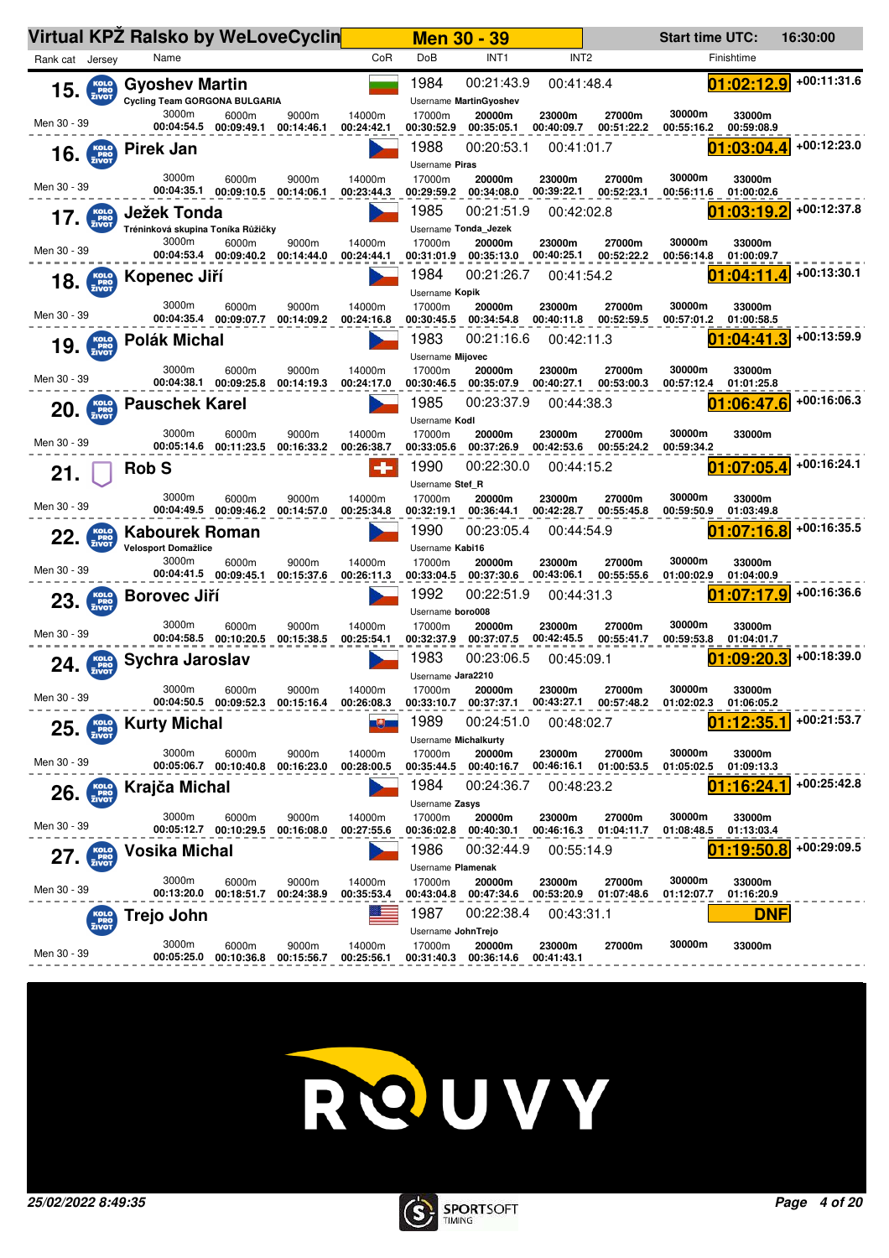|                                          |                                          | <b>Virtual KPZ Ralsko by WeLoveCyclin</b>                     |                                           |                     |                      |                                     | <b>Men 30 - 39</b>                   |                          |                                 | <b>Start time UTC:</b> |                                  | 16:30:00    |
|------------------------------------------|------------------------------------------|---------------------------------------------------------------|-------------------------------------------|---------------------|----------------------|-------------------------------------|--------------------------------------|--------------------------|---------------------------------|------------------------|----------------------------------|-------------|
| Rank cat Jersey                          |                                          | Name                                                          |                                           |                     | CoR                  | DoB                                 | INT <sub>1</sub>                     | INT <sub>2</sub>         |                                 |                        | Finishtime                       |             |
|                                          | $15.$ $\frac{KOLO}{ZIVOT}$               | <b>Gyoshev Martin</b><br><b>Cycling Team GORGONA BULGARIA</b> |                                           |                     |                      | 1984                                | 00:21:43.9<br>Username MartinGyoshev | 00:41:48.4               |                                 |                        | 01:02:12.9                       | +00:11:31.6 |
| Men 30 - 39                              |                                          | 3000m<br>00:04:54.5                                           | 6000m<br>00:09:49.1                       | 9000m<br>00:14:46.1 | 14000m<br>00:24:42.1 | 17000m<br>00:30:52.9                | 20000m<br>00:35:05.1                 | 23000m<br>00:40:09.7     | 27000m<br>00:51:22.2            | 30000m<br>00:55:16.2   | 33000m<br>00:59:08.9             |             |
|                                          | $16.$ $Kolo PRO$                         | Pirek Jan                                                     |                                           |                     |                      | 1988<br>Username Piras              | 00:20:53.1                           | 00:41:01.7               |                                 |                        | 01:03:04.4                       | +00:12:23.0 |
| Men 30 - 39                              |                                          | 3000m<br>00:04:35.1                                           | 6000m<br>00:09:10.5                       | 9000m<br>00:14:06.1 | 14000m<br>00:23:44.3 | 17000m<br>00:29:59.2                | 20000m<br>00:34:08.0                 | 23000m<br>00:39:22.1     | 27000m<br>00:52:23.1            | 30000m<br>00:56:11.6   | 33000m<br>01:00:02.6             |             |
| 17.                                      | KOLO<br>PRO<br>ZIVOT                     | Ježek Tonda<br>Tréninková skupina Toníka Růžičky              |                                           |                     |                      | 1985                                | 00:21:51.9<br>Username Tonda Jezek   | 00:42:02.8               |                                 |                        | :03:19.                          | +00:12:37.8 |
| Men 30 - 39                              |                                          | 3000m                                                         | 6000m<br>00:04:53.4 00:09:40.2            | 9000m<br>00:14:44.0 | 14000m<br>00:24:44.1 | 17000m<br>00:31:01.9                | 20000m<br>00:35:13.0                 | 23000m<br>00:40:25.1     | 27000m<br>00:52:22.2            | 30000m<br>00:56:14.8   | 33000m<br>01:00:09.7             |             |
|                                          | $18.$ $\frac{\text{KOLO}}{\text{ZIVOT}}$ | Kopenec Jiří                                                  |                                           |                     |                      | 1984<br>Username Kopik              | 00:21:26.7                           | 00:41:54.2               |                                 |                        | :04:11                           | +00:13:30.1 |
| Men 30 - 39                              |                                          | 3000m                                                         | 6000m<br>00:04:35.4 00:09:07.7            | 9000m<br>00:14:09.2 | 14000m<br>00:24:16.8 | 17000m<br>00:30:45.5                | 20000m<br>00:34:54.8                 | 23000m<br>00:40:11.8     | 27000m<br>00:52:59.5            | 30000m<br>00:57:01.2   | 33000m<br>01:00:58.5             |             |
| 19.                                      | KOLO<br>PRO<br>ZIVOT                     | <b>Polák Michal</b><br>3000m                                  |                                           | 9000m               | 14000m               | 1983<br>Username Mijovec<br>17000m  | 00:21:16.6                           | 00:42:11.3<br>23000m     | 27000m                          | 30000m                 | :04:41.3                         | +00:13:59.9 |
| Men 30 - 39                              |                                          |                                                               | 6000m<br>00:04:38.1 00:09:25.8            | 00:14:19.3          | 00:24:17.0           | 00:30:46.5<br>1985                  | 20000m<br>00:35:07.9<br>00:23:37.9   | 00:40:27.1<br>00:44:38.3 | 00:53:00.3                      | 00:57:12.4             | 33000m<br>01:01:25.8<br>:06:47.6 | +00:16:06.3 |
| 20.                                      | KOLO<br>PRO<br>ZIVOT                     | <b>Pauschek Karel</b><br>3000m                                | 6000m                                     | 9000m               | 14000m               | Username Kodl<br>17000m             | 20000m                               | 23000m                   | 27000m                          | 30000m                 | 33000m                           |             |
| Men 30 - 39                              |                                          | 00:05:14.6                                                    | 00:11:23.5                                | 00:16:33.2          | 00:26:38.7           | 00:33:05.6                          | 00:37:26.9                           | 00:42:53.6               | 00:55:24.2                      | 00:59:34.2             |                                  |             |
| 21.                                      |                                          | <b>Rob S</b>                                                  |                                           |                     | ۰                    | 1990<br>Username Stef R             | 00:22:30.0                           | 00:44:15.2               |                                 | 01                     | :07:05.4                         | +00:16:24.1 |
| Men 30 - 39                              |                                          | 3000m<br>00:04:49.5                                           | 6000m<br>00:09:46.2                       | 9000m<br>00:14:57.0 | 14000m<br>00:25:34.8 | 17000m<br>00:32:19.1                | 20000m<br>00:36:44.1                 | 23000m<br>00:42:28.7     | 27000m<br>00:55:45.8            | 30000m<br>00:59:50.9   | 33000m<br>01:03:49.8             |             |
| 22.                                      | KOLO<br>PRO<br>ZIVOT                     | <b>Kabourek Roman</b><br>Velosport Domažlice                  |                                           |                     |                      | 1990<br>Username Kabi16             | 00:23:05.4                           | 00:44:54.9               |                                 |                        | :07:16.8                         | +00:16:35.5 |
| Men 30 - 39                              |                                          | 3000m                                                         | 6000m<br>00:04:41.5 00:09:45.1            | 9000m<br>00:15:37.6 | 14000m<br>00:26:11.3 | 17000m<br>00:33:04.5                | 20000m<br>00:37:30.6                 | 23000m<br>00:43:06.1     | 27000m<br>00:55:55.6            | 30000m<br>01:00:02.9   | 33000m<br>01:04:00.9             |             |
|                                          | $23.$ $\frac{KolO}{ZIVOT}$               | <b>Borovec Jiří</b>                                           |                                           |                     |                      | 1992<br>Username boro008            | 00:22:51.9                           | 00:44:31.3               |                                 |                        | :07:17.9                         | +00:16:36.6 |
| Men 30 - 39                              |                                          | 3000m                                                         | 6000m<br>00:04:58.5 00:10:20.5            | 9000m<br>00:15:38.5 | 14000m<br>00:25:54.1 | 17000m<br>00:32:37.9                | 20000m<br>00:37:07.5                 | 23000m<br>00:42:45.5     | 27000m<br>00:55:41.7            | 30000m<br>00:59:53.8   | 33000m<br>01:04:01.7             |             |
| 24.                                      | KOLO<br>PRO<br>ZIVOT                     | Sychra Jaroslav                                               |                                           |                     |                      | 1983<br>Username Jara2210           | 00:23:06.5                           | 00:45:09.1               |                                 |                        | :09:20.3                         | +00:18:39.0 |
| Men 30 - 39                              |                                          | 3000m                                                         | 6000m<br>00:04:50.5 00:09:52.3 00:15:16.4 | 9000m               | 14000m<br>00:26:08.3 | 17000m<br>00:33:10.7                | 20000m<br>00:37:37.1                 | 23000m                   | 27000m<br>00:43:27.1 00:57:48.2 | 30000m<br>01:02:02.3   | 33000m<br>01:06:05.2             |             |
|                                          | $25.$ $Kolo$                             | <b>Kurty Michal</b>                                           |                                           |                     |                      | 1989<br><b>Username Michalkurty</b> | 00:24:51.0                           | 00:48:02.7               |                                 |                        | 01:12:35.                        | +00:21:53.7 |
| Men 30 - 39                              |                                          | 3000m                                                         | 6000m                                     | 9000m<br>00:16:23.0 | 14000m<br>00:28:00.5 | 17000m<br>00:35:44.5                | 20000m<br>00:40:16.7                 | 23000m                   | 27000m<br>00:46:16.1 01:00:53.5 | 30000m<br>01:05:02.5   | 33000m<br>01:09:13.3             |             |
| $26.$ $\frac{\text{Kolo}}{\text{ZIVOT}}$ |                                          | Krajča Michal                                                 |                                           |                     |                      | 1984<br>Username Zasys              | 00:24:36.7                           | 00:48:23.2               |                                 |                        | :16:24                           | +00:25:42.8 |
| Men 30 - 39                              |                                          | 3000m                                                         | 6000m<br>00:05:12.7 00:10:29.5            | 9000m<br>00:16:08.0 | 14000m<br>00:27:55.6 | 17000m                              | 20000m<br>00:36:02.8 00:40:30.1      | 23000m<br>00:46:16.3     | 27000m<br>01:04:11.7            | 30000m<br>01:08:48.5   | 33000m<br>01:13:03.4             |             |
| 27.                                      | <b>KOLO</b><br>PRO<br>ZIVOT              | Vosika Michal                                                 |                                           |                     |                      | 1986<br>Username Plamenak           | 00:32:44.9                           | 00:55:14.9               |                                 |                        | 19:50.                           | +00:29:09.5 |
| Men 30 - 39                              |                                          | 3000m                                                         | 6000m<br>00:13:20.0 00:18:51.7            | 9000m<br>00:24:38.9 | 14000m<br>00:35:53.4 | 17000m<br>00:43:04.8                | 20000m<br>00:47:34.6                 | 23000m<br>00:53:20.9     | 27000m<br>01:07:48.6            | 30000m<br>01:12:07.7   | 33000m<br>01:16:20.9             |             |
|                                          | KOLO<br>PRO<br>ŽIVOT                     | Trejo John                                                    |                                           |                     |                      | 1987<br>Username JohnTrejo          | 00:22:38.4                           | 00:43:31.1               |                                 |                        | DNF                              |             |
| Men 30 - 39                              |                                          | 3000m<br>00:05:25.0                                           | 6000m<br>00:10:36.8                       | 9000m<br>00:15:56.7 | 14000m<br>00:25:56.1 | 17000m<br>00:31:40.3                | 20000m<br>00:36:14.6                 | 23000m<br>00:41:43.1     | 27000m                          | 30000m                 | 33000m                           |             |



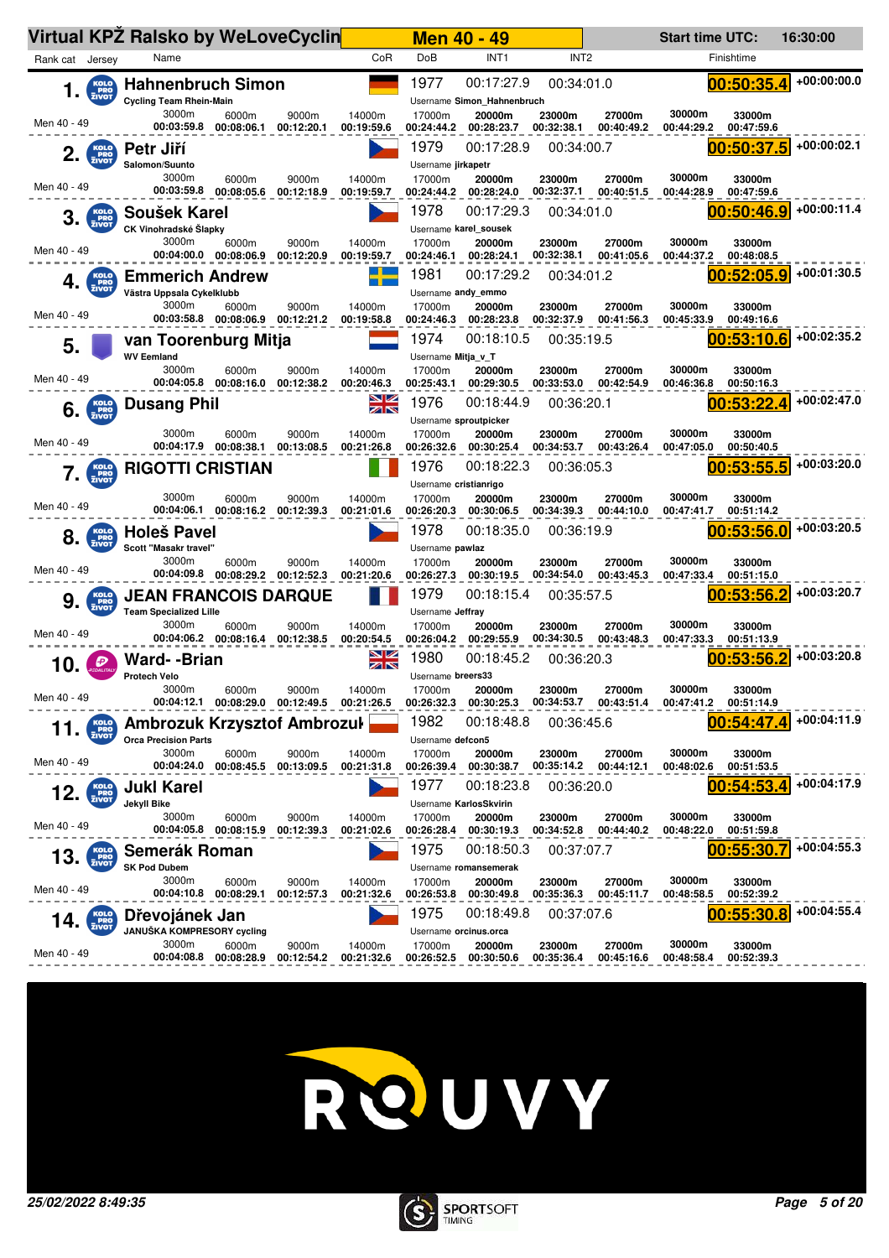|                                    | Virtual KPZ Ralsko by WeLoveCyclin                           |                                |                                                         |                      |                               | <b>Men 40 - 49</b>                       |                      |                      | <b>Start time UTC:</b> |                      | 16:30:00    |
|------------------------------------|--------------------------------------------------------------|--------------------------------|---------------------------------------------------------|----------------------|-------------------------------|------------------------------------------|----------------------|----------------------|------------------------|----------------------|-------------|
| Rank cat Jersey                    | Name                                                         |                                |                                                         | CoR                  | DoB                           | INT <sub>1</sub>                         | INT <sub>2</sub>     |                      |                        | Finishtime           |             |
| KOLO<br>PRO<br>ZIVOT<br>1.         | <b>Hahnenbruch Simon</b><br><b>Cycling Team Rhein-Main</b>   |                                |                                                         |                      | 1977                          | 00:17:27.9<br>Username Simon Hahnenbruch | 00:34:01.0           |                      |                        | 00:50:35.4           | +00:00:00.0 |
| Men 40 - 49                        | 3000m<br>00:03:59.8                                          | 6000m<br>00:08:06.1            | 9000m<br>00:12:20.1                                     | 14000m<br>00:19:59.6 | 17000m<br>00:24:44.2          | 20000m<br>00:28:23.7                     | 23000m<br>00:32:38.1 | 27000m<br>00:40:49.2 | 30000m<br>00:44:29.2   | 33000m<br>00:47:59.6 |             |
| KOLO<br>PRO<br>ZIVOT<br>2.         | Petr Jiří<br>Salomon/Suunto                                  |                                |                                                         |                      | 1979<br>Username jirkapetr    | 00:17:28.9                               | 00:34:00.7           |                      |                        | 00:50:37.5           | +00:00:02.1 |
| Men 40 - 49                        | 3000m<br>00:03:59.8                                          | 6000m<br>00:08:05.6            | 9000m<br>00:12:18.9                                     | 14000m<br>00:19:59.7 | 17000m<br>00:24:44.2          | 20000m<br>00:28:24.0                     | 23000m<br>00:32:37.1 | 27000m<br>00:40:51.5 | 30000m<br>00:44:28.9   | 33000m<br>00:47:59.6 |             |
| 3.<br>PRO <sub>ZIVOT</sub>         | Soušek Karel<br>CK Vinohradské Šlapky                        |                                |                                                         |                      | 1978                          | 00:17:29.3<br>Username karel sousek      | 00:34:01.0           |                      |                        | 00:50:46.9           | +00:00:11.4 |
| Men 40 - 49                        | 3000m<br>00:04:00.0 00:08:06.9                               | 6000m                          | 9000m<br>00:12:20.9                                     | 14000m<br>00:19:59.7 | 17000m<br>00:24:46.1          | 20000m<br>00:28:24.1                     | 23000m<br>00:32:38.1 | 27000m<br>00:41:05.6 | 30000m<br>00:44:37.2   | 33000m<br>00:48:08.5 |             |
| 4.<br>PRO <sub>ZIVOT</sub>         | <b>Emmerich Andrew</b><br>Västra Uppsala Cykelklubb          |                                |                                                         |                      | 1981<br>Username andy_emmo    | 00:17:29.2                               | 00:34:01.2           |                      |                        | 00:52:05.9           | +00:01:30.5 |
| Men 40 - 49                        | 3000m                                                        | 6000m                          | 9000m<br>00:03:58.8  00:08:06.9  00:12:21.2             | 14000m<br>00:19:58.8 | 17000m<br>00:24:46.3          | 20000m<br>00:28:23.8                     | 23000m<br>00:32:37.9 | 27000m<br>00:41:56.3 | 30000m<br>00:45:33.9   | 33000m<br>00:49:16.6 |             |
| 5.                                 | van Toorenburg Mitja<br><b>WV Eemland</b>                    |                                |                                                         |                      | 1974<br>Username Mitja v T    | 00:18:10.5                               | 00:35:19.5           |                      |                        | 00:53:10.6           | +00:02:35.2 |
| Men 40 - 49                        | 3000m                                                        | 6000m<br>00:04:05.8 00:08:16.0 | 9000m<br>00:12:38.2                                     | 14000m<br>00:20:46.3 | 17000m<br>00:25:43.1          | 20000m<br>00:29:30.5                     | 23000m<br>00:33:53.0 | 27000m<br>00:42:54.9 | 30000m<br>00:46:36.8   | 33000m<br>00:50:16.3 |             |
| KOLO<br>PRO<br>ZIVOT<br>6.         | <b>Dusang Phil</b>                                           |                                |                                                         | <u>NZ</u><br>ZN      | 1976<br>Username sproutpicker | 00:18:44.9                               | 00:36:20.1           |                      |                        | 00:53:22             | +00:02:47.0 |
| Men 40 - 49                        | 3000m<br>00:04:17.9                                          | 6000m<br>00:08:38.1            | 9000m<br>00:13:08.5                                     | 14000m<br>00:21:26.8 | 17000m<br>00:26:32.6          | 20000m<br>00:30:25.4                     | 23000m<br>00:34:53.7 | 27000m<br>00:43:26.4 | 30000m<br>00:47:05.0   | 33000m<br>00:50:40.5 |             |
| <b>KOLO</b><br>PRO<br>ZIVOT        | <b>RIGOTTI CRISTIAN</b>                                      |                                |                                                         |                      | 1976<br>Username cristianrigo | 00:18:22.3                               | 00:36:05.3           |                      |                        | 00:53:55.5           | +00:03:20.0 |
| Men 40 - 49                        | 3000m<br>00:04:06.1                                          | 6000m<br>00:08:16.2            | 9000m<br>00:12:39.3                                     | 14000m<br>00:21:01.6 | 17000m<br>00:26:20.3          | 20000m<br>00:30:06.5                     | 23000m<br>00:34:39.3 | 27000m<br>00:44:10.0 | 30000m<br>00:47:41.7   | 33000m<br>00:51:14.2 |             |
| KOLO<br>PRO<br>ZIVOT<br>8.         | Holeš Pavel<br>Scott "Masakr travel"                         |                                |                                                         |                      | 1978<br>Username pawlaz       | 00:18:35.0                               | 00:36:19.9           |                      |                        | 00:53:56.<br>.0      | +00:03:20.5 |
| Men 40 - 49                        | 3000m<br>00:04:09.8 00:08:29.2                               | 6000m                          | 9000m<br>00:12:52.3                                     | 14000m<br>00:21:20.6 | 17000m<br>00:26:27.3          | 20000m<br>00:30:19.5                     | 23000m<br>00:34:54.0 | 27000m<br>00:43:45.3 | 30000m<br>00:47:33.4   | 33000m<br>00:51:15.0 |             |
| <b>KOLO</b><br>PRO<br>ZIVOT<br>9   | <b>JEAN FRANCOIS DARQUE</b><br><b>Team Specialized Lille</b> |                                |                                                         |                      | 1979<br>Username Jeffray      | 00:18:15.4                               | 00:35:57.5           |                      |                        | 00:53:56.2           | +00:03:20.7 |
| Men 40 - 49                        | 3000m<br>00:04:06.2 00:08:16.4                               | 6000m                          | 9000m<br>00:12:38.5                                     | 14000m<br>00:20:54.5 | 17000m<br>00:26:04.2          | 20000m<br>00:29:55.9                     | 23000m<br>00:34:30.5 | 27000m<br>00:43:48.3 | 30000m<br>00:47:33.3   | 33000m<br>00:51:13.9 |             |
| Ð<br>10.                           | Ward--Brian<br><b>Protech Velo</b>                           |                                |                                                         | <u>NZ</u><br>ZN      | 1980<br>Username breers33     | 00:18:45.2                               | 00:36:20.3           |                      |                        | 00:53:56.2           | +00:03:20.8 |
| Men 40 - 49                        | 3000m                                                        | 6000m                          | 9000m<br>00:04:12.1  00:08:29.0  00:12:49.5  00:21:26.5 | 14000m               | 17000m<br>00:26:32.3          | 20000m<br>00:30:25.3                     | 23000m<br>00:34:53.7 | 27000m<br>00:43:51.4 | 30000m<br>00:47:41.2   | 33000m<br>00:51:14.9 |             |
| KOLO<br>PRO<br>ZIVOT<br>11.        | Ambrozuk Krzysztof Ambrozul<br><b>Orca Precision Parts</b>   |                                |                                                         |                      | 1982<br>Username defcon5      | 00:18:48.8                               | 00:36:45.6           |                      |                        | 00:54:47<br>Δ        | +00:04:11.9 |
| Men 40 - 49                        | 3000m<br>00:04:24.0                                          | 6000m<br>00:08:45.5            | 9000m<br>00:13:09.5                                     | 14000m<br>00:21:31.8 | 17000m<br>00:26:39.4          | 20000m<br>00:30:38.7                     | 23000m<br>00:35:14.2 | 27000m<br>00:44:12.1 | 30000m<br>00:48:02.6   | 33000m<br>00:51:53.5 |             |
| KOLO<br>PRO<br>ZIVOT<br>12.        | <b>Jukl Karel</b><br>Jekyll Bike                             |                                |                                                         |                      | 1977                          | 00:18:23.8<br>Username KarlosSkvirin     | 00:36:20.0           |                      |                        | 00:54:53             | +00:04:17.9 |
| Men 40 - 49                        | 3000m<br>00:04:05.8                                          | 6000m<br>00:08:15.9            | 9000m<br>00:12:39.3                                     | 14000m<br>00:21:02.6 | 17000m<br>00:26:28.4          | 20000m<br>00:30:19.3                     | 23000m<br>00:34:52.8 | 27000m<br>00:44:40.2 | 30000m<br>00:48:22.0   | 33000m<br>00:51:59.8 |             |
| 13.<br><b>PRO</b><br>ZIVOT         | Semerák Roman<br><b>SK Pod Dubem</b>                         |                                |                                                         |                      | 1975                          | 00:18:50.3<br>Username romansemerak      | 00:37:07.7           |                      |                        | 00:55:30             | +00:04:55.3 |
| Men 40 - 49                        | 3000m<br>00:04:10.8 00:08:29.1                               | 6000m                          | 9000m<br>00:12:57.3                                     | 14000m<br>00:21:32.6 | 17000m<br>00:26:53.8          | 20000m<br>00:30:49.8                     | 23000m<br>00:35:36.3 | 27000m<br>00:45:11.7 | 30000m<br>00:48:58.5   | 33000m<br>00:52:39.2 |             |
| <b>KOLO</b><br>PRO<br>ZIVOT<br>14. | Dřevojánek Jan<br>JANUŠKA KOMPRESORY cycling                 |                                |                                                         |                      | 1975<br>Username orcinus.orca | 00:18:49.8                               | 00:37:07.6           |                      |                        | 00:55:30.8           | +00:04:55.4 |
| Men 40 - 49                        | 3000m<br>00:04:08.8                                          | 6000m<br>00:08:28.9            | 9000m<br>00:12:54.2                                     | 14000m<br>00:21:32.6 | 17000m<br>00:26:52.5          | 20000m<br>00:30:50.6                     | 23000m<br>00:35:36.4 | 27000m<br>00:45:16.6 | 30000m<br>00:48:58.4   | 33000m<br>00:52:39.3 |             |



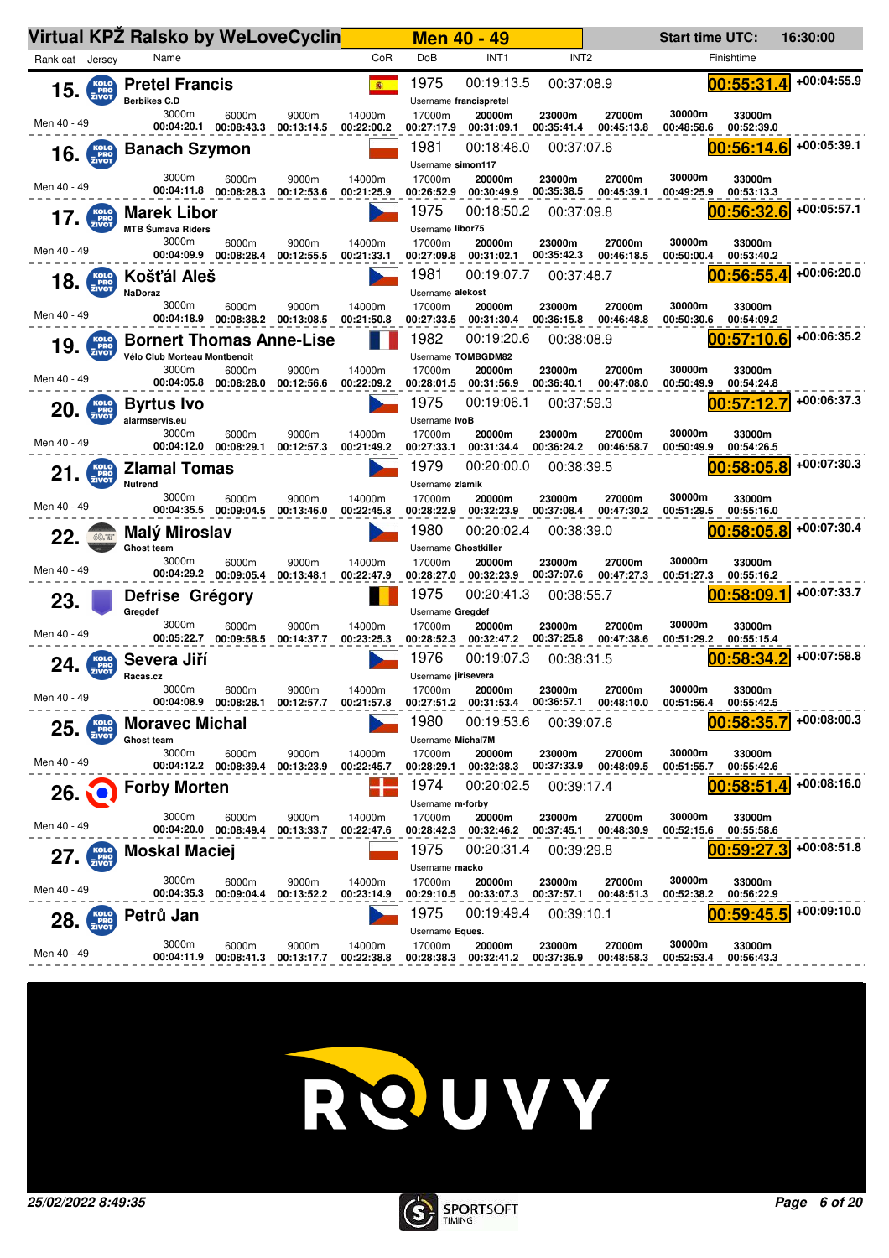|                 |                      | Virtual KPZ Ralsko by WeLoveCyclin                              |                                |                     |                      |                                              | <b>Men 40 - 49</b>                   |                      |                                 | <b>Start time UTC:</b> |                      | 16:30:00    |
|-----------------|----------------------|-----------------------------------------------------------------|--------------------------------|---------------------|----------------------|----------------------------------------------|--------------------------------------|----------------------|---------------------------------|------------------------|----------------------|-------------|
| Rank cat Jersey |                      | Name                                                            |                                |                     | CoR                  | DoB                                          | INT <sub>1</sub>                     | INT <sub>2</sub>     |                                 |                        | Finishtime           |             |
| 15.             | KOLO<br>PRO<br>ZIVOT | <b>Pretel Francis</b><br><b>Berbikes C.D</b>                    |                                |                     | (图)                  | 1975                                         | 00:19:13.5<br>Username francispretel | 00:37:08.9           |                                 |                        | 00:55:31<br>4        | +00:04:55.9 |
| Men 40 - 49     |                      | 3000m<br>00:04:20.1                                             | 6000m<br>00:08:43.3            | 9000m<br>00:13:14.5 | 14000m<br>00:22:00.2 | 17000m<br>00:27:17.9                         | 20000m<br>00:31:09.1                 | 23000m<br>00:35:41.4 | 27000m<br>00:45:13.8            | 30000m<br>00:48:58.6   | 33000m<br>00:52:39.0 |             |
|                 | $16.$ $Kolo$         | <b>Banach Szymon</b>                                            |                                |                     |                      | 1981<br>Username simon117                    | 00:18:46.0                           | 00:37:07.6           |                                 |                        | 00:56:14.6           | +00:05:39.1 |
| Men 40 - 49     |                      | 3000m<br>00:04:11.8                                             | 6000m<br>00:08:28.3            | 9000m<br>00:12:53.6 | 14000m<br>00:21:25.9 | 17000m<br>00:26:52.9                         | 20000m<br>00:30:49.9                 | 23000m<br>00:35:38.5 | 27000m<br>00:45:39.1            | 30000m<br>00:49:25.9   | 33000m<br>00:53:13.3 |             |
| 17.             | PRO <sub>ZIVOT</sub> | <b>Marek Libor</b><br><b>MTB Šumava Riders</b>                  |                                |                     |                      | 1975<br>Username libor75                     | 00:18:50.2                           | 00:37:09.8           |                                 |                        | 00:56:32.6           | +00:05:57.1 |
| Men 40 - 49     |                      | 3000m<br>00:04:09.9                                             | 6000m<br>00:08:28.4            | 9000m<br>00:12:55.5 | 14000m<br>00:21:33.1 | 17000m<br>00:27:09.8                         | 20000m<br>00:31:02.1                 | 23000m<br>00:35:42.3 | 27000m<br>00:46:18.5            | 30000m<br>00:50:00.4   | 33000m<br>00:53:40.2 |             |
| 18.             | KOLO<br>PRO<br>ZIVOT | Košťál Aleš<br><b>NaDoraz</b>                                   |                                |                     |                      | 1981<br>Username alekost                     | 00:19:07.7                           | 00:37:48.7           |                                 |                        | 00:56:55.4           | +00:06:20.0 |
| Men 40 - 49     |                      | 3000m<br>00:04:18.9                                             | 6000m<br>00:08:38.2            | 9000m<br>00:13:08.5 | 14000m<br>00:21:50.8 | 17000m<br>00:27:33.5                         | 20000m<br>00:31:30.4                 | 23000m<br>00:36:15.8 | 27000m<br>00:46:48.8            | 30000m<br>00:50:30.6   | 33000m<br>00:54:09.2 | +00:06:35.2 |
| 19.             | <b>PRO</b><br>ZIVOT  | <b>Bornert Thomas Anne-Lise</b><br>Vélo Club Morteau Montbenoit |                                |                     |                      | 1982                                         | 00:19:20.6<br>Username TOMBGDM82     | 00:38:08.9           |                                 |                        | 00:57:10.6           |             |
| Men 40 - 49     |                      | 3000m                                                           | 6000m<br>00:04:05.8 00:08:28.0 | 9000m<br>00:12:56.6 | 14000m<br>00:22:09.2 | 17000m<br>00:28:01.5                         | 20000m<br>00:31:56.9                 | 23000m<br>00:36:40.1 | 27000m<br>00:47:08.0            | 30000m<br>00:50:49.9   | 33000m<br>00:54:24.8 |             |
| 20.             | KOLO<br>PRO<br>ZIVOT | <b>Byrtus Ivo</b><br>alarmservis.eu                             |                                |                     |                      | 1975<br>Username IvoB                        | 00:19:06.1                           | 00:37:59.3           |                                 |                        | 00:57:12             | +00:06:37.3 |
| Men 40 - 49     |                      | 3000m<br>00:04:12.0                                             | 6000m<br>00:08:29.1            | 9000m<br>00:12:57.3 | 14000m<br>00:21:49.2 | 17000m<br>00:27:33.1                         | 20000m<br>00:31:34.4                 | 23000m<br>00:36:24.2 | 27000m<br>00:46:58.7            | 30000m<br>00:50:49.9   | 33000m<br>00:54:26.5 |             |
| 21.             | KOLO<br>PRO<br>ZIVOT | <b>Zlamal Tomas</b><br>Nutrend<br>3000m                         |                                |                     |                      | 1979<br>Username zlamik                      | 00:20:00.0                           | 00:38:39.5           |                                 | 30000m                 | 00:58:05.8           | +00:07:30.3 |
| Men 40 - 49     |                      |                                                                 | 6000m<br>00:04:35.5 00:09:04.5 | 9000m<br>00:13:46.0 | 14000m<br>00:22:45.8 | 17000m<br>00:28:22.9                         | 20000m<br>00:32:23.9                 | 23000m<br>00:37:08.4 | 27000m<br>00:47:30.2            | 00:51:29.5             | 33000m<br>00:55:16.0 |             |
|                 | 60.W                 | Malý Miroslav                                                   |                                |                     |                      | 1980                                         | 00:20:02.4                           | 00:38:39.0           |                                 |                        | 00:58:05.8           | +00:07:30.4 |
| Men 40 - 49     |                      | <b>Ghost team</b><br>3000m                                      | 6000m<br>00:04:29.2 00:09:05.4 | 9000m<br>00:13:48.1 | 14000m<br>00:22:47.9 | Username Ghostkiller<br>17000m<br>00:28:27.0 | 20000m<br>00:32:23.9                 | 23000m<br>00:37:07.6 | 27000m<br>00:47:27.3            | 30000m<br>00:51:27.3   | 33000m<br>00:55:16.2 |             |
| 23.             |                      | Defrise Grégory<br>Gregdef                                      |                                |                     |                      | 1975<br>Username Gregdef                     | 00:20:41.3                           | 00:38:55.7           |                                 |                        | 00:58:09.1           | +00:07:33.7 |
| Men 40 - 49     |                      | 3000m<br>00:05:22.7                                             | 6000m<br>00:09:58.5            | 9000m<br>00:14:37.7 | 14000m<br>00:23:25.3 | 17000m<br>00:28:52.3                         | 20000m<br>00:32:47.2                 | 23000m<br>00:37:25.8 | 27000m<br>00:47:38.6            | 30000m<br>00:51:29.2   | 33000m<br>00:55:15.4 |             |
| 24.             | <b>PRO</b><br>ZIVOT  | Severa Jiří<br>Racas.cz                                         |                                |                     |                      | 1976<br>Username jirisevera                  | 00:19:07.3                           | 00:38:31.5           |                                 |                        | 00:58:34             | +00:07:58.8 |
| Men 40 - 49     |                      | 3000m                                                           | 6000m<br>00:04:08.9 00:08:28.1 | 9000m<br>00:12:57.7 | 14000m<br>00:21:57.8 | 17000m<br>00:27:51.2                         | 20000m<br>00:31:53.4                 | 23000m               | 27000m<br>00:36:57.1 00:48:10.0 | 30000m<br>00:51:56.4   | 33000m<br>00:55:42.5 | +00:08:00.3 |
| 25.             | KOLO<br>PRO<br>ZIVOT | <b>Moravec Michal</b><br><b>Ghost team</b><br>3000m             | 6000m                          | 9000m               | 14000m               | 1980<br>Username Michal7M<br>17000m          | 00:19:53.6<br>20000m                 | 00:39:07.6<br>23000m | 27000m                          | 30000m                 | 00:58:35<br>33000m   |             |
| Men 40 - 49     |                      |                                                                 | 00:04:12.2 00:08:39.4          | 00:13:23.9          | 00:22:45.7           | 00:28:29.1                                   | 00:32:38.3                           |                      | 00:37:33.9 00:48:09.5           | 00:51:55.7             | 00:55:42.6           |             |
| 26.1            |                      | <b>Forby Morten</b>                                             |                                |                     |                      | 1974<br>Username m-forby                     | 00:20:02.5                           | 00:39:17.4           |                                 |                        | 00:58:51             | +00:08:16.0 |
| Men 40 - 49     |                      | 3000m                                                           | 6000m<br>00:04:20.0 00:08:49.4 | 9000m<br>00:13:33.7 | 14000m<br>00:22:47.6 | 17000m                                       | 20000m<br>00:28:42.3 00:32:46.2      | 23000m<br>00:37:45.1 | 27000m<br>00:48:30.9            | 30000m<br>00:52:15.6   | 33000m<br>00:55:58.6 |             |
| 27.             | KOLO<br>PRO<br>ZIVOT | <b>Moskal Maciej</b>                                            |                                |                     |                      | 1975<br>Username macko                       | 00:20:31.4                           | 00:39:29.8           |                                 |                        | 00:59:27             | +00:08:51.8 |
| Men 40 - 49     |                      | 3000m<br>00:04:35.3                                             | 6000m<br>00:09:04.4            | 9000m<br>00:13:52.2 | 14000m<br>00:23:14.9 | 17000m<br>00:29:10.5                         | 20000m<br>00:33:07.3                 | 23000m<br>00:37:57.1 | 27000m<br>00:48:51.3            | 30000m<br>00:52:38.2   | 33000m<br>00:56:22.9 |             |
| 28.             | KOLO<br>PRO<br>ZIVOT | Petrů Jan                                                       |                                |                     |                      | 1975<br>Username Eques.                      | 00:19:49.4                           | 00:39:10.1           |                                 |                        | 00:59:45.5           | +00:09:10.0 |
| Men 40 - 49     |                      | 3000m<br>00:04:11.9                                             | 6000m<br>00:08:41.3            | 9000m<br>00:13:17.7 | 14000m<br>00:22:38.8 | 17000m<br>00:28:38.3                         | 20000m<br>00:32:41.2                 | 23000m<br>00:37:36.9 | 27000m<br>00:48:58.3            | 30000m<br>00:52:53.4   | 33000m<br>00:56:43.3 |             |



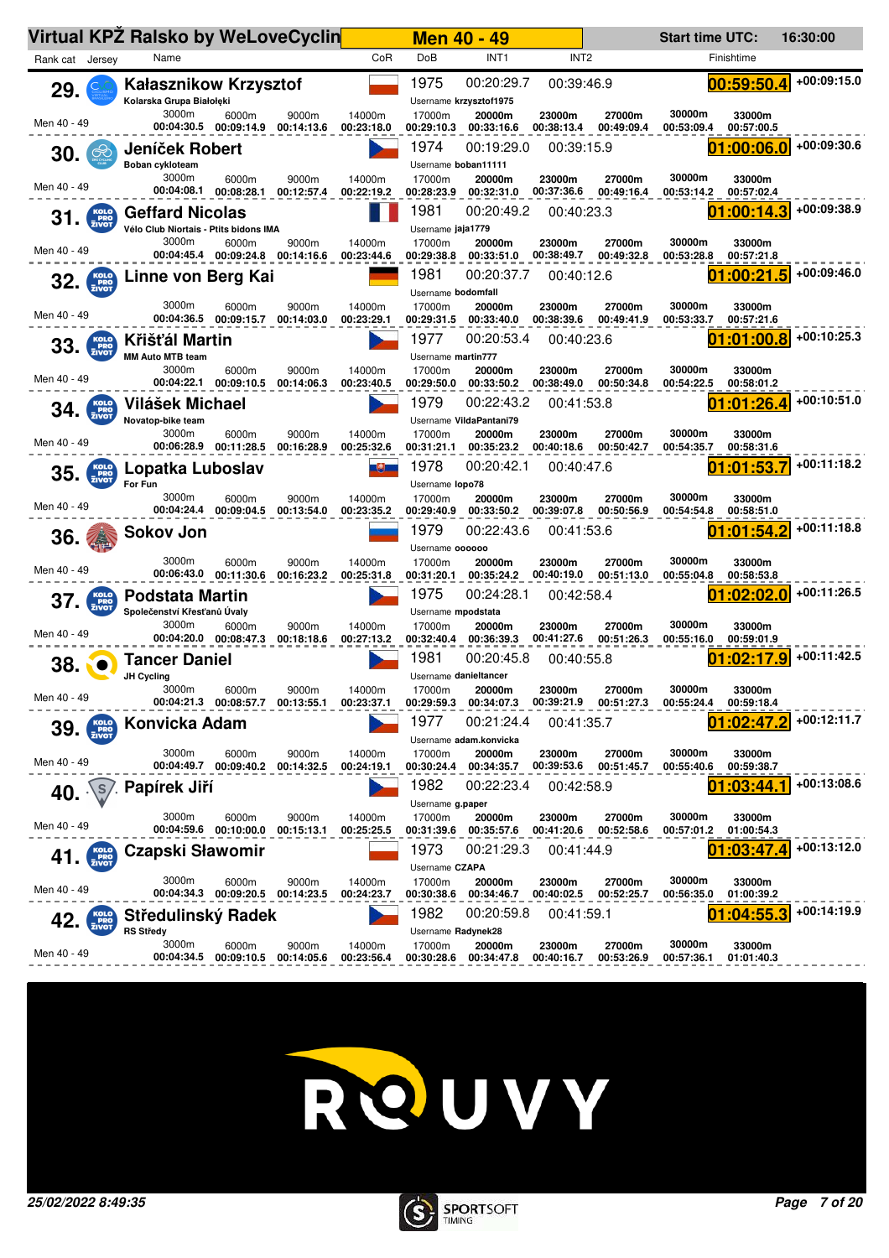| Virtual KPZ Ralsko by WeLoveCyclin |                                                                 |                                           |                     |                      |                                        | <b>Men 40 - 49</b>                    |                          |                      | <b>Start time UTC:</b> |                          | 16:30:00      |
|------------------------------------|-----------------------------------------------------------------|-------------------------------------------|---------------------|----------------------|----------------------------------------|---------------------------------------|--------------------------|----------------------|------------------------|--------------------------|---------------|
| Rank cat Jersey                    | Name                                                            |                                           |                     | CoR                  | DoB                                    | INT <sub>1</sub>                      | INT <sub>2</sub>         |                      |                        | Finishtime               |               |
| 29.                                | <b>Kałasznikow Krzysztof</b><br>Kolarska Grupa Białołęki        |                                           |                     |                      | 1975                                   | 00:20:29.7<br>Username krzysztof1975  | 00:39:46.9               |                      |                        | 00:59:50.4               | +00:09:15.0   |
| Men 40 - 49                        | 3000m<br>00:04:30.5                                             | 6000m<br>00:09:14.9                       | 9000m<br>00:14:13.6 | 14000m<br>00:23:18.0 | 17000m<br>00:29:10.3                   | 20000m<br>00:33:16.6                  | 23000m<br>00:38:13.4     | 27000m<br>00:49:09.4 | 30000m<br>00:53:09.4   | 33000m<br>00:57:00.5     |               |
| 30.<br>$\mathfrak{S}$              | Jeníček Robert                                                  |                                           |                     |                      | 1974<br>Username boban11111            | 00:19:29.0                            | 00:39:15.9               |                      |                        | 01:00:06.0               | +00:09:30.6   |
| Men 40 - 49                        | Boban cykloteam<br>3000m                                        | 6000m<br>00:04:08.1 00:08:28.1            | 9000m<br>00:12:57.4 | 14000m<br>00:22:19.2 | 17000m<br>00:28:23.9                   | 20000m<br>00:32:31.0                  | 23000m<br>00:37:36.6     | 27000m<br>00:49:16.4 | 30000m<br>00:53:14.2   | 33000m<br>00:57:02.4     |               |
| KOLO<br>PRO<br>ZIVOT<br>31.        | <b>Geffard Nicolas</b><br>Vélo Club Niortais - Ptits bidons IMA |                                           |                     |                      | 1981<br>Username jaja1779              | 00:20:49.2                            | 00:40:23.3               |                      |                        | 01:00:14.3               | +00:09:38.9   |
| Men 40 - 49                        | 3000m                                                           | 6000m<br>00:04:45.4 00:09:24.8 00:14:16.6 | 9000m               | 14000m<br>00:23:44.6 | 17000m<br>00:29:38.8                   | 20000m<br>00:33:51.0                  | 23000m<br>00:38:49.7     | 27000m<br>00:49:32.8 | 30000m<br>00:53:28.8   | 33000m<br>00:57:21.8     |               |
| $32.$ $\frac{KOLO}{ZIVOT}$         | Linne von Berg Kai                                              |                                           |                     |                      | 1981                                   | 00:20:37.7                            | 00:40:12.6               |                      |                        | 01:00:21.5               | $+00:09:46.0$ |
|                                    | 3000m                                                           | 6000m                                     | 9000m               | 14000m               | Username bodomfall<br>17000m           | 20000m                                | 23000m                   | 27000m               | 30000m                 | 33000m                   |               |
| Men 40 - 49                        | 00:04:36.5                                                      | 00:09:15.7                                | 00:14:03.0          | 00:23:29.1           | 00:29:31.5                             | 00:33:40.0                            | 00:38:39.6               | 00:49:41.9           | 00:53:33.7             | 00:57:21.6               |               |
| 33.<br><b>PRO</b><br>ZIVOT         | Křišťál Martin<br><b>MM Auto MTB team</b>                       |                                           |                     |                      | 1977<br>Username martin777             | 00:20:53.4                            | 00:40:23.6               |                      |                        | 01:01:00.8               | +00:10:25.3   |
| Men 40 - 49                        | 3000m                                                           | 6000m<br>00:04:22.1 00:09:10.5            | 9000m<br>00:14:06.3 | 14000m<br>00:23:40.5 | 17000m<br>00:29:50.0                   | 20000m<br>00:33:50.2                  | 23000m<br>00:38:49.0     | 27000m<br>00:50:34.8 | 30000m<br>00:54:22.5   | 33000m<br>00:58:01.2     |               |
| KOLO<br>PRO<br>ZIVOT<br>34.        | Vilášek Michael                                                 |                                           |                     |                      | 1979                                   | 00:22:43.2<br>Username VildaPantani79 | 00:41:53.8               |                      |                        | 01:01:26.4               | +00:10:51.0   |
| Men 40 - 49                        | Novatop-bike team<br>3000m<br>00:06:28.9                        | 6000m<br>00:11:28.5                       | 9000m<br>00:16:28.9 | 14000m<br>00:25:32.6 | 17000m<br>00:31:21.1                   | 20000m<br>00:35:23.2                  | 23000m<br>00:40:18.6     | 27000m<br>00:50:42.7 | 30000m<br>00:54:35.7   | 33000m<br>00:58:31.6     |               |
| <b>KOLO</b><br>PRO<br>ZIVOT<br>35. | Lopatka Luboslav<br>For Fun                                     |                                           |                     | 电力                   | 1978                                   | 00:20:42.1                            | 00:40:47.6               |                      |                        | :01:53                   | +00:11:18.2   |
|                                    | 3000m                                                           | 6000m                                     | 9000m               | 14000m               | Username lopo78<br>17000m              | 20000m                                | 23000m                   | 27000m               | 30000m                 | 33000m                   |               |
| Men 40 - 49                        | 00:04:24.4                                                      | 00:09:04.5                                | 00:13:54.0          | 00:23:35.2           | 00:29:40.9<br>1979                     | 00:33:50.2<br>00:22:43.6              | 00:39:07.8               | 00:50:56.9           | 00:54:54.8             | 00:58:51.0               | +00:11:18.8   |
| 36.                                | <b>Sokov Jon</b>                                                |                                           |                     |                      | Username <b>oooooo</b>                 |                                       | 00:41:53.6               |                      |                        | 01:01:54.2               |               |
| Men 40 - 49                        | 3000m<br>00:06:43.0                                             | 6000m<br>00:11:30.6                       | 9000m<br>00:16:23.2 | 14000m<br>00:25:31.8 | 17000m<br>00:31:20.1                   | 20000m<br>00:35:24.2                  | 23000m<br>00:40:19.0     | 27000m<br>00:51:13.0 | 30000m<br>00:55:04.8   | 33000m<br>00:58:53.8     |               |
| 37.<br>PRO <sub>T</sub>            | <b>Podstata Martin</b>                                          |                                           |                     |                      | 1975                                   | 00:24:28.1                            | 00:42:58.4               |                      |                        | 01:02:02.0               | +00:11:26.5   |
| Men 40 - 49                        | Společenství Křesťanů Úvaly<br>3000m                            | 6000m                                     | 9000m               | 14000m               | Username mpodstata<br>17000m           | 20000m                                | 23000m                   | 27000m               | 30000m                 | 33000m                   |               |
|                                    | <b>Tancer Daniel</b>                                            | 00:04:20.0 00:08:47.3                     | 00:18:18.6          | 00:27:13.2           | 00:32:40.4<br>1981                     | 00:36:39.3<br>00:20:45.8              | 00:41:27.6<br>00:40:55.8 | 00:51:26.3           | 00:55:16.0             | 00:59:01.9<br>01:02:17.9 | +00:11:42.5   |
| 38.                                | JH Cycling                                                      |                                           |                     |                      | Username danieltancer                  |                                       |                          |                      |                        |                          |               |
| Men 40 - 49                        | 3000m                                                           | 6000m<br>00:04:21.3 00:08:57.7 00:13:55.1 | 9000m               | 14000m<br>00:23:37.1 | 17000m<br>00:29:59.3                   | 20000m<br>00:34:07.3                  | 23000m<br>00:39:21.9     | 27000m<br>00:51:27.3 | 30000m<br>00:55:24.4   | 33000m<br>00:59:18.4     |               |
| 39.                                | Konvicka Adam                                                   |                                           |                     |                      | 1977                                   | 00:21:24.4<br>Username adam.konvicka  | 00:41:35.7               |                      |                        | 01:02:47                 | +00:12:11.7   |
| Men 40 - 49                        | 3000m<br>00:04:49.7                                             | 6000m<br>00:09:40.2                       | 9000m<br>00:14:32.5 | 14000m<br>00:24:19.1 | 17000m<br>00:30:24.4                   | 20000m<br>00:34:35.7                  | 23000m<br>00:39:53.6     | 27000m<br>00:51:45.7 | 30000m<br>00:55:40.6   | 33000m<br>00:59:38.7     |               |
| S<br>40.                           | Papírek Jiří                                                    |                                           |                     |                      | 1982<br>Username g.paper               | 00:22:23.4                            | 00:42:58.9               |                      |                        | 01:03:44.                | +00:13:08.6   |
| Men 40 - 49                        | 3000m                                                           | 6000m                                     | 9000m<br>00:15:13.1 | 14000m<br>00:25:25.5 | 17000m<br>00:31:39.6                   | 20000m<br>00:35:57.6                  | 23000m<br>00:41:20.6     | 27000m<br>00:52:58.6 | 30000m<br>00:57:01.2   | 33000m<br>01:00:54.3     |               |
| KOLO<br>PRO<br>ZIVOT<br>41.        | <b>Czapski Sławomir</b>                                         |                                           |                     |                      | 1973                                   | 00:21:29.3                            | 00:41:44.9               |                      |                        | :03:47                   | +00:13:12.0   |
| Men 40 - 49                        | 3000m                                                           | 6000m<br>00:04:34.3 00:09:20.5            | 9000m<br>00:14:23.5 | 14000m<br>00:24:23.7 | Username CZAPA<br>17000m<br>00:30:38.6 | 20000m<br>00:34:46.7                  | 23000m<br>00:40:02.5     | 27000m<br>00:52:25.7 | 30000m<br>00:56:35.0   | 33000m<br>01:00:39.2     |               |
| KOLO<br>PRO<br>ZIVOT<br>42.        | Středulinský Radek                                              |                                           |                     |                      | 1982                                   | 00:20:59.8                            | 00:41:59.1               |                      |                        | :04:55.3                 | +00:14:19.9   |
|                                    | <b>RS Středy</b>                                                |                                           |                     |                      | Username Radynek28                     |                                       |                          |                      |                        |                          |               |



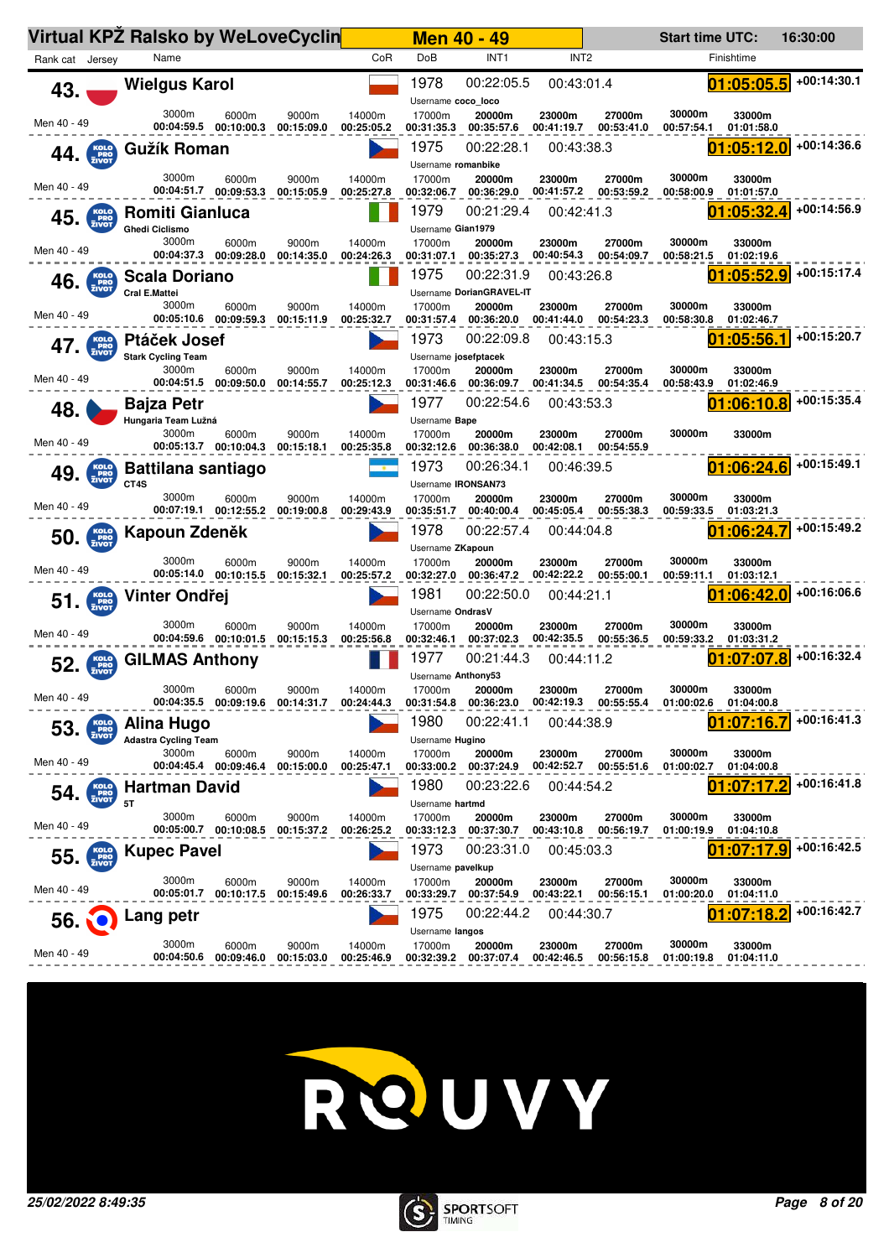|                                |                             | <b>Virtual KPZ Ralsko by WeLoveCyclin</b>          |                                |                                           |                      |                                           | <b>Men 40 - 49</b>                     |                      |                      | <b>Start time UTC:</b> |                                    | 16:30:00    |
|--------------------------------|-----------------------------|----------------------------------------------------|--------------------------------|-------------------------------------------|----------------------|-------------------------------------------|----------------------------------------|----------------------|----------------------|------------------------|------------------------------------|-------------|
| Rank cat Jersey                |                             | Name                                               |                                |                                           | CoR                  | DoB                                       | INT <sub>1</sub>                       | INT <sub>2</sub>     |                      |                        | Finishtime                         |             |
| 43.                            |                             | <b>Wielgus Karol</b>                               |                                |                                           |                      | 1978<br>Username coco_loco                | 00:22:05.5                             | 00:43:01.4           |                      |                        | 01:05:05.5                         | +00:14:30.1 |
| Men 40 - 49                    |                             | 3000m                                              | 6000m<br>00:04:59.5 00:10:00.3 | 9000m<br>00:15:09.0                       | 14000m<br>00:25:05.2 | 17000m<br>00:31:35.3                      | 20000m<br>00:35:57.6                   | 23000m<br>00:41:19.7 | 27000m<br>00:53:41.0 | 30000m<br>00:57:54.1   | 33000m<br>01:01:58.0               |             |
| 44.                            | KOLO<br>PRO<br>ZIVOT        | Gužík Roman                                        |                                |                                           |                      | 1975<br>Username romanbike                | 00:22:28.1                             | 00:43:38.3           |                      |                        | 01:05:12.0                         | +00:14:36.6 |
| Men 40 - 49                    |                             | 3000m                                              | 6000m<br>00:04:51.7 00:09:53.3 | 9000m<br>00:15:05.9                       | 14000m<br>00:25:27.8 | 17000m<br>00:32:06.7                      | 20000m<br>00:36:29.0                   | 23000m<br>00:41:57.2 | 27000m<br>00:53:59.2 | 30000m<br>00:58:00.9   | 33000m<br>01:01:57.0               |             |
| 45.                            | KOLO<br>PRO<br>ZIVOT        | <b>Romiti Gianluca</b><br><b>Ghedi Ciclismo</b>    |                                |                                           |                      | 1979<br>Username Gian1979                 | 00:21:29.4                             | 00:42:41.3           |                      |                        | 01:05:32.4                         | +00:14:56.9 |
| Men 40 - 49                    |                             | 3000m                                              | 6000m<br>00:04:37.3 00:09:28.0 | 9000m<br>00:14:35.0                       | 14000m<br>00:24:26.3 | 17000m<br>00:31:07.1                      | 20000m<br>00:35:27.3                   | 23000m<br>00:40:54.3 | 27000m<br>00:54:09.7 | 30000m<br>00:58:21.5   | 33000m<br>01:02:19.6               |             |
| $46$ $KOLO$ $KOLO$ $FRO$ $FRO$ |                             | Scala Doriano<br>Cral E.Mattei                     |                                |                                           |                      | 1975                                      | 00:22:31.9<br>Username DorianGRAVEL-IT | 00:43:26.8           |                      | 01                     | :05:52.9                           | +00:15:17.4 |
| Men 40 - 49                    |                             | 3000m                                              | 6000m<br>00:05:10.6 00:09:59.3 | 9000m<br>00:15:11.9                       | 14000m<br>00:25:32.7 | 17000m<br>00:31:57.4                      | 20000m<br>00:36:20.0                   | 23000m<br>00:41:44.0 | 27000m<br>00:54:23.3 | 30000m<br>00:58:30.8   | 33000m<br>01:02:46.7               | +00:15:20.7 |
| 47.                            | KOLO<br>PRO<br>ZIVOT        | Ptáček Josef<br><b>Stark Cycling Team</b><br>3000m |                                |                                           |                      | 1973<br>Username josefptacek              | 00:22:09.8                             | 00:43:15.3           |                      | 01<br>30000m           | :05:56.1                           |             |
| Men 40 - 49                    |                             |                                                    | 6000m<br>00:04:51.5 00:09:50.0 | 9000m<br>00:14:55.7                       | 14000m<br>00:25:12.3 | 17000m<br>00:31:46.6<br>1977              | 20000m<br>00:36:09.7<br>00:22:54.6     | 23000m<br>00:41:34.5 | 27000m<br>00:54:35.4 | 00:58:43.9             | 33000m<br>01:02:46.9<br>01:06:10.8 | +00:15:35.4 |
| 48.                            |                             | <b>Bajza Petr</b><br>Hungaria Team Lužná<br>3000m  | 6000m                          | 9000m                                     | 14000m               | Username Bape<br>17000m                   | 20000m                                 | 00:43:53.3<br>23000m | 27000m               | 30000m                 | 33000m                             |             |
| Men 40 - 49                    |                             |                                                    | 00:05:13.7 00:10:04.3          | 00:15:18.1                                | 00:25:35.8           | 00:32:12.6                                | 00:36:38.0                             | 00:42:08.1           | 00:54:55.9           |                        |                                    |             |
| 49.                            | KOLO<br>PRO<br>ZIVOT        | <b>Battilana santiago</b><br>CT4S                  |                                |                                           |                      | 1973<br>Username IRONSAN73                | 00:26:34.1                             | 00:46:39.5           |                      |                        | [01:06:24.6]                       | +00:15:49.1 |
| Men 40 - 49                    |                             | 3000m                                              | 6000m<br>00:07:19.1 00:12:55.2 | 9000m<br>00:19:00.8                       | 14000m<br>00:29:43.9 | 17000m<br>00:35:51.7                      | 20000m<br>00:40:00.4                   | 23000m<br>00:45:05.4 | 27000m<br>00:55:38.3 | 30000m<br>00:59:33.5   | 33000m<br>01:03:21.3               |             |
| 50.                            | KOLO<br>PRO<br>ZIVOT        | Kapoun Zdeněk                                      |                                |                                           |                      | 1978                                      | 00:22:57.4                             | 00:44:04.8           |                      |                        | 01:06:24.7                         | +00:15:49.2 |
| Men 40 - 49                    |                             | 3000m                                              | 6000m<br>00:05:14.0 00:10:15.5 | 9000m<br>00:15:32.1                       | 14000m<br>00:25:57.2 | Username ZKapoun<br>17000m<br>00:32:27.0  | 20000m<br>00:36:47.2                   | 23000m<br>00:42:22.2 | 27000m<br>00:55:00.1 | 30000m<br>00:59:11.1   | 33000m<br>01:03:12.1               |             |
| $51.$ $\frac{KolO}{ZIVOT}$     |                             | Vinter Ondřej                                      |                                |                                           |                      | 1981<br>Username OndrasV                  | 00:22:50.0                             | 00:44:21.1           |                      |                        | 01:06:42.0                         | +00:16:06.6 |
| Men 40 - 49                    |                             | 3000m<br>00:04:59.6                                | 6000m<br>00:10:01.5            | 9000m<br>00:15:15.3                       | 14000m<br>00:25:56.8 | 17000m<br>00:32:46.1                      | 20000m<br>00:37:02.3                   | 23000m<br>00:42:35.5 | 27000m<br>00:55:36.5 | 30000m<br>00:59:33.2   | 33000m<br>01:03:31.2               |             |
| 52.                            | <b>KOLO</b><br>PRO<br>ZIVOT | <b>GILMAS Anthony</b>                              |                                |                                           |                      | 1977<br>Username Anthony53                | 00:21:44.3                             | 00:44:11.2           |                      |                        | :07:07.8                           | +00:16:32.4 |
| Men 40 - 49                    |                             | 3000m                                              | 6000m                          | 9000m<br>00:04:35.5 00:09:19.6 00:14:31.7 | 14000m<br>00:24:44.3 | 17000m<br>00:31:54.8                      | 20000m<br>00:36:23.0                   | 23000m<br>00:42:19.3 | 27000m<br>00:55:55.4 | 30000m<br>01:00:02.6   | 33000m<br>01:04:00.8               |             |
| 53.                            | KOLO<br>PRO<br>ZIVOT        | Alina Hugo<br><b>Adastra Cycling Team</b>          |                                |                                           |                      | 1980<br>Username Hugino                   | 00:22:41.1                             | 00:44:38.9           |                      |                        | 01:07:16.                          | +00:16:41.3 |
| Men 40 - 49                    |                             | 3000m                                              | 6000m<br>00:04:45.4 00:09:46.4 | 9000m<br>00:15:00.0                       | 14000m<br>00:25:47.1 | 17000m<br>00:33:00.2                      | 20000m<br>00:37:24.9                   | 23000m<br>00:42:52.7 | 27000m<br>00:55:51.6 | 30000m<br>01:00:02.7   | 33000m<br>01:04:00.8               |             |
| 54.                            | KOLO<br>PRO<br>ZIVOT        | <b>Hartman David</b><br>5T                         |                                |                                           |                      | 1980<br>Username hartmd                   | 00:23:22.6                             | 00:44:54.2           |                      | 01                     | :07:17.2                           | +00:16:41.8 |
| Men 40 - 49                    |                             | 3000m                                              | 6000m                          | 9000m<br>00:15:37.2                       | 14000m<br>00:26:25.2 | 17000m                                    | 20000m<br>00:33:12.3 00:37:30.7        | 23000m<br>00:43:10.8 | 27000m<br>00:56:19.7 | 30000m<br>01:00:19.9   | 33000m<br>01:04:10.8               |             |
| 55.                            | KOLO<br>PRO<br>ZIVOT        | <b>Kupec Pavel</b>                                 |                                |                                           |                      | 1973                                      | 00:23:31.0                             | 00:45:03.3           |                      |                        | :07:17<br>.g                       | +00:16:42.5 |
| Men 40 - 49                    |                             | 3000m<br>00:05:01.7                                | 6000m<br>00:10:17.5            | 9000m<br>00:15:49.6                       | 14000m<br>00:26:33.7 | Username pavelkup<br>17000m<br>00:33:29.7 | 20000m<br>00:37:54.9                   | 23000m<br>00:43:22.1 | 27000m<br>00:56:15.1 | 30000m<br>01:00:20.0   | 33000m<br>01:04:11.0               |             |
| 56.                            |                             | Lang petr                                          |                                |                                           |                      | 1975                                      | 00:22:44.2                             | 00:44:30.7           |                      |                        | :07:18.2                           | +00:16:42.7 |
| Men 40 - 49                    |                             | 3000m<br>00:04:50.6                                | 6000m<br>00:09:46.0            | 9000m<br>00:15:03.0                       | 14000m<br>00:25:46.9 | Username langos<br>17000m<br>00:32:39.2   | 20000m<br>00:37:07.4                   | 23000m<br>00:42:46.5 | 27000m<br>00:56:15.8 | 30000m<br>01:00:19.8   | 33000m<br>01:04:11.0               |             |



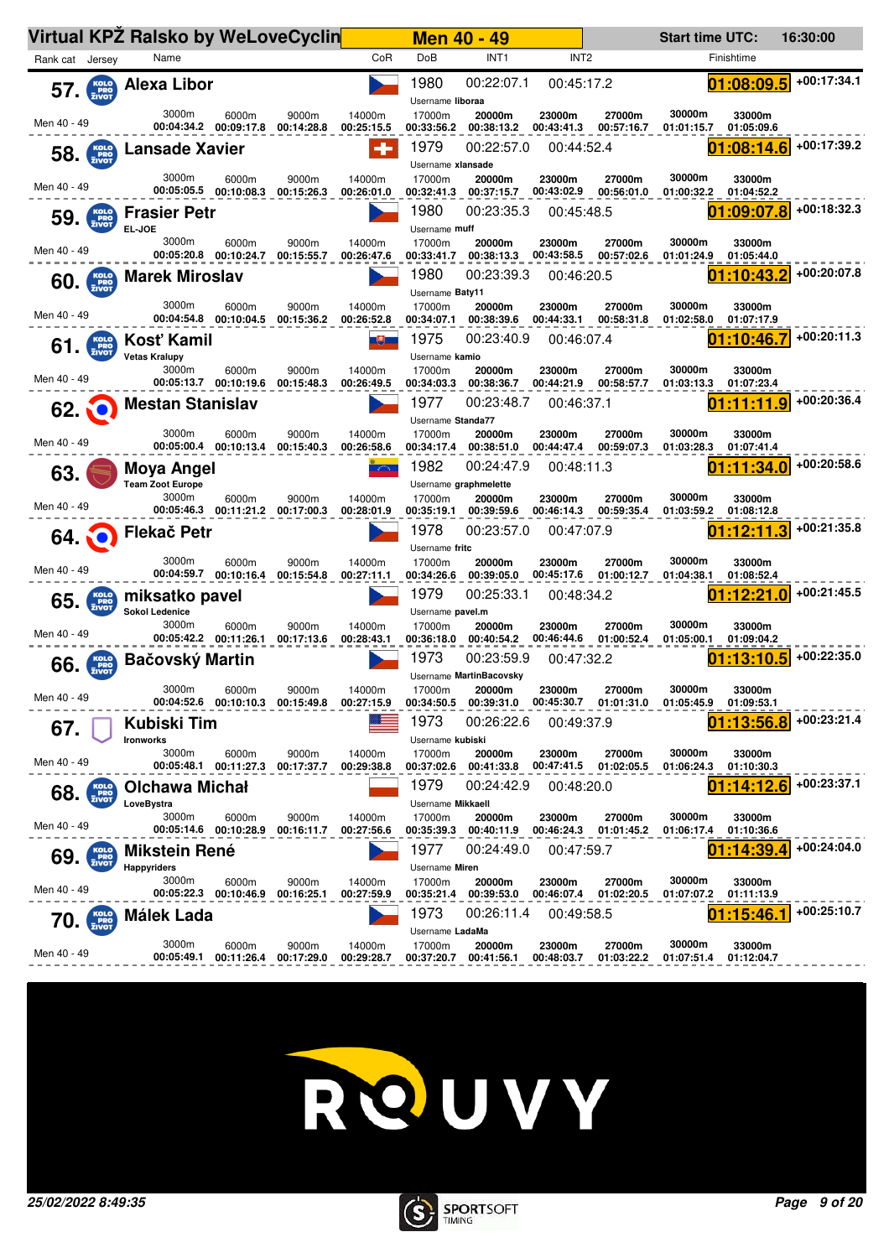|                 |                               | <b>Virtual KPZ Ralsko by WeLoveCyclin</b> |                                           |                     |                      | <b>Men 40 - 49</b>        |                                       |                      |                                 | <b>Start time UTC:</b> |                      | 16:30:00    |
|-----------------|-------------------------------|-------------------------------------------|-------------------------------------------|---------------------|----------------------|---------------------------|---------------------------------------|----------------------|---------------------------------|------------------------|----------------------|-------------|
| Rank cat Jersey |                               | Name                                      |                                           |                     | CoR                  | DoB                       | INT <sub>1</sub>                      | INT <sub>2</sub>     |                                 |                        | Finishtime           |             |
| 57.             | KOLO<br>ERO<br>ZIVOT          | <b>Alexa Libor</b>                        |                                           |                     |                      | 1980<br>Username liboraa  | 00:22:07.1                            | 00:45:17.2           |                                 |                        | 01:08:09.5           | +00:17:34.1 |
| Men 40 - 49     |                               | 3000m<br>00:04:34.2                       | 6000m<br>00:09:17.8                       | 9000m<br>00:14:28.8 | 14000m<br>00:25:15.5 | 17000m<br>00:33:56.2      | 20000m<br>00:38:13.2                  | 23000m<br>00:43:41.3 | 27000m<br>00:57:16.7            | 30000m<br>01:01:15.7   | 33000m<br>01:05:09.6 |             |
| 58.             | KOLO<br>PRO<br>ZIVOT          | <b>Lansade Xavier</b>                     |                                           |                     | ۰                    | 1979<br>Username xlansade | 00:22:57.0                            | 00:44:52.4           |                                 |                        | 01:08:14.6           | +00:17:39.2 |
| Men 40 - 49     |                               | 3000m<br>00:05:05.5                       | 6000m<br>00:10:08.3                       | 9000m<br>00:15:26.3 | 14000m<br>00:26:01.0 | 17000m<br>00:32:41.3      | 20000m<br>00:37:15.7                  | 23000m<br>00:43:02.9 | 27000m<br>00:56:01.0            | 30000m<br>01:00:32.2   | 33000m<br>01:04:52.2 |             |
| 59.             | KOLO<br>PRO<br>ZIVOT          | <b>Frasier Petr</b><br>EL-JOE             |                                           |                     |                      | 1980<br>Username muff     | 00:23:35.3                            | 00:45:48.5           |                                 |                        | 01:09:07.8           | +00:18:32.3 |
| Men 40 - 49     |                               | 3000m                                     | 6000m<br>00:05:20.8 00:10:24.7            | 9000m<br>00:15:55.7 | 14000m<br>00:26:47.6 | 17000m<br>00:33:41.7      | 20000m<br>00:38:13.3                  | 23000m<br>00:43:58.5 | 27000m<br>00:57:02.6            | 30000m<br>01:01:24.9   | 33000m<br>01:05:44.0 |             |
|                 | $60.$ $Kolo$ <sub>ZIVOT</sub> | <b>Marek Miroslav</b>                     |                                           |                     |                      | 1980<br>Username Baty11   | 00:23:39.3                            | 00:46:20.5           |                                 |                        | 01:10:43.2           | +00:20:07.8 |
| Men 40 - 49     |                               | 3000m<br>00:04:54.8                       | 6000m<br>00:10:04.5                       | 9000m<br>00:15:36.2 | 14000m<br>00:26:52.8 | 17000m<br>00:34:07.1      | 20000m<br>00:38:39.6                  | 23000m<br>00:44:33.1 | 27000m<br>00:58:31.8            | 30000m<br>01:02:58.0   | 33000m<br>01:07:17.9 |             |
| 61.             | KOLO<br>PRO<br>ZIVOT          | Kosť Kamil<br><b>Vetas Kralupy</b>        |                                           |                     | 电                    | 1975<br>Username kamio    | 00:23:40.9                            | 00:46:07.4           |                                 | 01                     | :10:46.7             | +00:20:11.3 |
| Men 40 - 49     |                               | 3000m<br>00:05:13.7 00:10:19.6            | 6000m                                     | 9000m<br>00:15:48.3 | 14000m<br>00:26:49.5 | 17000m<br>00:34:03.3      | 20000m<br>00:38:36.7<br>00:23:48.7    | 23000m<br>00:44:21.9 | 27000m<br>00:58:57.7            | 30000m<br>01:03:13.3   | 33000m<br>01:07:23.4 | +00:20:36.4 |
|                 | <b>62. O</b>                  | <b>Mestan Stanislav</b>                   |                                           |                     |                      | 1977<br>Username Standa77 |                                       | 00:46:37.1           |                                 |                        | :11:11.9             |             |
| Men 40 - 49     |                               | 3000m<br>00:05:00.4                       | 6000m<br>00:10:13.4                       | 9000m<br>00:15:40.3 | 14000m<br>00:26:58.6 | 17000m<br>00:34:17.4      | 20000m<br>00:38:51.0                  | 23000m<br>00:44:47.4 | 27000m<br>00:59:07.3            | 30000m<br>01:03:28.3   | 33000m<br>01:07:41.4 |             |
| 63.             |                               | Moya Angel<br><b>Team Zoot Europe</b>     |                                           |                     | حكت                  | 1982                      | 00:24:47.9<br>Username graphmelette   | 00:48:11.3           |                                 |                        | :11:34.0             | +00:20:58.6 |
| Men 40 - 49     |                               | 3000m<br>00:05:46.3 00:11:21.2            | 6000m                                     | 9000m<br>00:17:00.3 | 14000m<br>00:28:01.9 | 17000m<br>00:35:19.1      | 20000m<br>00:39:59.6                  | 23000m<br>00:46:14.3 | 27000m<br>00:59:35.4            | 30000m<br>01:03:59.2   | 33000m<br>01:08:12.8 |             |
|                 |                               | 64. <b>O</b> Flekač Petr                  |                                           |                     |                      | 1978<br>Username fritc    | 00:23:57.0                            | 00:47:07.9           |                                 |                        | :12:11.3             | +00:21:35.8 |
| Men 40 - 49     |                               | 3000m<br>00:04:59.7 00:10:16.4            | 6000m                                     | 9000m<br>00:15:54.8 | 14000m<br>00:27:11.1 | 17000m<br>00:34:26.6      | 20000m<br>00:39:05.0                  | 23000m<br>00:45:17.6 | 27000m<br>01:00:12.7            | 30000m<br>01:04:38.1   | 33000m<br>01:08:52.4 |             |
| 65.             | KOLO<br>PRO<br>ZIVOT          | miksatko pavel<br><b>Sokol Ledenice</b>   |                                           |                     |                      | 1979<br>Username pavel.m  | 00:25:33.1                            | 00:48:34.2           |                                 |                        | 01:12:21.0           | +00:21:45.5 |
| Men 40 - 49     |                               | 3000m<br>00:05:42.2 00:11:26.1            | 6000m                                     | 9000m<br>00:17:13.6 | 14000m<br>00:28:43.1 | 17000m<br>00:36:18.0      | 20000m<br>00:40:54.2                  | 23000m<br>00:46:44.6 | 27000m<br>01:00:52.4            | 30000m<br>01:05:00.1   | 33000m<br>01:09:04.2 |             |
| 66.             | <b>KOLO</b><br>PRO<br>ZIVOT   | Bačovský Martin                           |                                           |                     |                      | 1973                      | 00:23:59.9<br>Username MartinBacovsky | 00:47:32.2           |                                 |                        | :13:10.5             | +00:22:35.0 |
| Men 40 - 49     |                               | 3000m                                     | 6000m<br>00:04:52.6 00:10:10.3 00:15:49.8 | 9000m               | 14000m<br>00:27:15.9 | 17000m<br>00:34:50.5      | 20000m<br>00:39:31.0                  | 23000m               | 27000m<br>00:45:30.7 01:01:31.0 | 30000m<br>01:05:45.9   | 33000m<br>01:09:53.1 |             |
| 67.             |                               | Kubiski Tim<br><b>Ironworks</b>           |                                           |                     |                      | 1973<br>Username kubiski  | 00:26:22.6                            | 00:49:37.9           |                                 |                        | 01:13:56.8           | +00:23:21.4 |
| Men 40 - 49     |                               | 3000m                                     | 6000m<br>00:05:48.1  00:11:27.3           | 9000m<br>00:17:37.7 | 14000m<br>00:29:38.8 | 17000m<br>00:37:02.6      | 20000m<br>00:41:33.8                  | 23000m               | 27000m<br>00:47:41.5 01:02:05.5 | 30000m<br>01:06:24.3   | 33000m<br>01:10:30.3 |             |
| 68.             | KOLO<br>PRO<br>ZIVOT          | Olchawa Michał<br>LoveBystra              |                                           |                     |                      | 1979<br>Username Mikkaell | 00:24:42.9                            | 00:48:20.0           |                                 |                        | 01:14:12.6           | +00:23:37.1 |
| Men 40 - 49     |                               | 3000m<br>00:05:14.6 00:10:28.9            | 6000m                                     | 9000m<br>00:16:11.7 | 14000m<br>00:27:56.6 | 17000m                    | 20000m<br>00:35:39.3 00:40:11.9       | 23000m               | 27000m<br>00:46:24.3 01:01:45.2 | 30000m<br>01:06:17.4   | 33000m<br>01:10:36.6 |             |
| 69.             | KOLO<br><b>PRO</b><br>ZIVOT   | <b>Mikstein René</b><br>Happyriders       |                                           |                     |                      | 1977<br>Username Miren    | 00:24:49.0                            | 00:47:59.7           |                                 |                        | :14:39               | +00:24:04.0 |
| Men 40 - 49     |                               | 3000m<br>00:05:22.3 00:10:46.9            | 6000m                                     | 9000m<br>00:16:25.1 | 14000m<br>00:27:59.9 | 17000m<br>00:35:21.4      | 20000m<br>00:39:53.0                  | 23000m<br>00:46:07.4 | 27000m<br>01:02:20.5            | 30000m<br>01:07:07.2   | 33000m<br>01:11:13.9 |             |
| 70.             | KOLO<br>PRO<br>ZIVOT          | Málek Lada                                |                                           |                     |                      | 1973                      | 00:26:11.4                            | 00:49:58.5           |                                 |                        | :15:46.1             | +00:25:10.7 |
| Men 40 - 49     |                               | 3000m<br>00:05:49.1                       | 6000m<br>00:11:26.4                       | 9000m<br>00:17:29.0 | 14000m<br>00:29:28.7 | Username LadaMa<br>17000m | 20000m<br>00:37:20.7 00:41:56.1       | 23000m<br>00:48:03.7 | 27000m<br>01:03:22.2            | 30000m<br>01:07:51.4   | 33000m<br>01:12:04.7 |             |



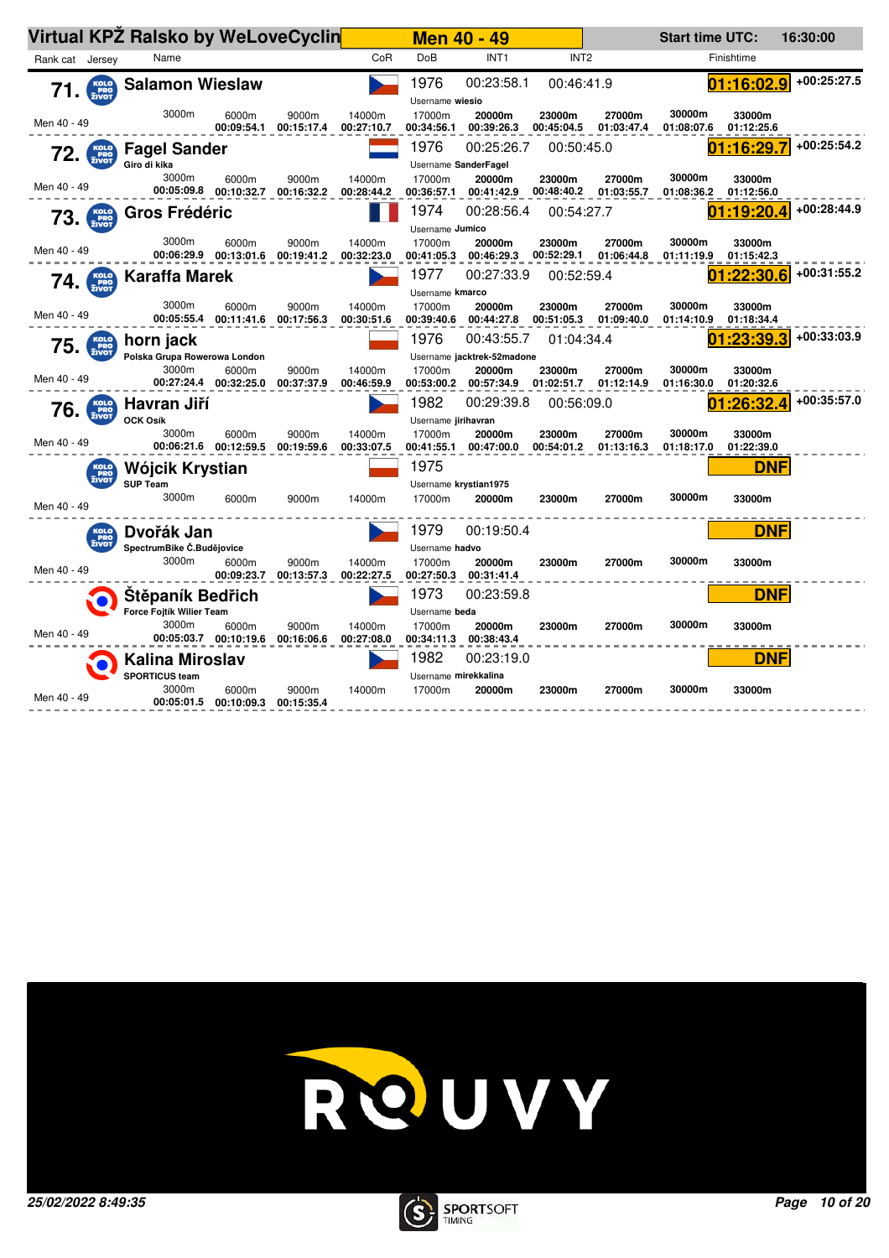|                 |                             | Virtual KPZ Ralsko by WeLoveCyclin |                                  |                                |                      |                      | <b>Men 40 - 49</b>              |                      |                      | <b>Start time UTC:</b> |                      | 16:30:00    |
|-----------------|-----------------------------|------------------------------------|----------------------------------|--------------------------------|----------------------|----------------------|---------------------------------|----------------------|----------------------|------------------------|----------------------|-------------|
| Rank cat Jersey |                             | Name                               |                                  |                                | CoR                  | <b>DoB</b>           | INT <sub>1</sub>                | INT <sub>2</sub>     |                      |                        | Finishtime           |             |
| 71.             | KOLO<br>PRO<br>ZIVOT        | <b>Salamon Wieslaw</b>             |                                  |                                |                      | 1976                 | 00:23:58.1                      | 00:46:41.9           |                      |                        | 01:16:02.9           | +00:25:27.5 |
|                 |                             |                                    |                                  |                                |                      | Username wiesio      |                                 |                      |                      |                        |                      |             |
| Men 40 - 49     |                             | 3000m                              | 6000m<br>00:09:54.1              | 9000m<br>00:15:17.4            | 14000m<br>00:27:10.7 | 17000m<br>00:34:56.1 | 20000m<br>00:39:26.3            | 23000m<br>00:45:04.5 | 27000m<br>01:03:47.4 | 30000m<br>01:08:07.6   | 33000m<br>01:12:25.6 |             |
| 72.             | KOLO<br>PRO<br>ZIVOT        | <b>Fagel Sander</b>                |                                  |                                |                      | 1976                 | 00:25:26.7                      | 00:50:45.0           |                      |                        | 01:16:29.7           | +00:25:54.2 |
|                 |                             | Giro di kika<br>3000m              |                                  |                                |                      | 17000m               | Username SanderFagel            |                      |                      | 30000m                 |                      |             |
| Men 40 - 49     |                             |                                    | 6000m<br>00:05:09.8   00:10:32.7 | 9000m<br>00:16:32.2            | 14000m<br>00:28:44.2 | 00:36:57.1           | 20000m<br>00:41:42.9            | 23000m<br>00:48:40.2 | 27000m<br>01:03:55.7 | 01:08:36.2             | 33000m<br>01:12:56.0 |             |
|                 | $73.$ $\frac{KOLO}{ZIVOT}$  | Gros Frédéric                      |                                  |                                |                      | 1974                 | 00:28:56.4                      | 00:54:27.7           |                      |                        | 01:19:20.4           | +00:28:44.9 |
|                 |                             | 3000m                              |                                  |                                |                      | Username Jumico      |                                 |                      |                      | 30000m                 |                      |             |
| Men 40 - 49     |                             |                                    | 6000m<br>00:06:29.9 00:13:01.6   | 9000m<br>00:19:41.2            | 14000m<br>00:32:23.0 | 17000m<br>00:41:05.3 | 20000m<br>00:46:29.3            | 23000m<br>00:52:29.1 | 27000m<br>01:06:44.8 | 01:11:19.9             | 33000m<br>01:15:42.3 |             |
| 74.             | KOLO<br>PRO<br>ZIVOT        | <b>Karaffa Marek</b>               |                                  |                                |                      | 1977                 | 00:27:33.9                      | 00:52:59.4           |                      |                        | :22:30.6             | +00:31:55.2 |
|                 |                             |                                    |                                  |                                |                      | Username kmarco      |                                 |                      |                      |                        |                      |             |
| Men 40 - 49     |                             | 3000m                              | 6000m<br>00:05:55.4 00:11:41.6   | 9000m<br>00:17:56.3            | 14000m<br>00:30:51.6 | 17000m<br>00:39:40.6 | 20000m<br>00:44:27.8            | 23000m<br>00:51:05.3 | 27000m<br>01:09:40.0 | 30000m<br>01:14:10.9   | 33000m<br>01:18:34.4 |             |
| 75.             | KOLO<br>PRO<br>ZIVOT        | horn jack                          |                                  |                                |                      | 1976                 | 00:43:55.7                      | 01:04:34.4           |                      |                        | :23:39.3             | +00:33:03.9 |
|                 |                             | Polska Grupa Rowerowa London       |                                  |                                |                      |                      | Username jacktrek-52madone      |                      |                      |                        |                      |             |
| Men 40 - 49     |                             | 3000m                              | 6000m<br>00:27:24.4 00:32:25.0   | 9000m<br>00:37:37.9            | 14000m<br>00:46:59.9 | 17000m               | 20000m<br>00:53:00.2 00:57:34.9 | 23000m<br>01:02:51.7 | 27000m<br>01:12:14.9 | 30000m<br>01:16:30.0   | 33000m<br>01:20:32.6 |             |
| 76.             | <b>KOLO</b><br>PRO<br>ZIVOT | Havran Jiří                        |                                  |                                |                      | 1982                 | 00:29:39.8                      | 00:56:09.0           |                      |                        | :26:32.4             | +00:35:57.0 |
|                 |                             | <b>OCK Osík</b>                    |                                  |                                |                      | Username jirihavran  |                                 |                      |                      |                        |                      |             |
| Men 40 - 49     |                             | 3000m                              | 6000m<br>00:06:21.6 00:12:59.5   | 9000m<br>00:19:59.6            | 14000m<br>00:33:07.5 | 17000m<br>00:41:55.1 | 20000m<br>00:47:00.0            | 23000m<br>00:54:01.2 | 27000m<br>01:13:16.3 | 30000m<br>01:18:17.0   | 33000m<br>01:22:39.0 |             |
|                 | KOLO<br>PRO<br>ZIVOT        | Wójcik Krystian                    |                                  |                                |                      | 1975                 |                                 |                      |                      |                        | <b>DNF</b>           |             |
|                 |                             | <b>SUP Team</b>                    |                                  |                                |                      |                      | Username krystian1975           |                      |                      |                        |                      |             |
| Men 40 - 49     |                             | 3000m                              | 6000m                            | 9000m                          | 14000m               | 17000m               | 20000m                          | 23000m               | 27000m               | 30000m                 | 33000m               |             |
|                 | KOLO<br>PRO<br>ŽIVOT        | Dvořák Jan                         |                                  |                                |                      | 1979                 | 00:19:50.4                      |                      |                      |                        | <b>DNF</b>           |             |
|                 |                             | SpectrumBike Č.Budějovice          |                                  |                                |                      | Username hadvo       |                                 |                      |                      |                        |                      |             |
| Men 40 - 49     |                             | 3000m                              | 6000m                            | 9000m<br>00:09:23.7 00:13:57.3 | 14000m<br>00:22:27.5 | 17000m<br>00:27:50.3 | 20000m<br>00:31:41.4            | 23000m               | 27000m               | 30000m                 | 33000m               |             |
|                 |                             | Stěpaník Bedřich                   |                                  |                                |                      | 1973                 | 00:23:59.8                      |                      |                      |                        | <b>DNF</b>           |             |
|                 |                             | Force Fojtík Willer Team           |                                  |                                |                      | Username beda        |                                 |                      |                      |                        |                      |             |
| Men 40 - 49     |                             | 3000m                              | 6000m<br>00:05:03.7 00:10:19.6   | 9000m<br>00:16:06.6            | 14000m<br>00:27:08.0 | 17000m<br>00:34:11.3 | 20000m<br>00:38:43.4            | 23000m               | 27000m               | 30000m                 | 33000m               |             |
|                 |                             | <b>Kalina Miroslav</b>             |                                  |                                |                      | 1982                 | 00:23:19.0                      |                      |                      |                        | <b>DNF</b>           |             |
|                 |                             | <b>SPORTICUS team</b>              |                                  |                                |                      | Username mirekkalina |                                 |                      |                      |                        |                      |             |
| Men 40 - 49     |                             | 3000m                              | 6000m<br>00:05:01.5 00:10:09.3   | 9000m<br>00:15:35.4            | 14000m               | 17000m               | 20000m                          | 23000m               | 27000m               | 30000m                 | 33000m               |             |



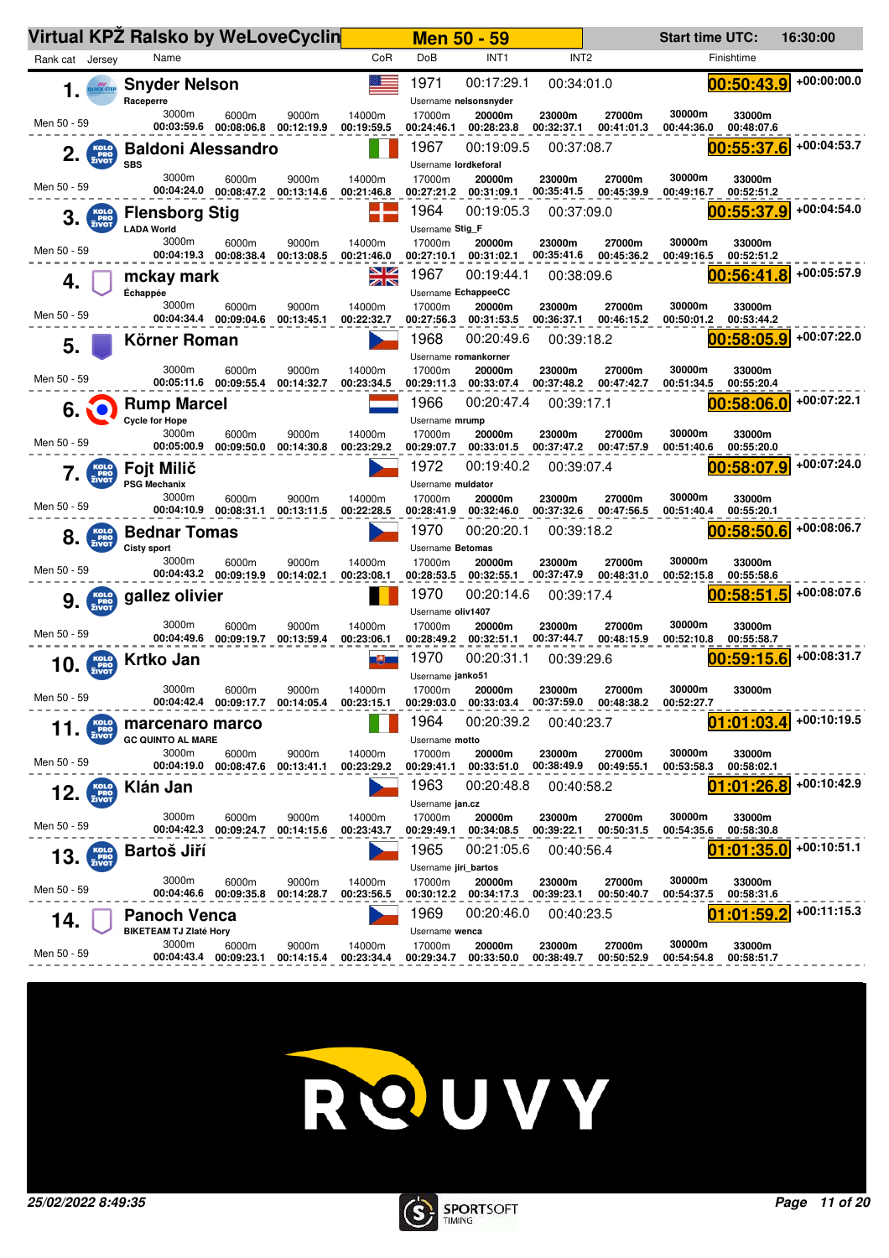|                                    | Virtual KPZ Ralsko by WeLoveCyclin                   |                                           |                     |                      |                              | <b>Men 50 - 59</b>                  |                          |                                 | <b>Start time UTC:</b> |                          | 16:30:00      |
|------------------------------------|------------------------------------------------------|-------------------------------------------|---------------------|----------------------|------------------------------|-------------------------------------|--------------------------|---------------------------------|------------------------|--------------------------|---------------|
| Rank cat Jersey                    | Name                                                 |                                           |                     | CoR                  | DoB                          | INT <sub>1</sub>                    | INT <sub>2</sub>         |                                 |                        | Finishtime               |               |
| 1.<br>UICK-STEP                    | <b>Snyder Nelson</b><br>Raceperre                    |                                           |                     |                      | 1971                         | 00:17:29.1<br>Username nelsonsnyder | 00:34:01.0               |                                 |                        | 00:50:43.9               | +00:00:00.0   |
| Men 50 - 59                        | 3000m<br>00:03:59.6                                  | 6000m<br>00:08:06.8                       | 9000m<br>00:12:19.9 | 14000m<br>00:19:59.5 | 17000m<br>00:24:46.1         | 20000m<br>00:28:23.8                | 23000m<br>00:32:37.1     | 27000m<br>00:41:01.3            | 30000m<br>00:44:36.0   | 33000m<br>00:48:07.6     |               |
| KOLO<br>PRO<br>ZIVOT<br>2.         | <b>Baldoni Alessandro</b><br><b>SBS</b>              |                                           |                     |                      | 1967<br>Username lordkeforal | 00:19:09.5                          | 00:37:08.7               |                                 |                        | 00:55:37.6               | +00:04:53.7   |
| Men 50 - 59                        | 3000m<br>00:04:24.0                                  | 6000m<br>00:08:47.2                       | 9000m<br>00:13:14.6 | 14000m<br>00:21:46.8 | 17000m<br>00:27:21.2         | 20000m<br>00:31:09.1                | 23000m<br>00:35:41.5     | 27000m<br>00:45:39.9            | 30000m<br>00:49:16.7   | 33000m<br>00:52:51.2     |               |
| KOLO<br>PRO<br>ZIVOT<br>3.         | <b>Flensborg Stig</b><br><b>LADA World</b>           |                                           |                     |                      | 1964<br>Username Stig_F      | 00:19:05.3                          | 00:37:09.0               |                                 |                        | 00:55:37.9               | +00:04:54.0   |
| Men 50 - 59                        | 3000m                                                | 6000m<br>00:04:19.3 00:08:38.4            | 9000m<br>00:13:08.5 | 14000m<br>00:21:46.0 | 17000m<br>00:27:10.1         | 20000m<br>00:31:02.1                | 23000m<br>00:35:41.6     | 27000m<br>00:45:36.2            | 30000m<br>00:49:16.5   | 33000m<br>00:52:51.2     |               |
| 4.                                 | mckay mark<br>Échappée                               |                                           |                     | <u>NZ</u><br>ZN      | 1967                         | 00:19:44.1<br>Username EchappeeCC   | 00:38:09.6               |                                 |                        | 00:56:41.8               | +00:05:57.9   |
| Men 50 - 59                        | 3000m                                                | 6000m<br>00:04:34.4 00:09:04.6            | 9000m<br>00:13:45.1 | 14000m<br>00:22:32.7 | 17000m<br>00:27:56.3         | 20000m<br>00:31:53.5                | 23000m<br>00:36:37.1     | 27000m<br>00:46:15.2            | 30000m<br>00:50:01.2   | 33000m<br>00:53:44.2     |               |
| 5.                                 | Körner Roman                                         |                                           |                     |                      | 1968<br>Username romankorner | 00:20:49.6                          | 00:39:18.2               |                                 |                        | 00:58:05.9               | +00:07:22.0   |
| Men 50 - 59                        | 3000m                                                | 6000m<br>00:05:11.6 00:09:55.4            | 9000m<br>00:14:32.7 | 14000m<br>00:23:34.5 | 17000m<br>00:29:11.3         | 20000m<br>00:33:07.4                | 23000m<br>00:37:48.2     | 27000m<br>00:47:42.7            | 30000m<br>00:51:34.5   | 33000m<br>00:55:20.4     |               |
| 6.                                 | <b>Rump Marcel</b><br><b>Cycle for Hope</b>          |                                           |                     |                      | 1966<br>Username mrump       | 00:20:47.4                          | 00:39:17.1               |                                 |                        | 00:58:06.0               | +00:07:22.1   |
| Men 50 - 59                        | 3000m<br>00:05:00.9                                  | 6000m<br>00:09:50.0                       | 9000m<br>00:14:30.8 | 14000m<br>00:23:29.2 | 17000m<br>00:29:07.7         | 20000m<br>00:33:01.5                | 23000m<br>00:37:47.2     | 27000m<br>00:47:57.9            | 30000m<br>00:51:40.6   | 33000m<br>00:55:20.0     |               |
| KOLO<br>PRO<br>ZIVOT               | Fojt Milič<br><b>PSG Mechanix</b>                    |                                           |                     |                      | 1972<br>Username muldator    | 00:19:40.2                          | 00:39:07.4               |                                 |                        | 00:58:07.9               | +00:07:24.0   |
| Men 50 - 59                        | 3000m<br>00:04:10.9                                  | 6000m<br>00:08:31.1                       | 9000m<br>00:13:11.5 | 14000m<br>00:22:28.5 | 17000m<br>00:28:41.9         | 20000m<br>00:32:46.0                | 23000m<br>00:37:32.6     | 27000m<br>00:47:56.5            | 30000m<br>00:51:40.4   | 33000m<br>00:55:20.1     |               |
| KOLO<br>PRO<br>ZIVOT<br>8.         | <b>Bednar Tomas</b>                                  |                                           |                     |                      | 1970                         | 00:20:20.1                          | 00:39:18.2               |                                 |                        | 00:58:50.6               | +00:08:06.7   |
| Men 50 - 59                        | <b>Cisty sport</b><br>3000m                          | 6000m                                     | 9000m               | 14000m               | Username Betomas<br>17000m   | 20000m                              | 23000m                   | 27000m                          | 30000m                 | 33000m                   |               |
|                                    | gallez olivier                                       | 00:04:43.2 00:09:19.9                     | 00:14:02.1          | 00:23:08.1           | 00:28:53.5<br>1970           | 00:32:55.1<br>00:20:14.6            | 00:37:47.9<br>00:39:17.4 | 00:48:31.0                      | 00:52:15.8             | 00:55:58.6<br>00:58:51.5 | +00:08:07.6   |
| KOLO<br>PRO<br>ZIVOT<br>9.         |                                                      |                                           |                     |                      | Username oliv1407            |                                     |                          |                                 |                        |                          |               |
| Men 50 - 59                        | 3000m<br>00:04:49.6                                  | 6000m<br>00:09:19.7                       | 9000m<br>00:13:59.4 | 14000m<br>00:23:06.1 | 17000m                       | 20000m<br>00:28:49.2 00:32:51.1     | 23000m<br>00:37:44.7     | 27000m<br>00:48:15.9            | 30000m<br>00:52:10.8   | 33000m<br>00:55:58.7     |               |
| KOLO<br>PRO<br>ZIVOT<br>10.        | <b>Krtko Jan</b>                                     |                                           |                     | 电量                   | 1970<br>Username janko51     | 00:20:31.1                          | 00:39:29.6               |                                 |                        | 00:59:15.6               | $+00:08:31.7$ |
| Men 50 - 59                        | 3000m                                                | 6000m<br>00:04:42.4 00:09:17.7 00:14:05.4 | 9000m               | 14000m<br>00:23:15.1 | 17000m<br>00:29:03.0         | 20000m<br>00:33:03.4                | 23000m<br>00:37:59.0     | 27000m<br>00:48:38.2            | 30000m<br>00:52:27.7   | 33000m                   |               |
| <b>KOLO</b><br>PRO<br>ZIVOT<br>11. | marcenaro marco<br><b>GC QUINTO AL MARE</b>          |                                           |                     |                      | 1964<br>Username motto       | 00:20:39.2                          | 00:40:23.7               |                                 |                        | 01:01:03.4               | +00:10:19.5   |
| Men 50 - 59                        | 3000m<br>00:04:19.0                                  | 6000m<br>00:08:47.6                       | 9000m<br>00:13:41.1 | 14000m<br>00:23:29.2 | 17000m<br>00:29:41.1         | 20000m<br>00:33:51.0                | 23000m                   | 27000m<br>00:38:49.9 00:49:55.1 | 30000m<br>00:53:58.3   | 33000m<br>00:58:02.1     |               |
| $12.$ $\frac{KOLO}{ZIVOT}$         | Klán Jan                                             |                                           |                     |                      | 1963<br>Username jan.cz      | 00:20:48.8                          | 00:40:58.2               |                                 | 01                     | :01:26.8                 | +00:10:42.9   |
| Men 50 - 59                        | 3000m<br>00:04:42.3                                  | 6000m<br>00:09:24.7                       | 9000m<br>00:14:15.6 | 14000m<br>00:23:43.7 | 17000m                       | 20000m<br>00:29:49.1 00:34:08.5     | 23000m                   | 27000m<br>00:39:22.1 00:50:31.5 | 30000m<br>00:54:35.6   | 33000m<br>00:58:30.8     |               |
| KOLO<br>PRO<br>ZIVOT<br>13.        | <b>Bartoš Jiří</b>                                   |                                           |                     |                      | 1965<br>Username jiri_bartos | 00:21:05.6                          | 00:40:56.4               |                                 |                        | :01:35.0                 | +00:10:51.1   |
| Men 50 - 59                        | 3000m<br>00:04:46.6                                  | 6000m<br>00:09:35.8                       | 9000m<br>00:14:28.7 | 14000m<br>00:23:56.5 | 17000m<br>00:30:12.2         | 20000m<br>00:34:17.3                | 23000m<br>00:39:23.1     | 27000m<br>00:50:40.7            | 30000m<br>00:54:37.5   | 33000m<br>00:58:31.6     |               |
| 14.                                | <b>Panoch Venca</b><br><b>BIKETEAM TJ Zlaté Hory</b> |                                           |                     |                      | 1969<br>Username wenca       | 00:20:46.0                          | 00:40:23.5               |                                 |                        | :01:59.2                 | $+00:11:15.3$ |
| Men 50 - 59                        | 3000m                                                | 6000m<br>00:04:43.4 00:09:23.1            | 9000m<br>00:14:15.4 | 14000m<br>00:23:34.4 | 17000m<br>00:29:34.7         | 20000m<br>00:33:50.0                | 23000m<br>00:38:49.7     | 27000m<br>00:50:52.9            | 30000m<br>00:54:54.8   | 33000m<br>00:58:51.7     |               |



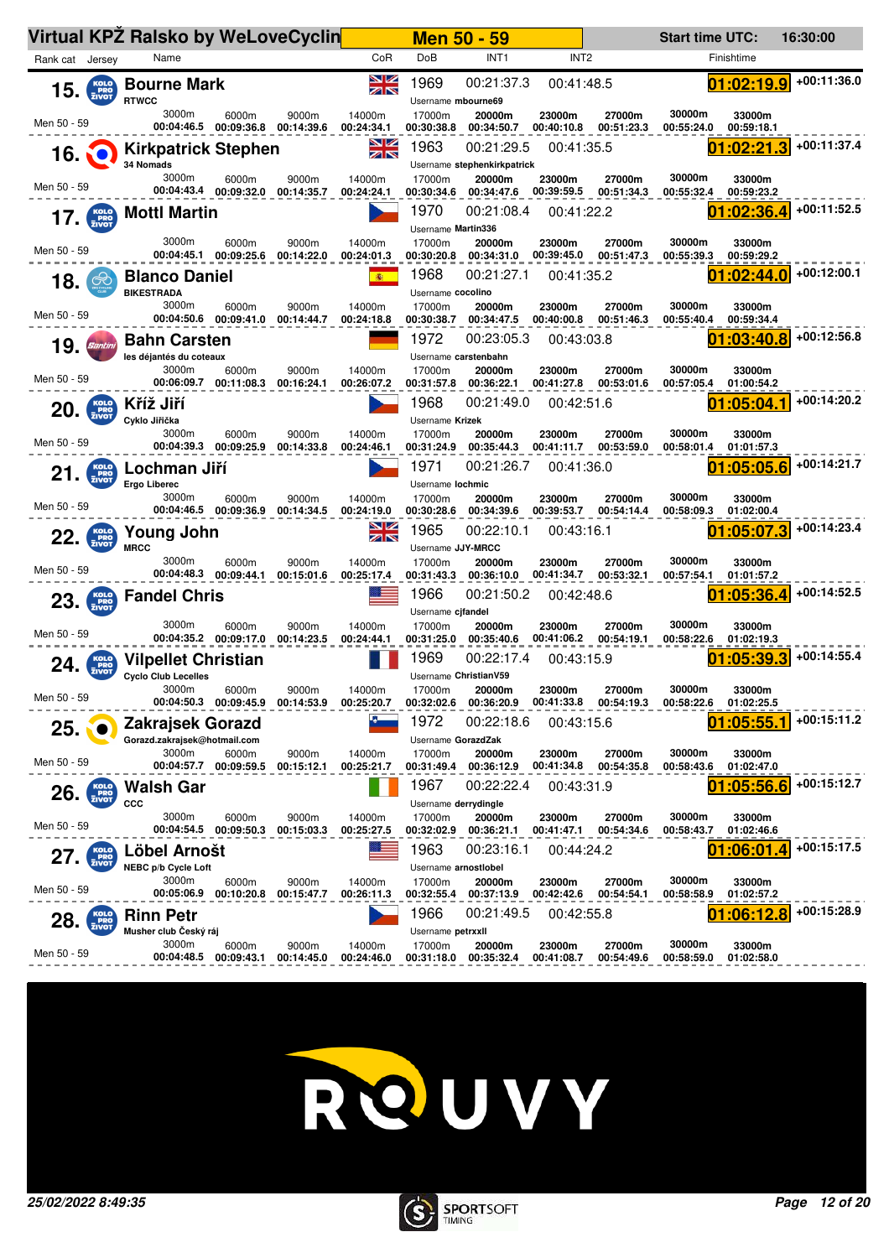|                            |                             | Virtual KPZ Ralsko by WeLoveCyclin                        |                                 |                     |                      |                                              | <b>Men 50 - 59</b>                        |                          |                      | <b>Start time UTC:</b> |                          | 16:30:00    |
|----------------------------|-----------------------------|-----------------------------------------------------------|---------------------------------|---------------------|----------------------|----------------------------------------------|-------------------------------------------|--------------------------|----------------------|------------------------|--------------------------|-------------|
| Rank cat Jersey            |                             | Name                                                      |                                 |                     | CoR                  | DoB                                          | INT <sub>1</sub>                          | INT <sub>2</sub>         |                      |                        | Finishtime               |             |
| $15.$ $\frac{KolO}{ZIVOT}$ |                             | <b>Bourne Mark</b><br><b>RTWCC</b>                        |                                 |                     | ▧▨<br>ZK             | 1969<br>Username mbourne69                   | 00:21:37.3                                | 00:41:48.5               |                      |                        | 01:02:19.9               | +00:11:36.0 |
| Men 50 - 59                |                             | 3000m<br>00:04:46.5                                       | 6000m<br>00:09:36.8             | 9000m<br>00:14:39.6 | 14000m<br>00:24:34.1 | 17000m<br>00:30:38.8                         | 20000m<br>00:34:50.7                      | 23000m<br>00:40:10.8     | 27000m<br>00:51:23.3 | 30000m<br>00:55:24.0   | 33000m<br>00:59:18.1     |             |
| 16.                        |                             | <b>Kirkpatrick Stephen</b><br>34 Nomads                   |                                 |                     | NK<br>AK             | 1963                                         | 00:21:29.5<br>Username stephenkirkpatrick | 00:41:35.5               |                      |                        | 01:02:21.3               | +00:11:37.4 |
| Men 50 - 59                |                             | 3000m                                                     | 6000m<br>00:04:43.4 00:09:32.0  | 9000m<br>00:14:35.7 | 14000m<br>00:24:24.1 | 17000m<br>00:30:34.6                         | 20000m<br>00:34:47.6                      | 23000m<br>00:39:59.5     | 27000m<br>00:51:34.3 | 30000m<br>00:55:32.4   | 33000m<br>00:59:23.2     |             |
| 17.                        |                             | <b>Mottl Martin</b>                                       |                                 |                     |                      | 1970<br>Username Martin336                   | 00:21:08.4                                | 00:41:22.2               |                      |                        | :02:36.4                 | +00:11:52.5 |
| Men 50 - 59                |                             | 3000m                                                     | 6000m<br>00:04:45.1 00:09:25.6  | 9000m<br>00:14:22.0 | 14000m<br>00:24:01.3 | 17000m<br>00:30:20.8                         | 20000m<br>00:34:31.0                      | 23000m<br>00:39:45.0     | 27000m<br>00:51:47.3 | 30000m<br>00:55:39.3   | 33000m<br>00:59:29.2     |             |
| 18.                        | $\infty$                    | <b>Blanco Daniel</b><br><b>BIKESTRADA</b>                 |                                 |                     | 高                    | 1968<br>Username cocolino                    | 00:21:27.1                                | 00:41:35.2               |                      |                        | 01:02:44.0               | +00:12:00.1 |
| Men 50 - 59                |                             | 3000m                                                     | 6000m<br>00:04:50.6 00:09:41.0  | 9000m<br>00:14:44.7 | 14000m<br>00:24:18.8 | 17000m                                       | 20000m<br>00:30:38.7 00:34:47.5           | 23000m<br>00:40:00.8     | 27000m<br>00:51:46.3 | 30000m<br>00:55:40.4   | 33000m<br>00:59:34.4     |             |
| 19.                        | <b>Santini</b>              | <b>Bahn Carsten</b><br>les déjantés du coteaux            |                                 |                     |                      | 1972                                         | 00:23:05.3<br>Username carstenbahn        | 00:43:03.8               |                      |                        | 01:03:40.8               | +00:12:56.8 |
| Men 50 - 59                |                             | 3000m                                                     | 6000m<br>00:06:09.7  00:11:08.3 | 9000m<br>00:16:24.1 | 14000m<br>00:26:07.2 | 17000m<br>00:31:57.8                         | 20000m<br>00:36:22.1                      | 23000m<br>00:41:27.8     | 27000m<br>00:53:01.6 | 30000m<br>00:57:05.4   | 33000m<br>01:00:54.2     | +00:14:20.2 |
| 20.                        | KOLO<br>PRO<br>ZIVOT        | Kříž Jiří<br>Cyklo Jiřička<br>3000m                       | 6000m                           | 9000m               | 14000m               | 1968<br>Username Krizek<br>17000m            | 00:21:49.0<br>20000m                      | 00:42:51.6<br>23000m     | 27000m               | 30000m                 | :05:04<br>33000m         |             |
| Men 50 - 59                |                             |                                                           | 00:04:39.3 00:09:25.9           | 00:14:33.8          | 00:24:46.1           | 00:31:24.9<br>1971                           | 00:35:44.3<br>00:21:26.7                  | 00:41:11.7<br>00:41:36.0 | 00:53:59.0           | 00:58:01.4             | 01:01:57.3<br>01:05:05.6 | +00:14:21.7 |
| 21.                        | KOLO<br>PRO<br>ZIVOT        | Lochman Jiří<br><b>Ergo Liberec</b><br>3000m              | 6000m                           | 9000m               | 14000m               | Username lochmic<br>17000m                   | 20000m                                    | 23000m                   | 27000m               | 30000m                 | 33000m                   |             |
| Men 50 - 59                |                             |                                                           | 00:04:46.5 00:09:36.9           | 00:14:34.5          | 00:24:19.0           | 00:30:28.6                                   | 00:34:39.6                                | 00:39:53.7               | 00:54:14.4           | 00:58:09.3             | 01:02:00.4               |             |
| 22.                        | <b>KOLO</b><br>PRO<br>ZIVOT | Young John<br><b>MRCC</b>                                 |                                 |                     | $z \propto$          | 1965<br>Username JJY-MRCC                    | 00:22:10.1                                | 00:43:16.1               |                      |                        | 01:05:07.3               | +00:14:23.4 |
| Men 50 - 59                |                             | 3000m                                                     | 6000m<br>00:04:48.3 00:09:44.1  | 9000m<br>00:15:01.6 | 14000m<br>00:25:17.4 | 17000m<br>00:31:43.3                         | 20000m<br>00:36:10.0                      | 23000m<br>00:41:34.7     | 27000m<br>00:53:32.1 | 30000m<br>00:57:54.1   | 33000m<br>01:01:57.2     |             |
| $23.$ $\frac{KolO}{ZIVOT}$ |                             | <b>Fandel Chris</b>                                       |                                 |                     |                      | 1966<br>Username cjfandel                    | 00:21:50.2                                | 00:42:48.6               |                      |                        | 01:05:36.4               | +00:14:52.5 |
| Men 50 - 59                |                             | 3000m                                                     | 6000m<br>00:04:35.2 00:09:17.0  | 9000m<br>00:14:23.5 | 14000m<br>00:24:44.1 | 17000m<br>00:31:25.0                         | 20000m<br>00:35:40.6                      | 23000m<br>00:41:06.2     | 27000m<br>00:54:19.1 | 30000m<br>00:58:22.6   | 33000m<br>01:02:19.3     |             |
| 24.                        | <b>PRO</b><br>ZIVOT         | <b>Vilpellet Christian</b><br><b>Cyclo Club Lecelles</b>  |                                 |                     |                      | 1969                                         | 00:22:17.4<br>Username ChristianV59       | 00:43:15.9               |                      |                        | :05:39.3                 | +00:14:55.4 |
| Men 50 - 59                |                             | 3000m<br>00:04:50.3                                       | 6000m<br>00:09:45.9             | 9000m<br>00:14:53.9 | 14000m<br>00:25:20.7 | 17000m<br>00:32:02.6<br>1972                 | 20000m<br>00:36:20.9<br>00:22:18.6        | 23000m<br>00:41:33.8     | 27000m<br>00:54:19.3 | 30000m<br>00:58:22.6   | 33000m<br>01:02:25.5     | +00:15:11.2 |
| 25.                        |                             | Zakrajsek Gorazd<br>Gorazd.zakrajsek@hotmail.com<br>3000m | 6000m                           | 9000m               | 14000m               | Username GorazdZak<br>17000m                 | 20000m                                    | 00:43:15.6<br>23000m     | 27000m               | 30000m                 | 01:05:55<br>33000m       |             |
| Men 50 - 59                |                             | 00:04:57.7                                                | 00:09:59.5                      | 00:15:12.1          | 00:25:21.7           | 00:31:49.4                                   | 00:36:12.9                                | 00:41:34.8               | 00:54:35.8           | 00:58:43.6             | 01:02:47.0               |             |
| 26.                        | <b>PRO</b>                  | Walsh Gar<br>CCC                                          |                                 |                     |                      | 1967<br>Username derrydingle                 | 00:22:22.4                                | 00:43:31.9               |                      |                        | :05:56.6                 | +00:15:12.7 |
| Men 50 - 59                |                             | 3000m<br>00:04:54.5                                       | 6000m<br>00:09:50.3             | 9000m<br>00:15:03.3 | 14000m<br>00:25:27.5 | 17000m<br>00:32:02.9                         | 20000m<br>00:36:21.1                      | 23000m<br>00:41:47.1     | 27000m<br>00:54:34.6 | 30000m<br>00:58:43.7   | 33000m<br>01:02:46.6     |             |
| 27.                        | <b>PRO</b><br>ZIVOT         | Löbel Arnošt                                              |                                 |                     |                      | 1963                                         | 00:23:16.1                                | 00:44:24.2               |                      |                        | 01<br>:06:01             | +00:15:17.5 |
| Men 50 - 59                |                             | NEBC p/b Cycle Loft<br>3000m<br>00:05:06.9                | 6000m<br>00:10:20.8             | 9000m<br>00:15:47.7 | 14000m<br>00:26:11.3 | Username arnostlobel<br>17000m<br>00:32:55.4 | 20000m<br>00:37:13.9                      | 23000m<br>00:42:42.6     | 27000m<br>00:54:54.1 | 30000m<br>00:58:58.9   | 33000m<br>01:02:57.2     |             |
| 28.                        | KOLO<br>PRO<br>ZIVOT        | <b>Rinn Petr</b><br>Musher club Český ráj                 |                                 |                     |                      | 1966<br>Username petrxxll                    | 00:21:49.5                                | 00:42:55.8               |                      |                        | :06:12.<br>8             | +00:15:28.9 |
| Men 50 - 59                |                             | 3000m<br>00:04:48.5                                       | 6000m<br>00:09:43.1             | 9000m<br>00:14:45.0 | 14000m<br>00:24:46.0 | 17000m<br>00:31:18.0                         | 20000m<br>00:35:32.4                      | 23000m<br>00:41:08.7     | 27000m<br>00:54:49.6 | 30000m<br>00:58:59.0   | 33000m<br>01:02:58.0     |             |



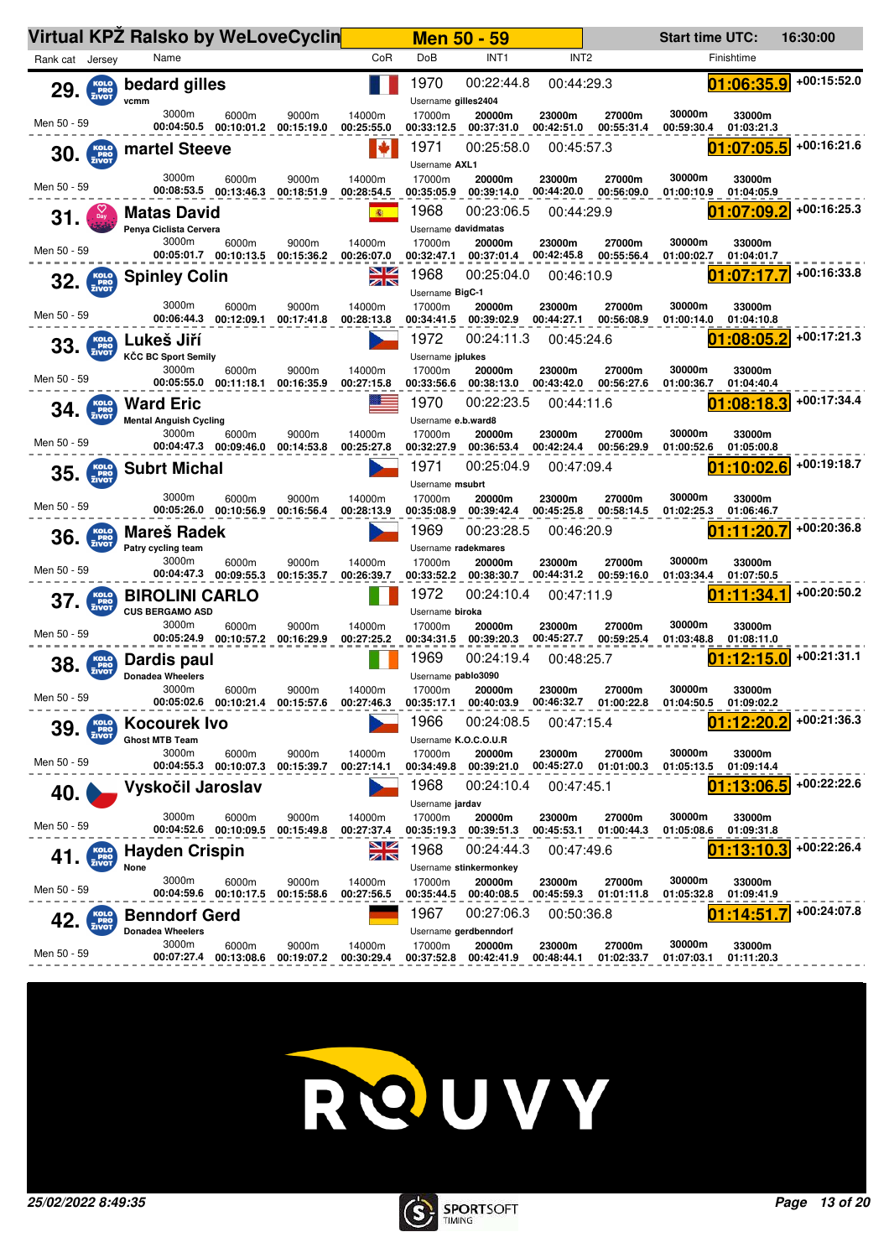|                                          |                             | Virtual KPZ Ralsko by WeLoveCyclin                         |                                |                                           |                      | <b>Men 50 - 59</b>             |                                               |                      |                                 | <b>Start time UTC:</b> |                                  | 16:30:00    |
|------------------------------------------|-----------------------------|------------------------------------------------------------|--------------------------------|-------------------------------------------|----------------------|--------------------------------|-----------------------------------------------|----------------------|---------------------------------|------------------------|----------------------------------|-------------|
| Rank cat Jersey                          |                             | Name                                                       |                                |                                           | CoR                  | DoB                            | INT <sub>1</sub>                              | INT <sub>2</sub>     |                                 |                        | Finishtime                       |             |
| 29.                                      | KOLO<br>PRO<br>ZIVOT        | bedard gilles<br>vcmm                                      |                                |                                           |                      | 1970<br>Username gilles2404    | 00:22:44.8                                    | 00:44:29.3           |                                 |                        | 01:06:35.9                       | +00:15:52.0 |
| Men 50 - 59                              |                             | 3000m<br>00:04:50.5                                        | 6000m<br>00:10:01.2            | 9000m<br>00:15:19.0                       | 14000m<br>00:25:55.0 | 17000m<br>00:33:12.5           | 20000m<br>00:37:31.0                          | 23000m<br>00:42:51.0 | 27000m<br>00:55:31.4            | 30000m<br>00:59:30.4   | 33000m<br>01:03:21.3             |             |
| $30.$ $\frac{\text{KOLO}}{\text{ZIVOT}}$ |                             | martel Steeve                                              |                                |                                           | I÷                   | 1971<br>Username AXL1          | 00:25:58.0                                    | 00:45:57.3           |                                 |                        | 01:07:05.5                       | +00:16:21.6 |
| Men 50 - 59                              |                             | 3000m<br>00:08:53.5                                        | 6000m<br>00:13:46.3            | 9000m<br>00:18:51.9                       | 14000m<br>00:28:54.5 | 17000m<br>00:35:05.9           | 20000m<br>00:39:14.0                          | 23000m<br>00:44:20.0 | 27000m<br>00:56:09.0            | 30000m<br>01:00:10.9   | 33000m<br>01:04:05.9             |             |
| 31.                                      |                             | <b>Matas David</b><br>Penya Ciclista Cervera               |                                |                                           | (图)                  | 1968<br>Username davidmatas    | 00:23:06.5                                    | 00:44:29.9           |                                 |                        | 01:07:09.2                       | +00:16:25.3 |
| Men 50 - 59                              |                             | 3000m                                                      | 6000m<br>00:05:01.7 00:10:13.5 | 9000m<br>00:15:36.2                       | 14000m<br>00:26:07.0 | 17000m<br>00:32:47.1           | 20000m<br>00:37:01.4                          | 23000m<br>00:42:45.8 | 27000m<br>00:55:56.4            | 30000m<br>01:00:02.7   | 33000m<br>01:04:01.7             |             |
| $32.$ $\frac{KOLO}{ZIVOT}$               |                             | <b>Spinley Colin</b>                                       |                                |                                           | NK<br>AR             | 1968<br>Username BigC-1        | 00:25:04.0                                    | 00:46:10.9           |                                 |                        | 01:07:17.7                       | +00:16:33.8 |
| Men 50 - 59                              |                             | 3000m<br>00:06:44.3                                        | 6000m<br>00:12:09.1            | 9000m<br>00:17:41.8                       | 14000m<br>00:28:13.8 | 17000m<br>00:34:41.5           | 20000m<br>00:39:02.9                          | 23000m<br>00:44:27.1 | 27000m<br>00:56:08.9            | 30000m<br>01:00:14.0   | 33000m<br>01:04:10.8             | +00:17:21.3 |
| 33.                                      | KOLO<br>PRO<br>ZIVOT        | Lukeš Jiří<br>KČC BC Sport Semily<br>3000m                 |                                |                                           |                      | 1972<br>Username jplukes       | 00:24:11.3                                    | 00:45:24.6           |                                 | D1<br>30000m           | :08:05.2                         |             |
| Men 50 - 59                              |                             |                                                            | 6000m<br>00:05:55.0 00:11:18.1 | 9000m<br>00:16:35.9                       | 14000m<br>00:27:15.8 | 17000m<br>00:33:56.6<br>1970   | 20000m<br>00:38:13.0<br>00:22:23.5            | 23000m<br>00:43:42.0 | 27000m<br>00:56:27.6            | 01:00:36.7<br>01       | 33000m<br>01:04:40.4<br>:08:18.3 | +00:17:34.4 |
| 34.                                      | KOLO<br>PRO<br>ZIVOT        | <b>Ward Eric</b><br><b>Mental Anguish Cycling</b><br>3000m | 6000m                          | 9000m                                     | 14000m               | Username e.b.ward8<br>17000m   | 20000m                                        | 00:44:11.6<br>23000m | 27000m                          | 30000m                 | 33000m                           |             |
| Men 50 - 59                              |                             |                                                            | 00:04:47.3 00:09:46.0          | 00:14:53.8                                | 00:25:27.8           | 00:32:27.9                     | 00:36:53.4                                    | 00:42:24.4           | 00:56:29.9                      | 01:00:52.6             | 01:05:00.8                       |             |
| 35.                                      | KOLO<br>PRO<br>ZIVOT        | <b>Subrt Michal</b>                                        |                                |                                           |                      | 1971<br>Username msubrt        | 00:25:04.9                                    | 00:47:09.4           |                                 |                        | 01:10:02.6                       | +00:19:18.7 |
| Men 50 - 59                              |                             | 3000m                                                      | 6000m<br>00:05:26.0 00:10:56.9 | 9000m<br>00:16:56.4                       | 14000m<br>00:28:13.9 | 17000m<br>00:35:08.9           | 20000m<br>00:39:42.4                          | 23000m<br>00:45:25.8 | 27000m<br>00:58:14.5            | 30000m<br>01:02:25.3   | 33000m<br>01:06:46.7             |             |
| 36.                                      | KOLO<br>PRO<br>ZIVOT        | Mareš Radek<br>Patry cycling team                          |                                |                                           |                      | 1969<br>Username radekmares    | 00:23:28.5                                    | 00:46:20.9           |                                 |                        | :11:20.7                         | +00:20:36.8 |
| Men 50 - 59                              |                             | 3000m<br>00:04:47.3                                        | 6000m<br>00:09:55.3            | 9000m<br>00:15:35.7                       | 14000m<br>00:26:39.7 | 17000m<br>00:33:52.2           | 20000m<br>00:38:30.7                          | 23000m<br>00:44:31.2 | 27000m<br>00:59:16.0            | 30000m<br>01:03:34.4   | 33000m<br>01:07:50.5             |             |
| 37.                                      | <b>KOLO</b><br><b>ENOT</b>  | <b>BIROLINI CARLO</b><br><b>CUS BERGAMO ASD</b>            |                                |                                           |                      | 1972<br>Username biroka        | 00:24:10.4                                    | 00:47:11.9           |                                 |                        | 01:11:34.1                       | +00:20:50.2 |
| Men 50 - 59                              |                             | 3000m                                                      | 6000m<br>00:05:24.9 00:10:57.2 | 9000m<br>00:16:29.9                       | 14000m<br>00:27:25.2 | 17000m<br>00:34:31.5           | 20000m<br>00:39:20.3                          | 23000m<br>00:45:27.7 | 27000m<br>00:59:25.4            | 30000m<br>01:03:48.8   | 33000m<br>01:08:11.0             |             |
| 38.                                      | KOLO<br>PRO<br>ZIVOT        | Dardis paul<br><b>Donadea Wheelers</b>                     |                                |                                           |                      | 1969<br>Username pablo3090     | 00:24:19.4                                    | 00:48:25.7           |                                 |                        | :12:15.0                         | +00:21:31.1 |
| Men 50 - 59                              |                             | 3000m                                                      | 6000m                          | 9000m<br>00:05:02.6 00:10:21.4 00:15:57.6 | 14000m<br>00:27:46.3 | 17000m<br>00:35:17.1<br>1966   | 20000m<br>00:40:03.9<br>00:24:08.5            | 23000m               | 27000m<br>00:46:32.7 01:00:22.8 | 30000m<br>01:04:50.5   | 33000m<br>01:09:02.2             | +00:21:36.3 |
| 39.                                      | <b>KOLO</b><br>PRO<br>ZIVOT | Kocourek Ivo<br><b>Ghost MTB Team</b><br>3000m             | 6000m                          | 9000m                                     | 14000m               | Username K.O.C.O.U.R<br>17000m | 20000m                                        | 00:47:15.4<br>23000m | 27000m                          | 30000m                 | 01:12:20.2<br>33000m             |             |
| Men 50 - 59                              |                             |                                                            | 00:04:55.3 00:10:07.3          | 00:15:39.7                                | 00:27:14.1           | 00:34:49.8                     | 00:39:21.0                                    |                      | 00:45:27.0 01:01:00.3           | 01:05:13.5             | 01:09:14.4                       |             |
| 40.                                      |                             | Vyskočil Jaroslav                                          |                                |                                           |                      | 1968<br>Username jardav        | 00:24:10.4                                    | 00:47:45.1           |                                 | 01                     | :13:06.5                         | +00:22:22.6 |
| Men 50 - 59                              |                             | 3000m                                                      | 6000m<br>00:04:52.6 00:10:09.5 | 9000m<br>00:15:49.8                       | 14000m<br>00:27:37.4 | 17000m                         | 20000m<br>00:35:19.3 00:39:51.3               | 23000m               | 27000m<br>00:45:53.1 01:00:44.3 | 30000m<br>01:05:08.6   | 33000m<br>01:09:31.8             |             |
| 41.                                      | KOLO<br>PRO<br>ZIVOT        | <b>Hayden Crispin</b><br>None                              |                                |                                           | <u>NZ</u><br>ZN      | 1968                           | 00:24:44.3<br>Username stinkermonkey          | 00:47:49.6           |                                 |                        | :13:10.                          | +00:22:26.4 |
| Men 50 - 59                              |                             | 3000m                                                      | 6000m<br>00:04:59.6 00:10:17.5 | 9000m<br>00:15:58.6                       | 14000m<br>00:27:56.5 | 17000m<br>00:35:44.5           | 20000m<br>00:40:08.5                          | 23000m<br>00:45:59.3 | 27000m<br>01:01:11.8            | 30000m<br>01:05:32.8   | 33000m<br>01:09:41.9             |             |
|                                          | KOLO<br>PRO<br>ZIVOT        | <b>Benndorf Gerd</b><br><b>Donadea Wheelers</b>            |                                |                                           |                      | 1967                           | 00:27:06.3                                    | 00:50:36.8           |                                 |                        | :14:51                           | +00:24:07.8 |
| Men 50 - 59                              |                             | 3000m<br>00:07:27.4                                        | 6000m<br>00:13:08.6            | 9000m<br>00:19:07.2                       | 14000m<br>00:30:29.4 | 17000m<br>00:37:52.8           | Username gerdbenndorf<br>20000m<br>00:42:41.9 | 23000m<br>00:48:44.1 | 27000m<br>01:02:33.7            | 30000m<br>01:07:03.1   | 33000m<br>01:11:20.3             |             |



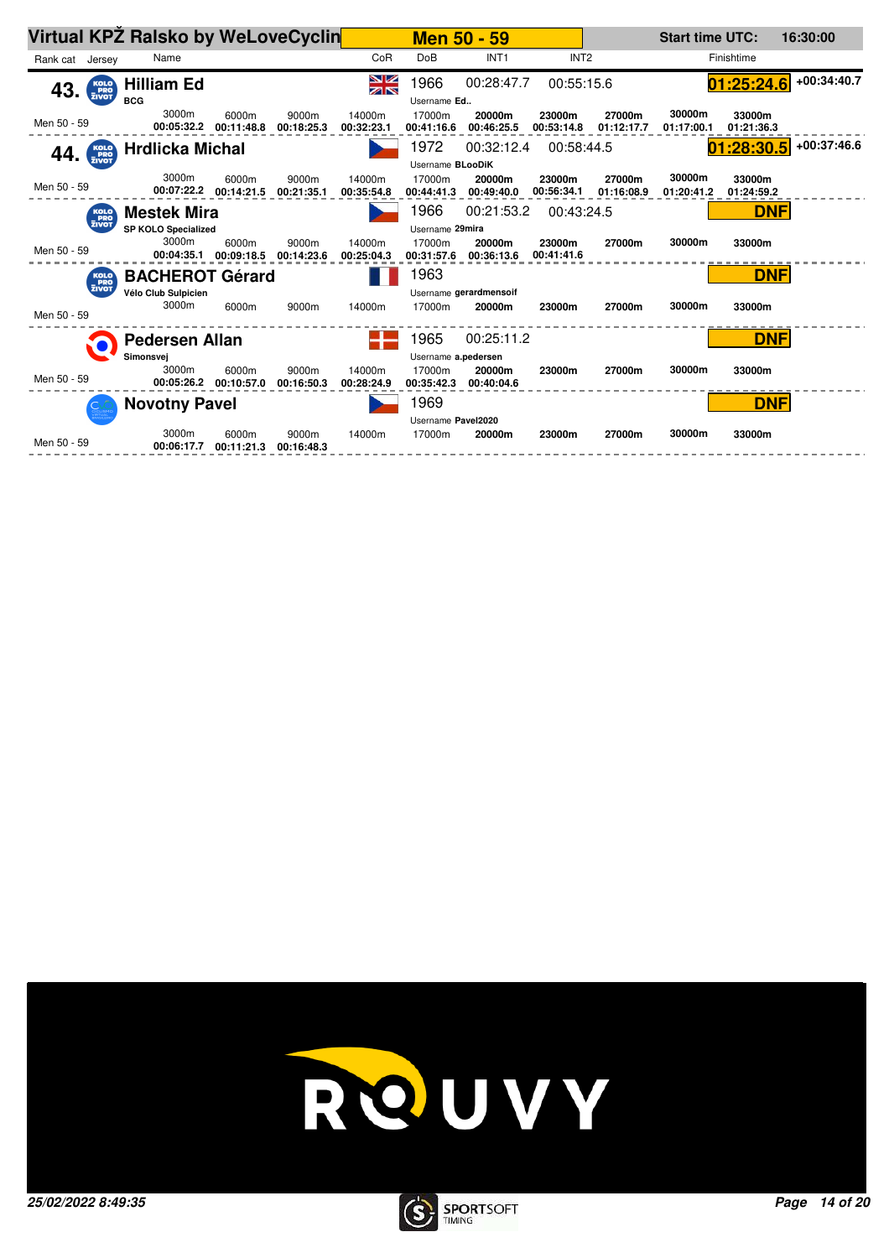| <b>DoB</b><br>INT <sub>2</sub><br>CoR<br>INT <sub>1</sub><br>Finishtime<br>Rank cat Jersey<br>Name<br>NK<br>AK<br>1966<br>00:28:47.7<br>01:25:24.6<br>00:55:15.6<br>Hilliam Ed<br>$43.$ $\frac{\text{Kolo}}{\text{2IVOT}}$<br><b>BCG</b><br>Username Ed<br>3000m<br>30000m<br>9000m<br>14000m<br>17000m<br>20000m<br>27000m<br>33000m<br>6000m<br>23000m<br>Men 50 - 59<br>00:05:32.2<br>00:11:48.8<br>00:18:25.3<br>00:32:23.1<br>00:46:25.5<br>00:53:14.8<br>01:17:00.1<br>00:41:16.6<br>01:12:17.7<br>01:21:36.3<br>1972<br>01:28:30.5<br>00:32:12.4<br>00:58:44.5<br><b>Hrdlicka Michal</b><br>$44.$ $\frac{\text{Kolo}}{\text{FRO}}$<br>Username BLooDiK<br>3000m<br>30000m<br>9000m<br>14000m<br>17000m<br>27000m<br>6000m<br>20000m<br>23000m<br>33000m<br>Men 50 - 59<br>00:07:22.2<br>00:14:21.5<br>00:56:34.1<br>00:21:35.1<br>00:44:41.3<br>00:49:40.0<br>01:16:08.9<br>01:20:41.2<br>00:35:54.8<br>01:24:59.2<br>1966<br><b>DNF</b><br>00:21:53.2<br><b>Mestek Mira</b><br>00:43:24.5<br><b>KOLO</b><br>PRO<br>ZIVOT<br><b>SP KOLO Specialized</b><br>Username 29mira<br>3000m<br>30000m<br>6000m<br>9000m<br>14000m<br>17000m<br>20000m<br>23000m<br>33000m<br>27000m<br>Men 50 - 59<br>00:04:35.1<br>00:09:18.5<br>00:14:23.6<br>00:31:57.6<br>00:41:41.6<br>00:25:04.3<br>00:36:13.6<br>1963<br><b>DNF</b><br><b>BACHEROT Gérard</b><br>KOLO<br>PRO<br>ZIVOT<br>Vélo Club Sulpicien<br>Username gerardmensoif<br>3000m<br>30000m<br>6000m<br>9000m<br>14000m<br>17000m<br>33000m<br>20000m<br>23000m<br>27000m<br>Men 50 - 59<br>1965<br>00:25:11.2<br><b>DNF</b><br><b>Pedersen Allan</b><br>Simonsvej<br>Username a.pedersen<br>3000m<br>30000m<br>9000m<br>14000m<br>17000m<br>33000m<br>6000m<br>20000m<br>23000m<br>27000m<br>Men 50 - 59<br>00:05:26.2<br>00:10:57.0<br>00:16:50.3<br>00:28:24.9<br>00:35:42.3<br>00:40:04.6<br>1969<br><b>DNF</b><br><b>Novotny Pavel</b><br>Username Pavel2020<br>3000m<br>30000m<br>9000m<br>14000m<br>6000m<br>17000m<br>23000m<br>27000m<br>33000m<br>20000m<br>Men 50 - 59<br>00:06:17.7<br>00:11:21.3<br>00:16:48.3 |  | Virtual KPZ Ralsko by WeLoveCyclin |  |  | Men 50 - 59 |  | <b>Start time UTC:</b> | 16:30:00      |
|---------------------------------------------------------------------------------------------------------------------------------------------------------------------------------------------------------------------------------------------------------------------------------------------------------------------------------------------------------------------------------------------------------------------------------------------------------------------------------------------------------------------------------------------------------------------------------------------------------------------------------------------------------------------------------------------------------------------------------------------------------------------------------------------------------------------------------------------------------------------------------------------------------------------------------------------------------------------------------------------------------------------------------------------------------------------------------------------------------------------------------------------------------------------------------------------------------------------------------------------------------------------------------------------------------------------------------------------------------------------------------------------------------------------------------------------------------------------------------------------------------------------------------------------------------------------------------------------------------------------------------------------------------------------------------------------------------------------------------------------------------------------------------------------------------------------------------------------------------------------------------------------------------------------------------------------------------------------------------------------------------------------------------------------------------------------------------|--|------------------------------------|--|--|-------------|--|------------------------|---------------|
|                                                                                                                                                                                                                                                                                                                                                                                                                                                                                                                                                                                                                                                                                                                                                                                                                                                                                                                                                                                                                                                                                                                                                                                                                                                                                                                                                                                                                                                                                                                                                                                                                                                                                                                                                                                                                                                                                                                                                                                                                                                                                 |  |                                    |  |  |             |  |                        |               |
|                                                                                                                                                                                                                                                                                                                                                                                                                                                                                                                                                                                                                                                                                                                                                                                                                                                                                                                                                                                                                                                                                                                                                                                                                                                                                                                                                                                                                                                                                                                                                                                                                                                                                                                                                                                                                                                                                                                                                                                                                                                                                 |  |                                    |  |  |             |  |                        | $+00:34:40.7$ |
|                                                                                                                                                                                                                                                                                                                                                                                                                                                                                                                                                                                                                                                                                                                                                                                                                                                                                                                                                                                                                                                                                                                                                                                                                                                                                                                                                                                                                                                                                                                                                                                                                                                                                                                                                                                                                                                                                                                                                                                                                                                                                 |  |                                    |  |  |             |  |                        |               |
|                                                                                                                                                                                                                                                                                                                                                                                                                                                                                                                                                                                                                                                                                                                                                                                                                                                                                                                                                                                                                                                                                                                                                                                                                                                                                                                                                                                                                                                                                                                                                                                                                                                                                                                                                                                                                                                                                                                                                                                                                                                                                 |  |                                    |  |  |             |  |                        |               |
|                                                                                                                                                                                                                                                                                                                                                                                                                                                                                                                                                                                                                                                                                                                                                                                                                                                                                                                                                                                                                                                                                                                                                                                                                                                                                                                                                                                                                                                                                                                                                                                                                                                                                                                                                                                                                                                                                                                                                                                                                                                                                 |  |                                    |  |  |             |  |                        | $+00:37:46.6$ |
|                                                                                                                                                                                                                                                                                                                                                                                                                                                                                                                                                                                                                                                                                                                                                                                                                                                                                                                                                                                                                                                                                                                                                                                                                                                                                                                                                                                                                                                                                                                                                                                                                                                                                                                                                                                                                                                                                                                                                                                                                                                                                 |  |                                    |  |  |             |  |                        |               |
|                                                                                                                                                                                                                                                                                                                                                                                                                                                                                                                                                                                                                                                                                                                                                                                                                                                                                                                                                                                                                                                                                                                                                                                                                                                                                                                                                                                                                                                                                                                                                                                                                                                                                                                                                                                                                                                                                                                                                                                                                                                                                 |  |                                    |  |  |             |  |                        |               |
|                                                                                                                                                                                                                                                                                                                                                                                                                                                                                                                                                                                                                                                                                                                                                                                                                                                                                                                                                                                                                                                                                                                                                                                                                                                                                                                                                                                                                                                                                                                                                                                                                                                                                                                                                                                                                                                                                                                                                                                                                                                                                 |  |                                    |  |  |             |  |                        |               |
|                                                                                                                                                                                                                                                                                                                                                                                                                                                                                                                                                                                                                                                                                                                                                                                                                                                                                                                                                                                                                                                                                                                                                                                                                                                                                                                                                                                                                                                                                                                                                                                                                                                                                                                                                                                                                                                                                                                                                                                                                                                                                 |  |                                    |  |  |             |  |                        |               |
|                                                                                                                                                                                                                                                                                                                                                                                                                                                                                                                                                                                                                                                                                                                                                                                                                                                                                                                                                                                                                                                                                                                                                                                                                                                                                                                                                                                                                                                                                                                                                                                                                                                                                                                                                                                                                                                                                                                                                                                                                                                                                 |  |                                    |  |  |             |  |                        |               |
|                                                                                                                                                                                                                                                                                                                                                                                                                                                                                                                                                                                                                                                                                                                                                                                                                                                                                                                                                                                                                                                                                                                                                                                                                                                                                                                                                                                                                                                                                                                                                                                                                                                                                                                                                                                                                                                                                                                                                                                                                                                                                 |  |                                    |  |  |             |  |                        |               |
|                                                                                                                                                                                                                                                                                                                                                                                                                                                                                                                                                                                                                                                                                                                                                                                                                                                                                                                                                                                                                                                                                                                                                                                                                                                                                                                                                                                                                                                                                                                                                                                                                                                                                                                                                                                                                                                                                                                                                                                                                                                                                 |  |                                    |  |  |             |  |                        |               |
|                                                                                                                                                                                                                                                                                                                                                                                                                                                                                                                                                                                                                                                                                                                                                                                                                                                                                                                                                                                                                                                                                                                                                                                                                                                                                                                                                                                                                                                                                                                                                                                                                                                                                                                                                                                                                                                                                                                                                                                                                                                                                 |  |                                    |  |  |             |  |                        |               |
|                                                                                                                                                                                                                                                                                                                                                                                                                                                                                                                                                                                                                                                                                                                                                                                                                                                                                                                                                                                                                                                                                                                                                                                                                                                                                                                                                                                                                                                                                                                                                                                                                                                                                                                                                                                                                                                                                                                                                                                                                                                                                 |  |                                    |  |  |             |  |                        |               |
|                                                                                                                                                                                                                                                                                                                                                                                                                                                                                                                                                                                                                                                                                                                                                                                                                                                                                                                                                                                                                                                                                                                                                                                                                                                                                                                                                                                                                                                                                                                                                                                                                                                                                                                                                                                                                                                                                                                                                                                                                                                                                 |  |                                    |  |  |             |  |                        |               |
|                                                                                                                                                                                                                                                                                                                                                                                                                                                                                                                                                                                                                                                                                                                                                                                                                                                                                                                                                                                                                                                                                                                                                                                                                                                                                                                                                                                                                                                                                                                                                                                                                                                                                                                                                                                                                                                                                                                                                                                                                                                                                 |  |                                    |  |  |             |  |                        |               |
|                                                                                                                                                                                                                                                                                                                                                                                                                                                                                                                                                                                                                                                                                                                                                                                                                                                                                                                                                                                                                                                                                                                                                                                                                                                                                                                                                                                                                                                                                                                                                                                                                                                                                                                                                                                                                                                                                                                                                                                                                                                                                 |  |                                    |  |  |             |  |                        |               |
|                                                                                                                                                                                                                                                                                                                                                                                                                                                                                                                                                                                                                                                                                                                                                                                                                                                                                                                                                                                                                                                                                                                                                                                                                                                                                                                                                                                                                                                                                                                                                                                                                                                                                                                                                                                                                                                                                                                                                                                                                                                                                 |  |                                    |  |  |             |  |                        |               |
|                                                                                                                                                                                                                                                                                                                                                                                                                                                                                                                                                                                                                                                                                                                                                                                                                                                                                                                                                                                                                                                                                                                                                                                                                                                                                                                                                                                                                                                                                                                                                                                                                                                                                                                                                                                                                                                                                                                                                                                                                                                                                 |  |                                    |  |  |             |  |                        |               |
|                                                                                                                                                                                                                                                                                                                                                                                                                                                                                                                                                                                                                                                                                                                                                                                                                                                                                                                                                                                                                                                                                                                                                                                                                                                                                                                                                                                                                                                                                                                                                                                                                                                                                                                                                                                                                                                                                                                                                                                                                                                                                 |  |                                    |  |  |             |  |                        |               |



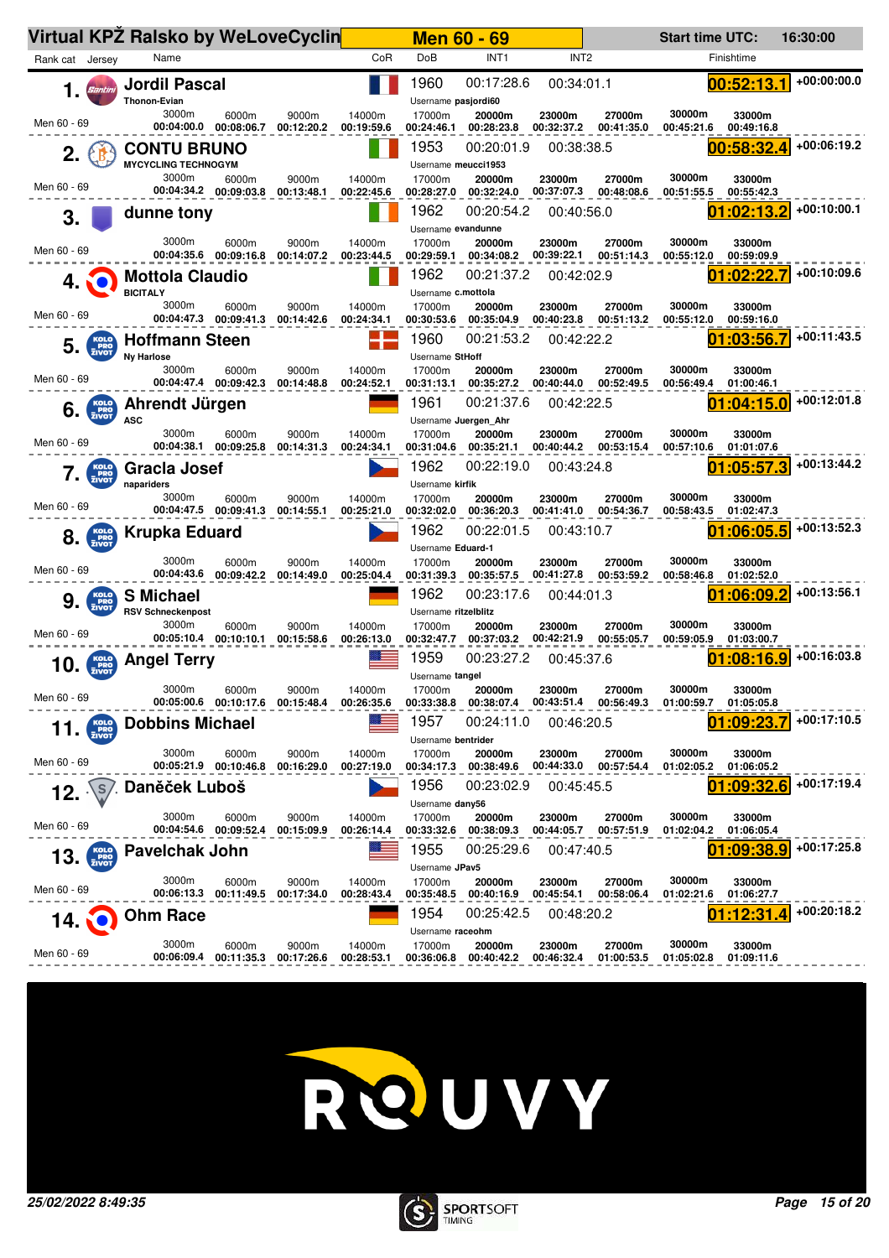|                                          | Virtual KPZ Ralsko by WeLoveCyclin                 |                                             |                              | <b>Men 60 - 69</b>                 |                                    | <b>Start time UTC:</b>                       |                                    | 16:30:00      |
|------------------------------------------|----------------------------------------------------|---------------------------------------------|------------------------------|------------------------------------|------------------------------------|----------------------------------------------|------------------------------------|---------------|
| Rank cat Jersey                          | Name                                               | CoR                                         | DoB                          | INT <sub>1</sub>                   | INT <sub>2</sub>                   |                                              | Finishtime                         |               |
| 1.<br><b>Santini</b>                     | <b>Jordil Pascal</b><br><b>Thonon-Evian</b>        |                                             | 1960<br>Username pasjordi60  | 00:17:28.6                         | 00:34:01.1                         |                                              | 00:52:13.1                         | $+00:00:00.0$ |
| Men 60 - 69                              | 3000m<br>6000m<br>00:04:00.0<br>00:08:06.7         | 9000m<br>14000m<br>00:12:20.2<br>00:19:59.6 | 17000m<br>00:24:46.1         | 20000m<br>00:28:23.8               | 23000m<br>00:32:37.2               | 30000m<br>27000m<br>00:41:35.0<br>00:45:21.6 | 33000m<br>00:49:16.8               |               |
| 2.                                       | <b>CONTU BRUNO</b><br><b>MYCYCLING TECHNOGYM</b>   |                                             | 1953<br>Username meucci1953  | 00:20:01.9                         | 00:38:38.5                         |                                              | 00:58:32.<br>Δ                     | +00:06:19.2   |
| Men 60 - 69                              | 3000m<br>6000m<br>00:04:34.2 00:09:03.8            | 9000m<br>14000m<br>00:13:48.1<br>00:22:45.6 | 17000m<br>00:28:27.0         | 20000m<br>00:32:24.0               | 23000m<br>00:37:07.3               | 30000m<br>27000m<br>00:48:08.6<br>00:51:55.5 | 33000m<br>00:55:42.3               |               |
| 3.                                       | dunne tony                                         |                                             | 1962<br>Username evandunne   | 00:20:54.2                         | 00:40:56.0                         |                                              | :02:13.2<br>01                     | +00:10:00.1   |
| Men 60 - 69                              | 3000m<br>6000m<br>00:04:35.6 00:09:16.8            | 14000m<br>9000m<br>00:14:07.2<br>00:23:44.5 | 17000m<br>00:29:59.1         | 20000m<br>00:34:08.2               | 23000m<br>00:39:22.1               | 30000m<br>27000m<br>00:51:14.3<br>00:55:12.0 | 33000m<br>00:59:09.9               |               |
| 4.                                       | <b>Mottola Claudio</b><br><b>BICITALY</b>          |                                             | 1962<br>Username c.mottola   | 00:21:37.2                         | 00:42:02.9                         |                                              | 01:02:22.                          | +00:10:09.6   |
| Men 60 - 69                              | 3000m<br>6000m<br>00:04:47.3 00:09:41.3            | 9000m<br>14000m<br>00:14:42.6<br>00:24:34.1 | 17000m<br>00:30:53.6         | 20000m<br>00:35:04.9               | 23000m<br>00:40:23.8               | 30000m<br>27000m<br>00:51:13.2<br>00:55:12.0 | 33000m<br>00:59:16.0               |               |
| 5.<br>PRO <sub>ZIVOT</sub>               | <b>Hoffmann Steen</b><br><b>Nv Harlose</b>         |                                             | 1960<br>Username StHoff      | 00:21:53.2                         | 00:42:22.2                         |                                              | 01:03:56.7                         | $+00:11:43.5$ |
| Men 60 - 69                              | 3000m<br>6000m<br>00:04:47.4 00:09:42.3 00:14:48.8 | 9000m<br>14000m<br>00:24:52.1               | 17000m<br>00:31:13.1         | 20000m<br>00:35:27.2               | 23000m<br>00:40:44.0               | 30000m<br>27000m<br>00:52:49.5<br>00:56:49.4 | 33000m<br>01:00:46.1               | $+00:12:01.8$ |
| KOLO<br>PRO<br>ZIVOT<br>6.               | Ahrendt Jürgen<br><b>ASC</b>                       |                                             | 1961<br>Username Juergen Ahr | 00:21:37.6                         | 00:42:22.5                         |                                              | 01:04:15.0                         |               |
| Men 60 - 69                              | 3000m<br>6000m<br>00:04:38.1 00:09:25.8            | 9000m<br>14000m<br>00:14:31.3<br>00:24:34.1 | 17000m<br>00:31:04.6         | 20000m<br>00:35:21.1               | 23000m<br>00:40:44.2               | 30000m<br>27000m<br>00:53:15.4<br>00:57:10.6 | 33000m<br>01:01:07.6               | +00:13:44.2   |
| KOLO<br>PRO<br>ZIVOT                     | <b>Gracla Josef</b><br>napariders<br>3000m         |                                             | 1962<br>Username kirfik      | 00:22:19.0                         | 00:43:24.8                         | 30000m                                       | 01:05:57.3                         |               |
| Men 60 - 69                              | 6000m<br>00:04:47.5 00:09:41.3                     | 9000m<br>14000m<br>00:14:55.1<br>00:25:21.0 | 17000m<br>00:32:02.0<br>1962 | 20000m<br>00:36:20.3<br>00:22:01.5 | 23000m<br>00:41:41.0               | 27000m<br>00:54:36.7<br>00:58:43.5           | 33000m<br>01:02:47.3<br>01:06:05.5 | +00:13:52.3   |
| <b>KOLO</b><br>PRO<br>ZIVOT<br>8.        | Krupka Eduard                                      |                                             | Username Eduard-1            |                                    | 00:43:10.7                         |                                              |                                    |               |
| Men 60 - 69                              | 3000m<br>6000m<br>00:04:43.6<br>00:09:42.2         | 9000m<br>14000m<br>00:14:49.0<br>00:25:04.4 | 17000m<br>00:31:39.3         | 20000m<br>00:35:57.5               | 23000m<br>00:41:27.8               | 30000m<br>27000m<br>00:53:59.2<br>00:58:46.8 | 33000m<br>01:02:52.0               |               |
| <b>KOLO</b><br>PRO<br>ZIVOT<br>9.        | <b>S</b> Michael<br><b>RSV Schneckenpost</b>       |                                             | 1962<br>Username ritzelblitz | 00:23:17.6                         | 00:44:01.3                         |                                              | 01:06:09.2                         | +00:13:56.1   |
| Men 60 - 69                              | 3000m<br>6000m<br>00:05:10.4 00:10:10.1            | 9000m<br>14000m<br>00:26:13.0<br>00:15:58.6 | 17000m<br>00:32:47.7         | 20000m<br>00:37:03.2               | 23000m<br>00:42:21.9               | 30000m<br>27000m<br>00:55:05.7<br>00:59:05.9 | 33000m<br>01:03:00.7               |               |
| $10.$ $\frac{\text{KOLO}}{\text{ZIVOT}}$ | <b>Angel Terry</b>                                 |                                             | 1959<br>Username tangel      | 00:23:27.2                         | 00:45:37.6                         |                                              | :08:16.9                           | +00:16:03.8   |
| Men 60 - 69                              | 3000m<br>6000m                                     | 9000m<br>14000m<br>00:15:48.4<br>00:26:35.6 | 17000m<br>00:33:38.8         | 20000m<br>00:38:07.4               | 23000m<br>00:43:51.4<br>00:56:49.3 | 30000m<br>27000m<br>01:00:59.7               | 33000m<br>01:05:05.8               |               |
| KOLO<br>PRO<br>ZIVOT<br>11.              | <b>Dobbins Michael</b>                             |                                             | 1957<br>Username bentrider   | 00:24:11.0                         | 00:46:20.5                         |                                              | 01:09:23                           | +00:17:10.5   |
| Men 60 - 69                              | 3000m<br>6000m<br>00:05:21.9 00:10:46.8            | 9000m<br>14000m<br>00:16:29.0<br>00:27:19.0 | 17000m<br>00:34:17.3         | 20000m<br>00:38:49.6               | 23000m<br>00:44:33.0               | 30000m<br>27000m<br>00:57:54.4<br>01:02:05.2 | 33000m<br>01:06:05.2               |               |
| .S<br>12.                                | Danéček Luboš                                      |                                             | 1956<br>Username dany56      | 00:23:02.9                         | 00:45:45.5                         |                                              | :09:32<br>01                       | +00:17:19.4   |
| Men 60 - 69                              | 3000m<br>6000m<br>00:04:54.6 00:09:52.4            | 9000m<br>14000m<br>00:15:09.9<br>00:26:14.4 | 17000m<br>00:33:32.6         | 20000m<br>00:38:09.3               | 23000m<br>00:44:05.7               | 30000m<br>27000m<br>00:57:51.9<br>01:02:04.2 | 33000m<br>01:06:05.4               |               |
| KOLO<br>PRO<br>ZIVOT<br>13.              | <b>Pavelchak John</b>                              |                                             | 1955<br>Username JPav5       | 00:25:29.6                         | 00:47:40.5                         |                                              | :09:38.9<br>N1                     | +00:17:25.8   |
| Men 60 - 69                              | 3000m<br>6000m<br>00:06:13.3 00:11:49.5            | 14000m<br>9000m<br>00:28:43.4<br>00:17:34.0 | 17000m<br>00:35:48.5         | 20000m<br>00:40:16.9               | 23000m<br>00:45:54.1               | 30000m<br>27000m<br>00:58:06.4<br>01:02:21.6 | 33000m<br>01:06:27.7               |               |
| 14.                                      | <b>Ohm Race</b>                                    |                                             | 1954<br>Username raceohm     | 00:25:42.5                         | 00:48:20.2                         |                                              | :12:31                             | +00:20:18.2   |
| Men 60 - 69                              | 3000m<br>6000m<br>00:06:09.4<br>00:11:35.3         | 14000m<br>9000m<br>00:17:26.6<br>00:28:53.1 | 17000m<br>00:36:06.8         | 20000m<br>00:40:42.2               | 23000m<br>00:46:32.4               | 30000m<br>27000m<br>01:00:53.5<br>01:05:02.8 | 33000m<br>01:09:11.6               |               |



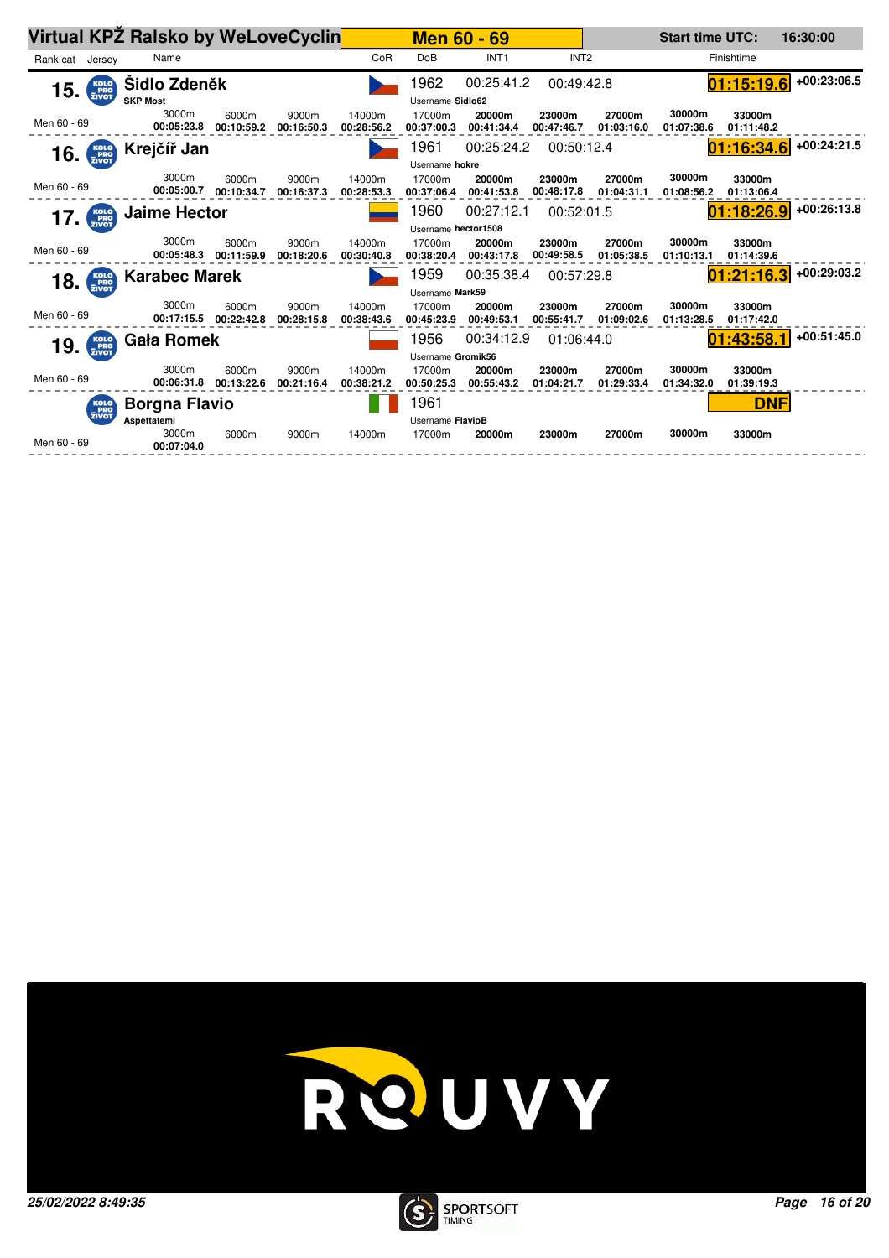|                                            | Virtual KPZ Ralsko by WeLoveCyclin |                                |                     |                      |                      | <b>Men 60 - 69</b>   |                      |                      | <b>Start time UTC:</b> |                      | 16:30:00      |
|--------------------------------------------|------------------------------------|--------------------------------|---------------------|----------------------|----------------------|----------------------|----------------------|----------------------|------------------------|----------------------|---------------|
| Rank cat Jersey                            | Name                               |                                |                     | CoR                  | DoB                  | INT <sub>1</sub>     | INT <sub>2</sub>     |                      |                        | Finishtime           |               |
| $15.$ $\frac{\text{KOLO}}{\text{ZIVOT}}$   | Sidlo Zdeněk                       |                                |                     |                      | 1962                 | 00:25:41.2           | 00:49:42.8           |                      |                        | 01:15:19.6           | $+00:23:06.5$ |
|                                            | <b>SKP Most</b>                    |                                |                     |                      | Username Sidlo62     |                      |                      |                      |                        |                      |               |
| Men 60 - 69                                | 3000m<br>00:05:23.8                | 6000m<br>00:10:59.2            | 9000m<br>00:16:50.3 | 14000m<br>00:28:56.2 | 17000m<br>00:37:00.3 | 20000m<br>00:41:34.4 | 23000m<br>00:47:46.7 | 27000m<br>01:03:16.0 | 30000m<br>01:07:38.6   | 33000m<br>01:11:48.2 |               |
| $16.$ $Kolo$ <sub><math>zivot</math></sub> | Krejčíř Jan                        |                                |                     |                      | 1961                 | 00:25:24.2           | 00:50:12.4           |                      |                        | 01:16:34.6           | $+00:24:21.5$ |
|                                            |                                    |                                |                     |                      | Username hokre       |                      |                      |                      |                        |                      |               |
| Men 60 - 69                                | 3000m<br>00:05:00.7                | 6000m<br>00:10:34.7            | 9000m<br>00:16:37.3 | 14000m<br>00:28:53.3 | 17000m<br>00:37:06.4 | 20000m<br>00:41:53.8 | 23000m<br>00:48:17.8 | 27000m<br>01:04:31.1 | 30000m<br>01:08:56.2   | 33000m<br>01:13:06.4 |               |
| KOLO<br>PRO<br>ZIVOT<br>17.                | <b>Jaime Hector</b>                |                                |                     |                      | 1960                 | 00:27:12.1           | 00:52:01.5           |                      |                        | 01:18:26.9           | $+00:26:13.8$ |
|                                            |                                    |                                |                     |                      | Username hector1508  |                      |                      |                      |                        |                      |               |
| Men 60 - 69                                | 3000m<br>00:05:48.3                | 6000m<br>00:11:59.9            | 9000m<br>00:18:20.6 | 14000m<br>00:30:40.8 | 17000m<br>00:38:20.4 | 20000m<br>00:43:17.8 | 23000m<br>00:49:58.5 | 27000m<br>01:05:38.5 | 30000m<br>01:10:13.1   | 33000m<br>01:14:39.6 |               |
| $18.$ $\frac{\text{KOLO}}{\text{ZIVOT}}$   | <b>Karabec Marek</b>               |                                |                     |                      | 1959                 | 00:35:38.4           | 00:57:29.8           |                      |                        | 01:21:16.3           | $+00:29:03.2$ |
|                                            |                                    |                                |                     |                      | Username Mark59      |                      |                      |                      |                        |                      |               |
| Men 60 - 69                                | 3000m                              | 6000m<br>00:17:15.5 00:22:42.8 | 9000m<br>00:28:15.8 | 14000m<br>00:38:43.6 | 17000m<br>00:45:23.9 | 20000m<br>00:49:53.1 | 23000m<br>00:55:41.7 | 27000m<br>01:09:02.6 | 30000m<br>01:13:28.5   | 33000m<br>01:17:42.0 |               |
| KOLO<br>PRO<br>ZIVOT<br>19.                | <b>Gała Romek</b>                  |                                |                     |                      | 1956                 | 00:34:12.9           | 01:06:44.0           |                      |                        | 01:43:58.1           | $+00:51:45.0$ |
|                                            |                                    |                                |                     |                      | Username Gromik56    |                      |                      |                      |                        |                      |               |
| Men 60 - 69                                | 3000m<br>00:06:31.8                | 6000m<br>00:13:22.6            | 9000m<br>00:21:16.4 | 14000m<br>00:38:21.2 | 17000m<br>00:50:25.3 | 20000m<br>00:55:43.2 | 23000m<br>01:04:21.7 | 27000m<br>01:29:33.4 | 30000m<br>01:34:32.0   | 33000m<br>01:39:19.3 |               |
|                                            | <b>Borgna Flavio</b>               |                                |                     |                      | 1961                 |                      |                      |                      |                        | <b>DNF</b>           |               |
| KOLO<br>PRO<br>ZIVOT                       | Aspettatemi                        |                                |                     |                      | Username FlavioB     |                      |                      |                      |                        |                      |               |
| Men 60 - 69                                | 3000m<br>00:07:04.0                | 6000m                          | 9000m               | 14000m               | 17000m               | 20000m               | 23000m               | 27000m               | 30000m                 | 33000m               |               |
|                                            |                                    |                                |                     |                      |                      |                      |                      |                      |                        |                      |               |



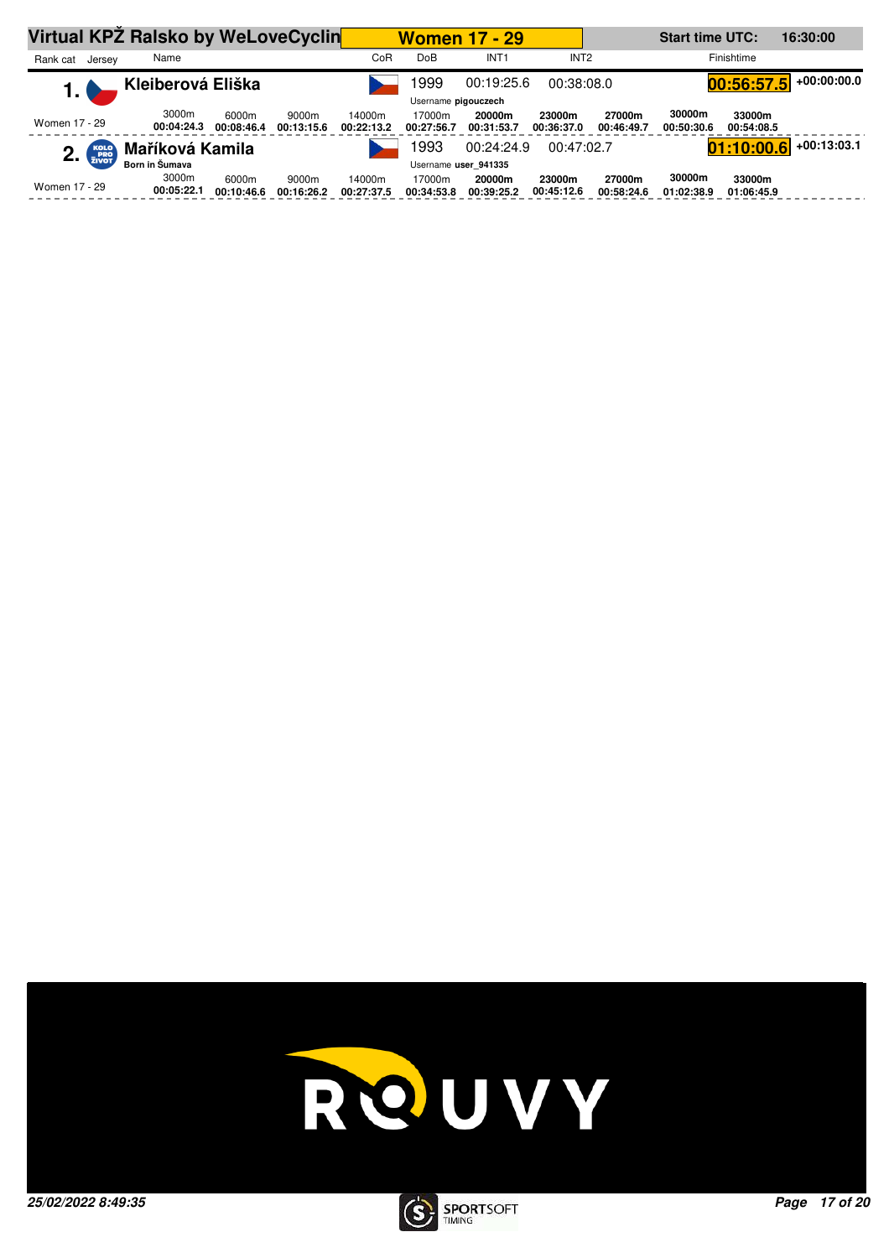|               |                      | Virtual KPZ Ralsko by WeLoveCyclin |                     |                     |                      | <b>Women 17 - 29</b> |                      |                      |                      | <b>Start time UTC:</b><br>16:30:00 |                      |               |  |
|---------------|----------------------|------------------------------------|---------------------|---------------------|----------------------|----------------------|----------------------|----------------------|----------------------|------------------------------------|----------------------|---------------|--|
| Rank cat      | Jersey               | Name                               |                     |                     | CoR                  | DoB                  | INT <sub>1</sub>     | INT <sub>2</sub>     |                      |                                    | Finishtime           |               |  |
| 1. I          |                      | Kleiberová Eliška                  |                     |                     |                      | 999                  | 00:19:25.6           | 00:38:08.0           |                      |                                    | 00:56:57.5           | $+00:00:00.0$ |  |
|               |                      |                                    |                     |                     |                      | Username pigouczech  |                      |                      |                      |                                    |                      |               |  |
| Women 17 - 29 |                      | 3000m<br>00:04:24.3                | 6000m<br>00:08:46.4 | 9000m<br>00:13:15.6 | 14000m<br>00:22:13.2 | 17000m<br>00:27:56.7 | 20000m<br>00:31:53.7 | 23000m<br>00:36:37.0 | 27000m<br>00:46:49.7 | 30000m<br>00:50:30.6               | 33000m<br>00:54:08.5 |               |  |
| 2.            | KOLO<br>PRO<br>ZIVOT | Maříková Kamila                    |                     |                     |                      | 993                  | 00:24:24.9           | 00:47:02.7           |                      |                                    | 01:10:00.6           | $+00:13:03.1$ |  |
|               |                      | Born in Šumava                     |                     |                     |                      |                      | Username user 941335 |                      |                      |                                    |                      |               |  |
| Women 17 - 29 |                      | 3000m<br>00:05:22.1                | 6000m<br>00:10:46.6 | 9000m<br>00:16:26.2 | 14000m<br>00:27:37.5 | 17000m<br>00:34:53.8 | 20000m<br>00:39:25.2 | 23000m<br>00:45:12.6 | 27000m<br>00:58:24.6 | 30000m<br>01:02:38.9               | 33000m<br>01:06:45.9 |               |  |



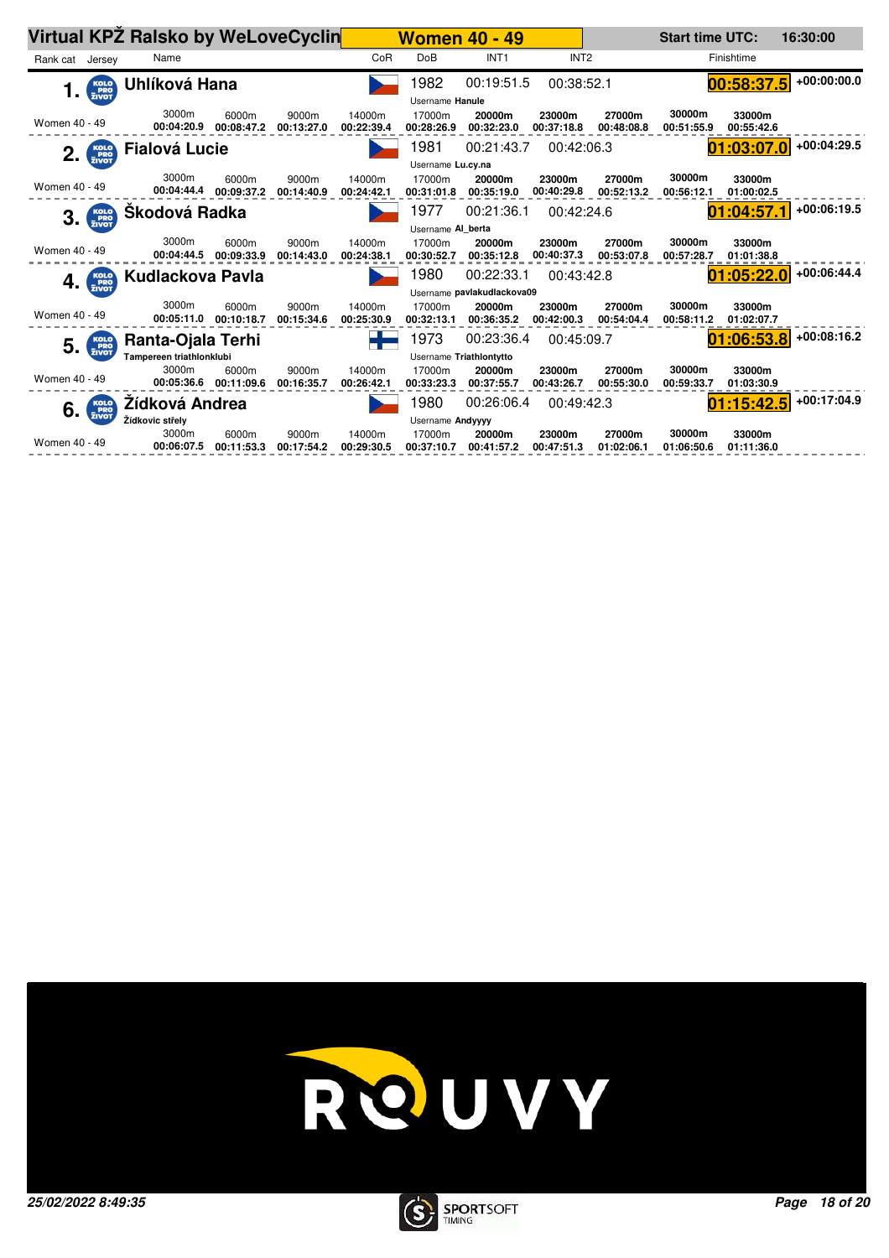|                 |                                         | Virtual KPZ Ralsko by WeLoveCyclin |                     |                     |                      |                      | <b>Women 40 - 49</b>       |                      |                      | <b>Start time UTC:</b> |                      | 16:30:00      |  |  |
|-----------------|-----------------------------------------|------------------------------------|---------------------|---------------------|----------------------|----------------------|----------------------------|----------------------|----------------------|------------------------|----------------------|---------------|--|--|
| Rank cat Jersey |                                         | Name                               |                     |                     | CoR                  | <b>DoB</b>           | INT <sub>1</sub>           | INT <sub>2</sub>     |                      |                        | Finishtime           |               |  |  |
| 1.              | KOLO<br>PRO<br>ZIVOT                    | Uhlíková Hana                      |                     |                     |                      | 1982                 | 00:19:51.5                 | 00:38:52.1           |                      |                        | .5<br>00:58:37       | +00:00:00.0   |  |  |
|                 |                                         |                                    |                     |                     |                      | Username Hanule      |                            |                      |                      |                        |                      |               |  |  |
| Women 40 - 49   |                                         | 3000m<br>00:04:20.9                | 6000m<br>00:08:47.2 | 9000m<br>00:13:27.0 | 14000m<br>00:22:39.4 | 17000m<br>00:28:26.9 | 20000m<br>00:32:23.0       | 23000m<br>00:37:18.8 | 27000m<br>00:48:08.8 | 30000m<br>00:51:55.9   | 33000m<br>00:55:42.6 |               |  |  |
|                 | $2.$ $\frac{\text{KOLO}}{\text{ENO}}$   | <b>Fialová Lucie</b>               |                     |                     |                      | 1981                 | 00:21:43.7                 | 00:42:06.3           |                      |                        | [01:03:07.0]         | $+00:04:29.5$ |  |  |
|                 |                                         |                                    |                     |                     |                      | Username Lu.cy.na    |                            |                      |                      |                        |                      |               |  |  |
| Women 40 - 49   |                                         | 3000m<br>00:04:44.4                | 6000m<br>00:09:37.2 | 9000m<br>00:14:40.9 | 14000m<br>00:24:42.1 | 17000m<br>00:31:01.8 | 20000m<br>00:35:19.0       | 23000m<br>00:40:29.8 | 27000m<br>00:52:13.2 | 30000m<br>00:56:12.1   | 33000m<br>01:00:02.5 |               |  |  |
| 3.              | KOLO<br>PRO<br>ZIVOT                    | Škodová Radka                      |                     |                     |                      | 1977                 | 00:21:36.1                 | 00:42:24.6           |                      |                        | 01:04:57.1           | $+00:06:19.5$ |  |  |
|                 |                                         |                                    |                     |                     |                      | Username Al berta    |                            |                      |                      |                        |                      |               |  |  |
| Women 40 - 49   |                                         | 3000m<br>00:04:44.5                | 6000m<br>00:09:33.9 | 9000m<br>00:14:43.0 | 14000m<br>00:24:38.1 | 17000m<br>00:30:52.7 | 20000m<br>00:35:12.8       | 23000m<br>00:40:37.3 | 27000m<br>00:53:07.8 | 30000m<br>00:57:28.7   | 33000m<br>01:01:38.8 |               |  |  |
|                 | $4.$ $\frac{\text{Kolo}}{\text{ZIVOT}}$ | <b>Kudlackova Pavla</b>            |                     |                     |                      | 1980                 | 00:22:33.1                 | 00:43:42.8           |                      |                        | 01:05:22.0           | $+00:06:44.4$ |  |  |
|                 |                                         |                                    |                     |                     |                      |                      | Username pavlakudlackova09 |                      |                      |                        |                      |               |  |  |
| Women 40 - 49   |                                         | 3000m<br>00:05:11.0                | 6000m<br>00:10:18.7 | 9000m<br>00:15:34.6 | 14000m<br>00:25:30.9 | 17000m<br>00:32:13.1 | 20000m<br>00:36:35.2       | 23000m<br>00:42:00.3 | 27000m<br>00:54:04.4 | 30000m<br>00:58:11.2   | 33000m<br>01:02:07.7 |               |  |  |
|                 |                                         | Ranta-Ojala Terhi                  |                     |                     |                      | 1973                 | 00:23:36.4                 | 00:45:09.7           |                      |                        | 01:06:53.8           | $+00:08:16.2$ |  |  |
|                 | $5.$ $\frac{\text{Kolo}}{\text{ZIVOT}}$ | Tampereen triathlonklubi           |                     |                     |                      |                      | Username Triathlontytto    |                      |                      |                        |                      |               |  |  |
| Women 40 - 49   |                                         | 3000m<br>00:05:36.6                | 6000m<br>00:11:09.6 | 9000m<br>00:16:35.7 | 14000m<br>00:26:42.1 | 17000m<br>00:33:23.3 | 20000m<br>00:37:55.7       | 23000m<br>00:43:26.7 | 27000m<br>00:55:30.0 | 30000m<br>00:59:33.7   | 33000m<br>01:03:30.9 |               |  |  |
|                 | $6.$ $\frac{\text{Kolo}}{\text{ZIVOT}}$ | Zídková Andrea                     |                     |                     |                      | 1980                 | 00:26:06.4                 | 00:49:42.3           |                      |                        | 01:15:42.5           | $+00:17:04.9$ |  |  |
|                 |                                         | Žídkovic střely                    |                     |                     |                      | Username Andyyyy     |                            |                      |                      |                        |                      |               |  |  |
| Women 40 - 49   |                                         | 3000m<br>00:06:07.5                | 6000m<br>00:11:53.3 | 9000m<br>00:17:54.2 | 14000m<br>00:29:30.5 | 17000m<br>00:37:10.7 | 20000m<br>00:41:57.2       | 23000m<br>00:47:51.3 | 27000m<br>01:02:06.1 | 30000m<br>01:06:50.6   | 33000m<br>01:11:36.0 |               |  |  |



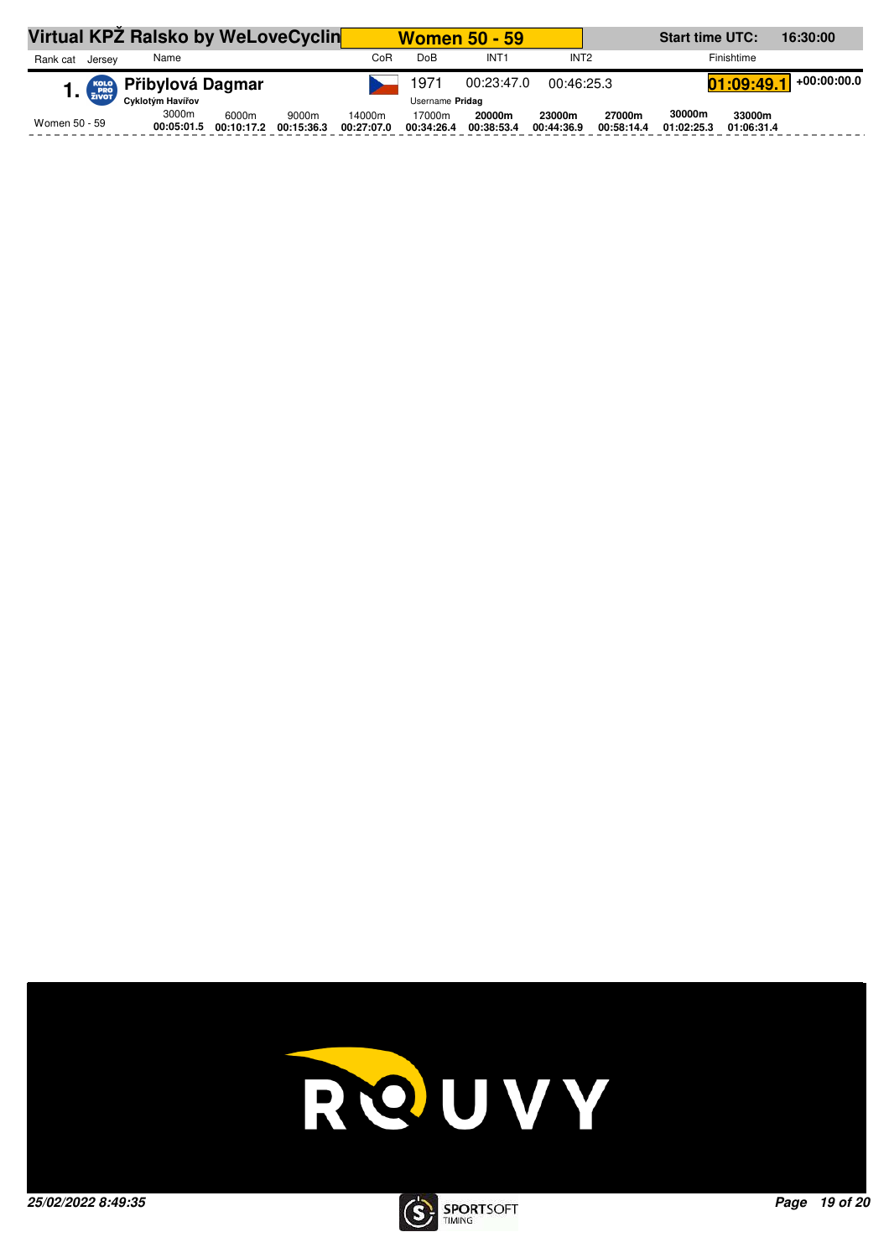| Virtual KPZ Ralsko by WeLoveCyclin |                                 |                     |                     |                      | <b>Women 50 - 59</b>             |                      |                      | <b>Start time UTC:</b><br>16:30:00 |                      |                           |  |  |
|------------------------------------|---------------------------------|---------------------|---------------------|----------------------|----------------------------------|----------------------|----------------------|------------------------------------|----------------------|---------------------------|--|--|
| Rank cat<br>Jersev                 | Name                            |                     |                     | CoR                  | DoB                              | INT <sub>1</sub>     | INT <sub>2</sub>     |                                    |                      | Finishtime                |  |  |
|                                    | 1. <b>FRED</b> Přibylová Dagmar |                     |                     |                      | 1971<br>00:23:47.0<br>00:46:25.3 |                      |                      |                                    |                      | +00:00:00.0<br>01:09:49.1 |  |  |
|                                    |                                 |                     |                     |                      | Username Pridag                  |                      |                      |                                    |                      |                           |  |  |
| Women 50 - 59                      | 3000m<br>00:05:01.5             | 6000m<br>00:10:17.2 | 9000m<br>00:15:36.3 | 14000m<br>00:27:07.0 | 17000m<br>00:34:26.4             | 20000m<br>00:38:53.4 | 23000m<br>00:44:36.9 | 27000m<br>00:58:14.4               | 30000m<br>01:02:25.3 | 33000m<br>01:06:31.4      |  |  |